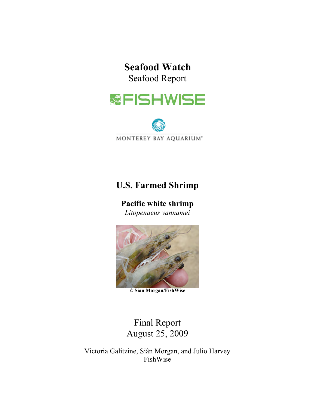**Seafood Watch**  Seafood Report





## **U.S. Farmed Shrimp**

### **Pacific white shrimp**

*Litopenaeus vannamei* 



**© Sian Morgan/FishWise** 

Final Report August 25, 2009

Victoria Galitzine, Siân Morgan, and Julio Harvey FishWise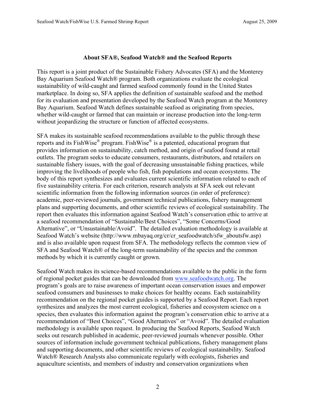#### **About SFA®, Seafood Watch® and the Seafood Reports**

This report is a joint product of the Sustainable Fishery Advocates (SFA) and the Monterey Bay Aquarium Seafood Watch® program. Both organizations evaluate the ecological sustainability of wild-caught and farmed seafood commonly found in the United States marketplace. In doing so, SFA applies the definition of sustainable seafood and the method for its evaluation and presentation developed by the Seafood Watch program at the Monterey Bay Aquarium. Seafood Watch defines sustainable seafood as originating from species, whether wild-caught or farmed that can maintain or increase production into the long-term without jeopardizing the structure or function of affected ecosystems.

SFA makes its sustainable seafood recommendations available to the public through these reports and its FishWise® program. FishWise® is a patented, educational program that provides information on sustainability, catch method, and origin of seafood found at retail outlets. The program seeks to educate consumers, restaurants, distributors, and retailers on sustainable fishery issues, with the goal of decreasing unsustainable fishing practices, while improving the livelihoods of people who fish, fish populations and ocean ecosystems. The body of this report synthesizes and evaluates current scientific information related to each of five sustainability criteria. For each criterion, research analysts at SFA seek out relevant scientific information from the following information sources (in order of preference): academic, peer-reviewed journals, government technical publications, fishery management plans and supporting documents, and other scientific reviews of ecological sustainability. The report then evaluates this information against Seafood Watch's conservation ethic to arrive at a seafood recommendation of "Sustainable/Best Choices", "Some Concerns/Good Alternative", or "Unsustainable/Avoid". The detailed evaluation methodology is available at Seafood Watch's website (http://www.mbayaq.org/cr/cr\_seafoodwatch/sfw\_aboutsfw.asp) and is also available upon request from SFA. The methodology reflects the common view of SFA and Seafood Watch® of the long-term sustainability of the species and the common methods by which it is currently caught or grown.

Seafood Watch makes its science-based recommendations available to the public in the form of regional pocket guides that can be downloaded from www.seafoodwatch.org. The program's goals are to raise awareness of important ocean conservation issues and empower seafood consumers and businesses to make choices for healthy oceans. Each sustainability recommendation on the regional pocket guides is supported by a Seafood Report. Each report synthesizes and analyzes the most current ecological, fisheries and ecosystem science on a species, then evaluates this information against the program's conservation ethic to arrive at a recommendation of "Best Choices", "Good Alternatives" or "Avoid". The detailed evaluation methodology is available upon request. In producing the Seafood Reports, Seafood Watch seeks out research published in academic, peer-reviewed journals whenever possible. Other sources of information include government technical publications, fishery management plans and supporting documents, and other scientific reviews of ecological sustainability. Seafood Watch® Research Analysts also communicate regularly with ecologists, fisheries and aquaculture scientists, and members of industry and conservation organizations when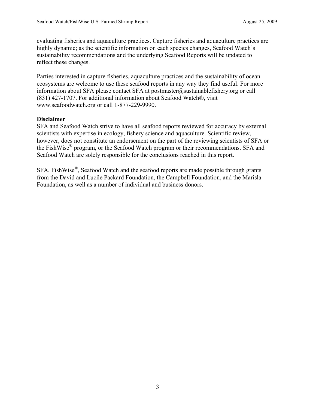evaluating fisheries and aquaculture practices. Capture fisheries and aquaculture practices are highly dynamic; as the scientific information on each species changes, Seafood Watch's sustainability recommendations and the underlying Seafood Reports will be updated to reflect these changes.

Parties interested in capture fisheries, aquaculture practices and the sustainability of ocean ecosystems are welcome to use these seafood reports in any way they find useful. For more information about SFA please contact SFA at postmaster@sustainablefishery.org or call (831) 427-1707. For additional information about Seafood Watch®, visit www.seafoodwatch.org or call 1-877-229-9990.

#### **Disclaimer**

SFA and Seafood Watch strive to have all seafood reports reviewed for accuracy by external scientists with expertise in ecology, fishery science and aquaculture. Scientific review, however, does not constitute an endorsement on the part of the reviewing scientists of SFA or the FishWise® program, or the Seafood Watch program or their recommendations. SFA and Seafood Watch are solely responsible for the conclusions reached in this report.

SFA, FishWise®, Seafood Watch and the seafood reports are made possible through grants from the David and Lucile Packard Foundation, the Campbell Foundation, and the Marisla Foundation, as well as a number of individual and business donors.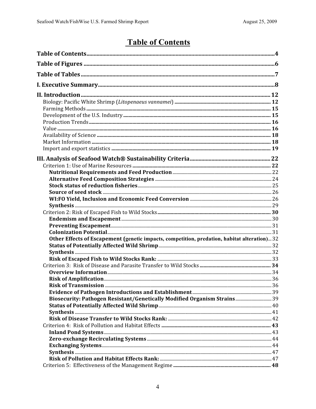# **Table of Contents**

| Other Effects of Escapement (genetic impacts, competition, predation, habitat alteration)32 |  |
|---------------------------------------------------------------------------------------------|--|
|                                                                                             |  |
|                                                                                             |  |
|                                                                                             |  |
|                                                                                             |  |
|                                                                                             |  |
|                                                                                             |  |
|                                                                                             |  |
|                                                                                             |  |
| Biosecurity: Pathogen Resistant/Genetically Modified Organism Strains 39                    |  |
|                                                                                             |  |
|                                                                                             |  |
|                                                                                             |  |
|                                                                                             |  |
|                                                                                             |  |
|                                                                                             |  |
|                                                                                             |  |
|                                                                                             |  |
|                                                                                             |  |
|                                                                                             |  |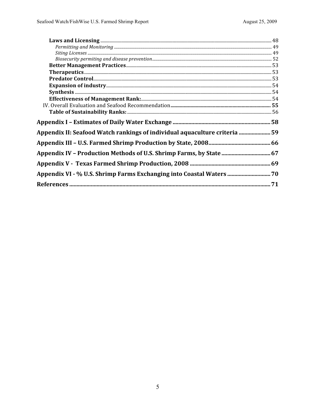| Appendix II: Seafood Watch rankings of individual aquaculture criteria  59 |  |
|----------------------------------------------------------------------------|--|
|                                                                            |  |
| Appendix IV – Production Methods of U.S. Shrimp Farms, by State  67        |  |
|                                                                            |  |
| Appendix VI - % U.S. Shrimp Farms Exchanging into Coastal Waters  70       |  |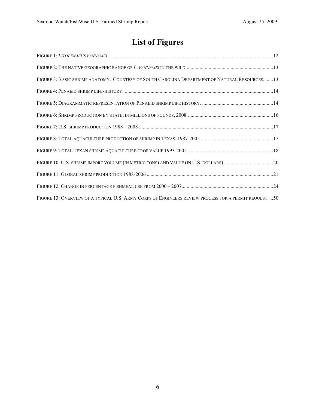# **List of Figures**

| FIGURE 3: BASIC SHRIMP ANATOMY. COURTESY OF SOUTH CAROLINA DEPARTMENT OF NATURAL RESOURCES.  13        |  |
|--------------------------------------------------------------------------------------------------------|--|
|                                                                                                        |  |
|                                                                                                        |  |
|                                                                                                        |  |
|                                                                                                        |  |
|                                                                                                        |  |
|                                                                                                        |  |
|                                                                                                        |  |
|                                                                                                        |  |
|                                                                                                        |  |
| FIGURE 13: OVERVIEW OF A TYPICAL U.S. ARMY CORPS OF ENGINEERS REVIEW PROCESS FOR A PERMIT REQUEST.  50 |  |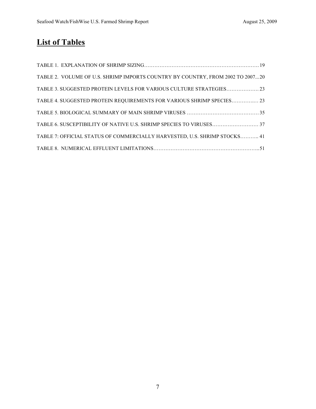# **List of Tables**

| TABLE 2. VOLUME OF U.S. SHRIMP IMPORTS COUNTRY BY COUNTRY, FROM 2002 TO 200720 |
|--------------------------------------------------------------------------------|
| TABLE 3. SUGGESTED PROTEIN LEVELS FOR VARIOUS CULTURE STRATEGIES 23            |
| TABLE 4. SUGGESTED PROTEIN REQUIREMENTS FOR VARIOUS SHRIMP SPECIES 23          |
|                                                                                |
|                                                                                |
| TABLE 7: OFFICIAL STATUS OF COMMERCIALLY HARVESTED, U.S. SHRIMP STOCKS 41      |
|                                                                                |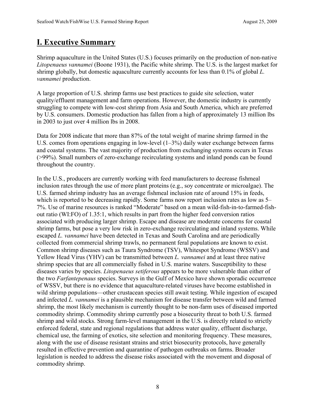## **I. Executive Summary**

Shrimp aquaculture in the United States (U.S.) focuses primarily on the production of non-native *Litopenaeus vannamei* (Boone 1931), the Pacific white shrimp. The U.S. is the largest market for shrimp globally, but domestic aquaculture currently accounts for less than 0.1% of global *L. vannamei* production.

A large proportion of U.S. shrimp farms use best practices to guide site selection, water quality/effluent management and farm operations. However, the domestic industry is currently struggling to compete with low-cost shrimp from Asia and South America, which are preferred by U.S. consumers. Domestic production has fallen from a high of approximately 13 million lbs in 2003 to just over 4 million lbs in 2008.

Data for 2008 indicate that more than 87% of the total weight of marine shrimp farmed in the U.S. comes from operations engaging in low-level (1–3%) daily water exchange between farms and coastal systems. The vast majority of production from exchanging systems occurs in Texas (>99%). Small numbers of zero-exchange recirculating systems and inland ponds can be found throughout the country.

In the U.S., producers are currently working with feed manufacturers to decrease fishmeal inclusion rates through the use of more plant proteins (e.g., soy concentrate or microalgae). The U.S. farmed shrimp industry has an average fishmeal inclusion rate of around 15% in feeds, which is reported to be decreasing rapidly. Some farms now report inclusion rates as low as 5– 7%. Use of marine resources is ranked "Moderate" based on a mean wild-fish-in-to-farmed-fishout ratio (WI:FO) of 1.35:1, which results in part from the higher feed conversion ratios associated with producing larger shrimp. Escape and disease are moderate concerns for coastal shrimp farms, but pose a very low risk in zero-exchange recirculating and inland systems. While escaped *L. vannamei* have been detected in Texas and South Carolina and are periodically collected from commercial shrimp trawls, no permanent feral populations are known to exist. Common shrimp diseases such as Taura Syndrome (TSV), Whitespot Syndrome (WSSV) and Yellow Head Virus (YHV) can be transmitted between *L. vannamei* and at least three native shrimp species that are all commercially fished in U.S. marine waters. Susceptibility to these diseases varies by species. *Litopenaeus setiferous* appears to be more vulnerable than either of the two *Farfantepenaus* species. Surveys in the Gulf of Mexico have shown sporadic occurrence of WSSV, but there is no evidence that aquaculture-related viruses have become established in wild shrimp populations—other crustacean species still await testing. While ingestion of escaped and infected *L. vannamei* is a plausible mechanism for disease transfer between wild and farmed shrimp, the most likely mechanism is currently thought to be non-farm uses of diseased imported commodity shrimp. Commodity shrimp currently pose a biosecurity threat to both U.S. farmed shrimp and wild stocks. Strong farm-level management in the U.S. is directly related to strictly enforced federal, state and regional regulations that address water quality, effluent discharge, chemical use, the farming of exotics, site selection and monitoring frequency. These measures, along with the use of disease resistant strains and strict biosecurity protocols, have generally resulted in effective prevention and quarantine of pathogen outbreaks on farms. Broader legislation is needed to address the disease risks associated with the movement and disposal of commodity shrimp.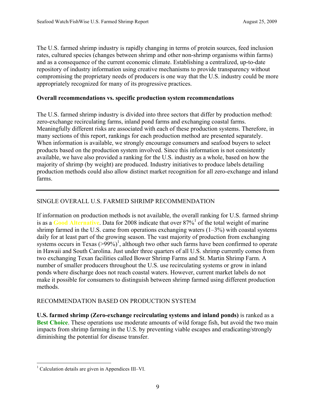The U.S. farmed shrimp industry is rapidly changing in terms of protein sources, feed inclusion rates, cultured species (changes between shrimp and other non-shrimp organisms within farms) and as a consequence of the current economic climate. Establishing a centralized, up-to-date repository of industry information using creative mechanisms to provide transparency without compromising the proprietary needs of producers is one way that the U.S. industry could be more appropriately recognized for many of its progressive practices.

#### **Overall recommendations vs. specific production system recommendations**

The U.S. farmed shrimp industry is divided into three sectors that differ by production method: zero-exchange recirculating farms, inland pond farms and exchanging coastal farms. Meaningfully different risks are associated with each of these production systems. Therefore, in many sections of this report, rankings for each production method are presented separately. When information is available, we strongly encourage consumers and seafood buyers to select products based on the production system involved. Since this information is not consistently available, we have also provided a ranking for the U.S. industry as a whole, based on how the majority of shrimp (by weight) are produced. Industry initiatives to produce labels detailing production methods could also allow distinct market recognition for all zero-exchange and inland farms.

#### SINGLE OVERALL U.S. FARMED SHRIMP RECOMMENDATION

If information on production methods is not available, the overall ranking for U.S. farmed shrimp is as a Good Alternative. Data for 2008 indicate that over 87%<sup>1</sup> of the total weight of marine shrimp farmed in the U.S. came from operations exchanging waters  $(1-3\%)$  with coastal systems daily for at least part of the growing season. The vast majority of production from exchanging systems occurs in Texas  $(>\frac{99}{6})^1$ , although two other such farms have been confirmed to operate in Hawaii and South Carolina. Just under three quarters of all U.S. shrimp currently comes from two exchanging Texan facilities called Bower Shrimp Farms and St. Martin Shrimp Farm. A number of smaller producers throughout the U.S. use recirculating systems or grow in inland ponds where discharge does not reach coastal waters. However, current market labels do not make it possible for consumers to distinguish between shrimp farmed using different production methods.

#### RECOMMENDATION BASED ON PRODUCTION SYSTEM

**U.S. farmed shrimp (Zero-exchange recirculating systems and inland ponds)** is ranked as a **Best Choice**. These operations use moderate amounts of wild forage fish, but avoid the two main impacts from shrimp farming in the U.S. by preventing viable escapes and eradicating/strongly diminishing the potential for disease transfer.

 $\overline{a}$ 

<sup>&</sup>lt;sup>1</sup> Calculation details are given in Appendices III–VI.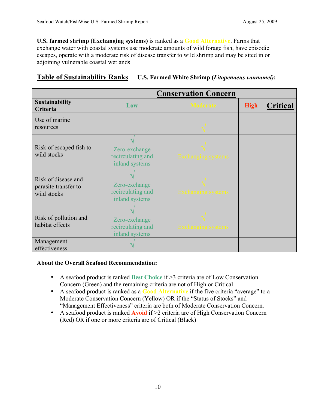**U.S. farmed shrimp (Exchanging systems)** is ranked as a **Good Alternative**. Farms that exchange water with coastal systems use moderate amounts of wild forage fish, have episodic escapes, operate with a moderate risk of disease transfer to wild shrimp and may be sited in or adjoining vulnerable coastal wetlands

|  | Table of Sustainability Ranks - U.S. Farmed White Shrimp (Litopenaeus vannamei): |  |
|--|----------------------------------------------------------------------------------|--|
|  |                                                                                  |  |

|                                                            | <b>Conservation Concern</b>                          |                           |             |          |
|------------------------------------------------------------|------------------------------------------------------|---------------------------|-------------|----------|
| <b>Sustainability</b><br>Criteria                          | Low                                                  | <b>Moderate</b>           | <b>High</b> | Critical |
| Use of marine<br>resources                                 |                                                      |                           |             |          |
| Risk of escaped fish to<br>wild stocks                     | Zero-exchange<br>recirculating and<br>inland systems | Exchanging systems        |             |          |
| Risk of disease and<br>parasite transfer to<br>wild stocks | Zero-exchange<br>recirculating and<br>inland systems | <b>Exchanging systems</b> |             |          |
| Risk of pollution and<br>habitat effects                   | Zero-exchange<br>recirculating and<br>inland systems | Exchanging systems        |             |          |
| Management<br>effectiveness                                |                                                      |                           |             |          |

#### **About the Overall Seafood Recommendation:**

- A seafood product is ranked **Best Choice** if >3 criteria are of Low Conservation Concern (Green) and the remaining criteria are not of High or Critical
- A seafood product is ranked as a **Good Alternative** if the five criteria "average" to a Moderate Conservation Concern (Yellow) OR if the "Status of Stocks" and "Management Effectiveness" criteria are both of Moderate Conservation Concern.
- A seafood product is ranked **Avoid** if  $\geq 2$  criteria are of High Conservation Concern (Red) OR if one or more criteria are of Critical (Black)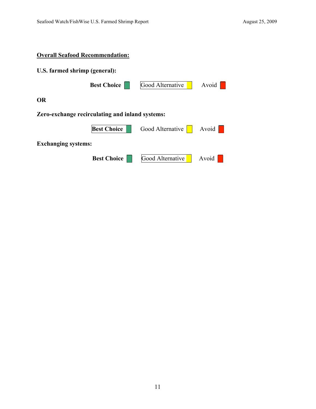# **Overall Seafood Recommendation: U.S. farmed shrimp (general):**

**Best Choice** Good Alternative Avoid **OR Zero-exchange recirculating and inland systems: Best Choice** Good Alternative Avoid **Exchanging systems: Best Choice** Good Alternative Avoid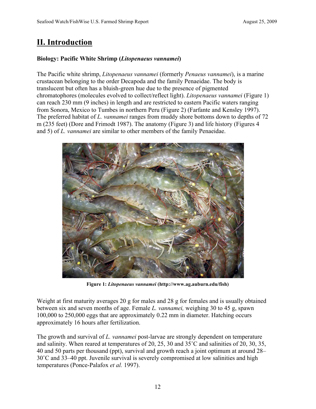## **II. Introduction**

#### **Biology: Pacific White Shrimp (***Litopenaeus vannamei***)**

The Pacific white shrimp, *Litopenaeus vannamei* (formerly *Penaeus vannamei*), is a marine crustacean belonging to the order Decapoda and the family Penaeidae. The body is translucent but often has a bluish-green hue due to the presence of pigmented chromatophores (molecules evolved to collect/reflect light). *Litopenaeus vannamei* (Figure 1) can reach 230 mm (9 inches) in length and are restricted to eastern Pacific waters ranging from Sonora, Mexico to Tumbes in northern Peru (Figure 2) (Farfante and Kensley 1997). The preferred habitat of *L. vannamei* ranges from muddy shore bottoms down to depths of 72 m (235 feet) (Dore and Frimodt 1987). The anatomy (Figure 3) and life history (Figures 4 and 5) of *L. vannamei* are similar to other members of the family Penaeidae.



**Figure 1:** *Litopenaeus vannamei* **(http://www.ag.auburn.edu/fish)**

Weight at first maturity averages 20 g for males and 28 g for females and is usually obtained between six and seven months of age. Female *L. vannamei,* weighing 30 to 45 g, spawn 100,000 to 250,000 eggs that are approximately 0.22 mm in diameter. Hatching occurs approximately 16 hours after fertilization.

The growth and survival of *L. vannamei* post-larvae are strongly dependent on temperature and salinity. When reared at temperatures of 20, 25, 30 and 35˚C and salinities of 20, 30, 35, 40 and 50 parts per thousand (ppt), survival and growth reach a joint optimum at around 28– 30˚C and 33–40 ppt. Juvenile survival is severely compromised at low salinities and high temperatures (Ponce-Palafox *et al.* 1997).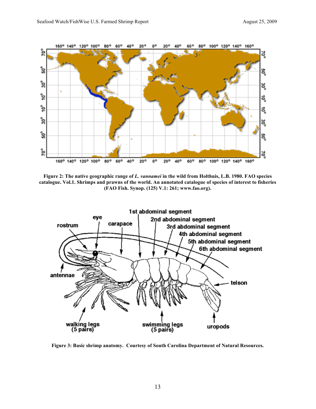

**Figure 2: The native geographic range of** *L. vannamei* **in the wild from Holthuis, L.B. 1980. FAO species catalogue. Vol.1. Shrimps and prawns of the world. An annotated catalogue of species of interest to fisheries (FAO Fish. Synop. (125) V.1: 261; www.fao.org).**



**Figure 3: Basic shrimp anatomy. Courtesy of South Carolina Department of Natural Resources.**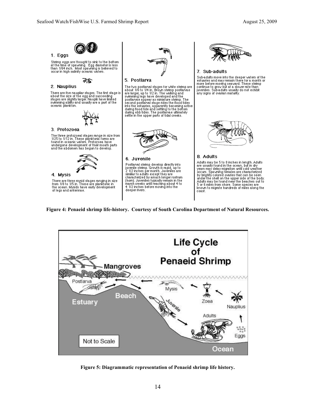

**Figure 4: Penaeid shrimp life-history. Courtesy of South Carolina Department of Natural Resources.**



**Figure 5: Diagrammatic representation of Penaeid shrimp life history.**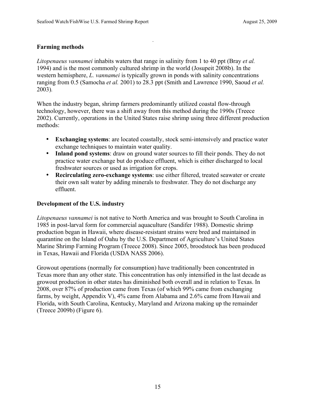#### **Farming methods**

*Litopenaeus vannamei* inhabits waters that range in salinity from 1 to 40 ppt (Bray *et al.* 1994) and is the most commonly cultured shrimp in the world (Josupeit 2008b). In the western hemisphere, *L. vannamei* is typically grown in ponds with salinity concentrations ranging from 0.5 (Samocha *et al.* 2001) to 28.3 ppt (Smith and Lawrence 1990, Saoud *et al.* 2003)*.* 

.

When the industry began, shrimp farmers predominantly utilized coastal flow-through technology, however, there was a shift away from this method during the 1990s (Treece 2002). Currently, operations in the United States raise shrimp using three different production methods:

- **Exchanging systems**: are located coastally, stock semi-intensively and practice water exchange techniques to maintain water quality.
- **Inland pond systems**: draw on ground water sources to fill their ponds. They do not practice water exchange but do produce effluent, which is either discharged to local freshwater sources or used as irrigation for crops.
- **Recirculating zero-exchange systems**: use either filtered, treated seawater or create their own salt water by adding minerals to freshwater. They do not discharge any effluent.

#### **Development of the U.S. industry**

*Litopenaeus vannamei* is not native to North America and was brought to South Carolina in 1985 in post-larval form for commercial aquaculture (Sandifer 1988). Domestic shrimp production began in Hawaii, where disease-resistant strains were bred and maintained in quarantine on the Island of Oahu by the U.S. Department of Agriculture's United States Marine Shrimp Farming Program (Treece 2008). Since 2005, broodstock has been produced in Texas, Hawaii and Florida (USDA NASS 2006).

Growout operations (normally for consumption) have traditionally been concentrated in Texas more than any other state. This concentration has only intensified in the last decade as growout production in other states has diminished both overall and in relation to Texas. In 2008, over 87% of production came from Texas (of which 99% came from exchanging farms, by weight, Appendix V), 4% came from Alabama and 2.6% came from Hawaii and Florida, with South Carolina, Kentucky, Maryland and Arizona making up the remainder (Treece 2009b) (Figure 6).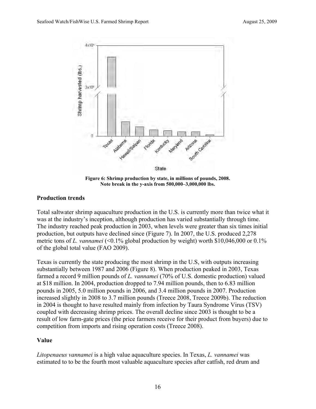

**Figure 6: Shrimp production by state, in millions of pounds, 2008. Note break in the y-axis from 500,000–3,000,000 lbs.** 

#### **Production trends**

Total saltwater shrimp aquaculture production in the U.S. is currently more than twice what it was at the industry's inception, although production has varied substantially through time. The industry reached peak production in 2003, when levels were greater than six times initial production, but outputs have declined since (Figure 7). In 2007, the U.S. produced 2,278 metric tons of *L. vannamei* (<0.1% global production by weight) worth \$10,046,000 or 0.1% of the global total value (FAO 2009).

Texas is currently the state producing the most shrimp in the U.S, with outputs increasing substantially between 1987 and 2006 (Figure 8). When production peaked in 2003, Texas farmed a record 9 million pounds of *L. vannamei* (70% of U.S. domestic production) valued at \$18 million. In 2004, production dropped to 7.94 million pounds, then to 6.83 million pounds in 2005, 5.0 million pounds in 2006, and 3.4 million pounds in 2007. Production increased slightly in 2008 to 3.7 million pounds (Treece 2008, Treece 2009b). The reduction in 2004 is thought to have resulted mainly from infection by Taura Syndrome Virus (TSV) coupled with decreasing shrimp prices. The overall decline since 2003 is thought to be a result of low farm-gate prices (the price farmers receive for their product from buyers) due to competition from imports and rising operation costs (Treece 2008).

#### **Value**

*Litopenaeus vannamei* is a high value aquaculture species. In Texas, *L. vannamei* was estimated to to be the fourth most valuable aquaculture species after catfish, red drum and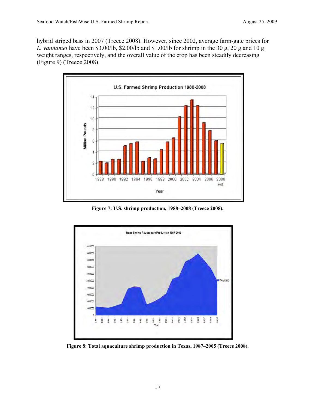hybrid striped bass in 2007 (Treece 2008). However, since 2002, average farm-gate prices for *L. vannamei* have been \$3.00/lb, \$2.00/lb and \$1.00/lb for shrimp in the 30 g, 20 g and 10 g weight ranges, respectively, and the overall value of the crop has been steadily decreasing (Figure 9) (Treece 2008).



**Figure 7: U.S. shrimp production, 1988–2008 (Treece 2008).** 



**Figure 8: Total aquaculture shrimp production in Texas, 1987–2005 (Treece 2008).**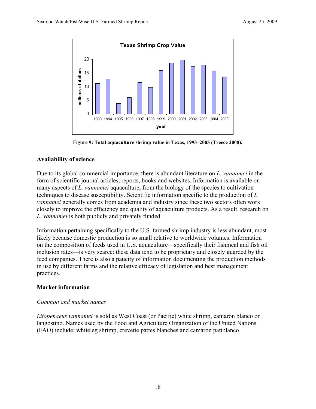

**Figure 9: Total aquaculture shrimp value in Texas, 1993–2005 (Treece 2008).**

#### **Availability of science**

Due to its global commercial importance, there is abundant literature on *L. vannamei* in the form of scientific journal articles, reports, books and websites. Information is available on many aspects of *L. vannamei* aquaculture, from the biology of the species to cultivation techniques to disease susceptibility. Scientific information specific to the production of *L. vannamei* generally comes from academia and industry since these two sectors often work closely to improve the efficiency and quality of aquaculture products. As a result. research on *L. vannamei* is both publicly and privately funded.

Information pertaining specifically to the U.S. farmed shrimp industry is less abundant, most likely because domestic production is so small relative to worldwide volumes. Information on the composition of feeds used in U.S. aquaculture—specifically their fishmeal and fish oil inclusion rates—is very scarce: these data tend to be proprietary and closely guarded by the feed companies. There is also a paucity of information documenting the production methods in use by different farms and the relative efficacy of legislation and best management practices.

#### **Market information**

#### *Common and market names*

*Litopenaeus vannamei* is sold as West Coast (or Pacific) white shrimp, camarón blanco or langostino. Names used by the Food and Agriculture Organization of the United Nations (FAO) include: whiteleg shrimp, crevette pattes blanches and camarón patiblanco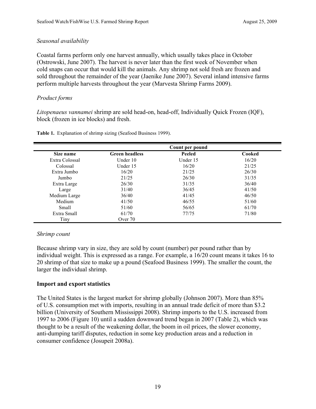#### *Seasonal availability*

Coastal farms perform only one harvest annually, which usually takes place in October (Ostrowski, June 2007). The harvest is never later than the first week of November when cold snaps can occur that would kill the animals. Any shrimp not sold fresh are frozen and sold throughout the remainder of the year (Jaenike June 2007). Several inland intensive farms perform multiple harvests throughout the year (Marvesta Shrimp Farms 2009).

#### *Product forms*

*Litopenaeus vannamei* shrimp are sold head-on, head-off, Individually Quick Frozen (IQF), block (frozen in ice blocks) and fresh.

|                |                       | Count per pound |        |
|----------------|-----------------------|-----------------|--------|
| Size name      | <b>Green headless</b> | Peeled          | Cooked |
| Extra Colossal | Under 10              | Under 15        | 16/20  |
| Colossal       | Under 15              | 16/20           | 21/25  |
| Extra Jumbo    | 16/20                 | 21/25           | 26/30  |
| Jumbo          | 21/25                 | 26/30           | 31/35  |
| Extra Large    | 26/30                 | 31/35           | 36/40  |
| Large          | 31/40                 | 36/45           | 41/50  |
| Medium Large   | 36/40                 | 41/45           | 46/50  |
| Medium         | 41/50                 | 46/55           | 51/60  |
| Small          | 51/60                 | 56/65           | 61/70  |
| Extra Small    | 61/70                 | 77/75           | 71/80  |
| Tiny           | Over 70               |                 |        |

**Table 1.** Explanation of shrimp sizing (Seafood Business 1999).

#### *Shrimp count*

Because shrimp vary in size, they are sold by count (number) per pound rather than by individual weight. This is expressed as a range. For example, a 16/20 count means it takes 16 to 20 shrimp of that size to make up a pound (Seafood Business 1999). The smaller the count, the larger the individual shrimp.

#### **Import and export statistics**

The United States is the largest market for shrimp globally (Johnson 2007). More than 85% of U.S. consumption met with imports, resulting in an annual trade deficit of more than \$3.2 billion (University of Southern Mississippi 2008). Shrimp imports to the U.S. increased from 1997 to 2006 (Figure 10) until a sudden downward trend began in 2007 (Table 2), which was thought to be a result of the weakening dollar, the boom in oil prices, the slower economy, anti-dumping tariff disputes, reduction in some key production areas and a reduction in consumer confidence (Josupeit 2008a).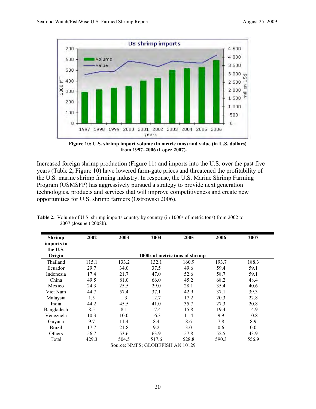

**Figure 10: U.S. shrimp import volume (in metric tons) and value (in U.S. dollars) from 1997–2006 (Lopez 2007).** 

Increased foreign shrimp production (Figure 11) and imports into the U.S. over the past five years (Table 2, Figure 10) have lowered farm-gate prices and threatened the profitability of the U.S. marine shrimp farming industry. In response, the U.S. Marine Shrimp Farming Program (USMSFP) has aggressively pursued a strategy to provide next generation technologies, products and services that will improve competitiveness and create new opportunities for U.S. shrimp farmers (Ostrowski 2006).

| <b>Shrimp</b> | 2002  | 2003  | 2004                             | 2005                           | 2006  | 2007  |
|---------------|-------|-------|----------------------------------|--------------------------------|-------|-------|
| imports to    |       |       |                                  |                                |       |       |
| the U.S.      |       |       |                                  |                                |       |       |
| Origin        |       |       |                                  | 1000s of metric tons of shrimp |       |       |
| Thailand      | 115.1 | 133.2 | 132.1                            | 160.9                          | 193.7 | 188.3 |
| Ecuador       | 29.7  | 34.0  | 37.5                             | 49.6                           | 59.4  | 59.1  |
| Indonesia     | 17.4  | 21.7  | 47.0                             | 52.6                           | 58.7  | 59.1  |
| China         | 49.5  | 81.0  | 66.0                             | 45.2                           | 68.2  | 48.4  |
| Mexico        | 24.3  | 25.5  | 29.0                             | 28.1                           | 35.4  | 40.6  |
| Viet Nam      | 44.7  | 57.4  | 37.1                             | 42.9                           | 37.1  | 39.3  |
| Malaysia      | 1.5   | 1.3   | 12.7                             | 17.2                           | 20.3  | 22.8  |
| India         | 44.2  | 45.5  | 41.0                             | 35.7                           | 27.3  | 20.8  |
| Bangladesh    | 8.5   | 8.1   | 17.4                             | 15.8                           | 19.4  | 14.9  |
| Venezuela     | 10.3  | 10.0  | 16.3                             | 11.4                           | 9.9   | 10.8  |
| Guyana        | 9.7   | 11.4  | 8.4                              | 8.6                            | 7.8   | 8.9   |
| <b>Brazil</b> | 17.7  | 21.8  | 9.2                              | 3.0                            | 0.6   | 0.0   |
| Others        | 56.7  | 53.6  | 63.9                             | 57.8                           | 52.5  | 43.9  |
| Total         | 429.3 | 504.5 | 517.6                            | 528.8                          | 590.3 | 556.9 |
|               |       |       | Source: NMFS; GLOBEFISH AN 10129 |                                |       |       |

**Table 2.** Volume of U.S. shrimp imports country by country (in 1000s of metric tons) from 2002 to 2007 (Josupeit 2008b).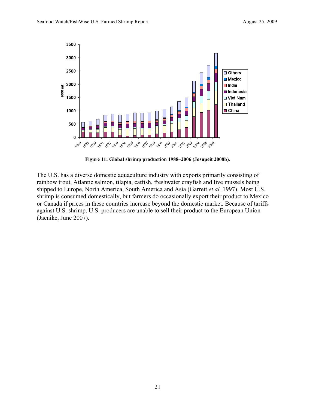

**Figure 11: Global shrimp production 1988–2006 (Josupeit 2008b).** 

The U.S. has a diverse domestic aquaculture industry with exports primarily consisting of rainbow trout, Atlantic salmon, tilapia, catfish, freshwater crayfish and live mussels being shipped to Europe, North America, South America and Asia (Garrett *et al.* 1997). Most U.S. shrimp is consumed domestically, but farmers do occasionally export their product to Mexico or Canada if prices in these countries increase beyond the domestic market. Because of tariffs against U.S. shrimp, U.S. producers are unable to sell their product to the European Union (Jaenike, June 2007).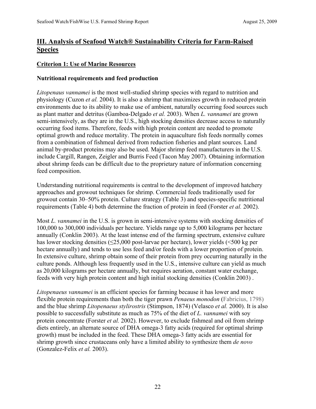#### **III. Analysis of Seafood Watch® Sustainability Criteria for Farm-Raised Species**

#### **Criterion 1: Use of Marine Resources**

#### **Nutritional requirements and feed production**

*Litopenaus vannamei* is the most well-studied shrimp species with regard to nutrition and physiology (Cuzon *et al.* 2004). It is also a shrimp that maximizes growth in reduced protein environments due to its ability to make use of ambient, naturally occurring food sources such as plant matter and detritus (Gamboa-Delgado *et al.* 2003). When *L. vannamei* are grown semi-intensively, as they are in the U.S., high stocking densities decrease access to naturally occurring food items. Therefore, feeds with high protein content are needed to promote optimal growth and reduce mortality. The protein in aquaculture fish feeds normally comes from a combination of fishmeal derived from reduction fisheries and plant sources. Land animal by-product proteins may also be used. Major shrimp feed manufacturers in the U.S. include Cargill, Rangen, Zeigler and Burris Feed (Tacon May 2007). Obtaining information about shrimp feeds can be difficult due to the proprietary nature of information concerning feed composition.

Understanding nutritional requirements is central to the development of improved hatchery approaches and growout techniques for shrimp. Commercial feeds traditionally used for growout contain 30–50% protein. Culture strategy (Table 3) and species-specific nutritional requirements (Table 4) both determine the fraction of protein in feed (Forster *et al.* 2002).

Most *L. vannamei* in the U.S. is grown in semi-intensive systems with stocking densities of 100,000 to 300,000 individuals per hectare. Yields range up to 5,000 kilograms per hectare annually (Conklin 2003). At the least intense end of the farming spectrum, extensive culture has lower stocking densities (≤25,000 post-larvae per hectare), lower yields (<500 kg per hectare annually) and tends to use less feed and/or feeds with a lower proportion of protein. In extensive culture, shrimp obtain some of their protein from prey occurring naturally in the culture ponds. Although less frequently used in the U.S., intensive culture can yield as much as 20,000 kilograms per hectare annually, but requires aeration, constant water exchange, feeds with very high protein content and high initial stocking densities (Conklin 2003) .

*Litopenaeus vannamei* is an efficient species for farming because it has lower and more flexible protein requirements than both the tiger prawn *Penaeus monodon* (Fabricius, 1798) and the blue shrimp *Litopenaeus stylirostris* (Stimpson, 1874) (Velasco *et al.* 2000). It is also possible to successfully substitute as much as 75% of the diet of *L. vannamei* with soy protein concentrate (Forster *et al.* 2002). However, to exclude fishmeal and oil from shrimp diets entirely, an alternate source of DHA omega-3 fatty acids (required for optimal shrimp growth) must be included in the feed. These DHA omega-3 fatty acids are essential for shrimp growth since crustaceans only have a limited ability to synthesize them *de novo* (Gonzalez-Felix *et al.* 2003).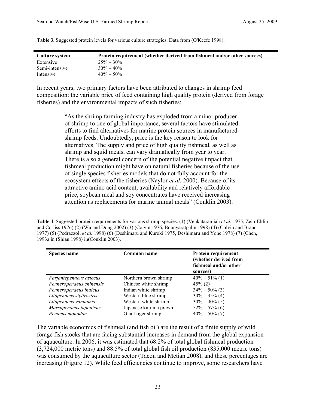| Culture system | Protein requirement (whether derived from fishmeal and/or other sources) |
|----------------|--------------------------------------------------------------------------|
| Extensive      | $25\% - 30\%$                                                            |
| Semi-intensive | $30\% - 40\%$                                                            |
| Intensive      | $40\% - 50\%$                                                            |

**Table 3.** Suggested protein levels for various culture strategies. Data from (O'Keefe 1998).

In recent years, two primary factors have been attributed to changes in shrimp feed composition: the variable price of feed containing high quality protein (derived from forage fisheries) and the environmental impacts of such fisheries:

> "As the shrimp farming industry has exploded from a minor producer of shrimp to one of global importance, several factors have stimulated efforts to find alternatives for marine protein sources in manufactured shrimp feeds. Undoubtedly, price is the key reason to look for alternatives. The supply and price of high quality fishmeal, as well as shrimp and squid meals, can vary dramatically from year to year. There is also a general concern of the potential negative impact that fishmeal production might have on natural fisheries because of the use of single species fisheries models that do not fully account for the ecosystem effects of the fisheries (Naylor *et al.* 2000). Because of its attractive amino acid content, availability and relatively affordable price, soybean meal and soy concentrates have received increasing attention as replacements for marine animal meals" (Conklin 2003).

**Table 4**. Suggested protein requirements for various shrimp species. (1) (Venkataramiah *et al.* 1975, Zein-Eldin and Corliss 1976) (2) (Wu and Dong 2002) (3) (Colvin 1976, Boonyaratpalin 1998) (4) (Colvin and Brand 1977) (5) (Pedrazzoli *et al.* 1998) (6) (Deshimaru and Kuroki 1975, Deshimaru and Yone 1978) (7) (Chen, 1993a in (Shiau 1998) in(Conklin 2003).

| <b>Species name</b>      | Common name           | Protein requirement<br>(whether derived from<br>fishmeal and/or other<br>sources) |
|--------------------------|-----------------------|-----------------------------------------------------------------------------------|
| Farfantepenaeus aztecus  | Northern brown shrimp | $40\% - 51\%$ (1)                                                                 |
| Fenneropenaeus chinensis | Chinese white shrimp  | $45\%$ (2)                                                                        |
| Fenneropenaeus indicus   | Indian white shrimp   | $34\% - 50\%$ (3)                                                                 |
| Litopenaeus stylirostris | Western blue shrimp   | $30\% - 35\%$ (4)                                                                 |
| Litopenaeus vannamei     | Western white shrimp  | $30\% - 40\%$ (5)                                                                 |
| Marsupenaeus japonicus   | Japanese kuruma prawn | $52\% - 57\%$ (6)                                                                 |
| Penaeus monodon          | Giant tiger shrimp    | $40\% - 50\%$ (7)                                                                 |

The variable economics of fishmeal (and fish oil) are the result of a finite supply of wild forage fish stocks that are facing substantial increases in demand from the global expansion of aquaculture. In 2006, it was estimated that 68.2% of total global fishmeal production (3,724,000 metric tons) and 88.5% of total global fish oil production (835,000 metric tons) was consumed by the aquaculture sector (Tacon and Metian 2008), and these percentages are increasing (Figure 12). While feed efficiencies continue to improve, some researchers have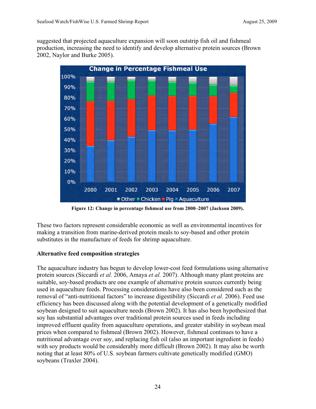suggested that projected aquaculture expansion will soon outstrip fish oil and fishmeal production, increasing the need to identify and develop alternative protein sources (Brown 2002, Naylor and Burke 2005).



**Figure 12: Change in percentage fishmeal use from 2000–2007 (Jackson 2009).**

These two factors represent considerable economic as well as environmental incentives for making a transition from marine-derived protein meals to soy-based and other protein substitutes in the manufacture of feeds for shrimp aquaculture.

#### **Alternative feed composition strategies**

The aquaculture industry has begun to develop lower-cost feed formulations using alternative protein sources (Siccardi *et al.* 2006, Amaya *et al.* 2007). Although many plant proteins are suitable, soy-based products are one example of alternative protein sources currently being used in aquaculture feeds. Processing considerations have also been considered such as the removal of "anti-nutritional factors" to increase digestibility (Siccardi *et al.* 2006). Feed use efficiency has been discussed along with the potential development of a genetically modified soybean designed to suit aquaculture needs (Brown 2002). It has also been hypothesized that soy has substantial advantages over traditional protein sources used in feeds including improved effluent quality from aquaculture operations, and greater stability in soybean meal prices when compared to fishmeal (Brown 2002). However, fishmeal continues to have a nutritional advantage over soy, and replacing fish oil (also an important ingredient in feeds) with soy products would be considerably more difficult (Brown 2002). It may also be worth noting that at least 80% of U.S. soybean farmers cultivate genetically modified (GMO) soybeans (Traxler 2004).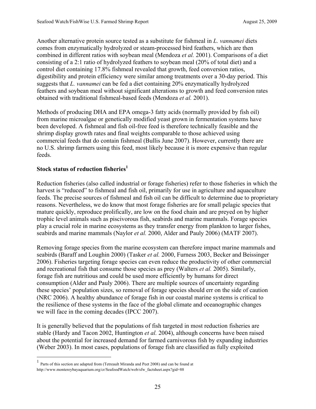Another alternative protein source tested as a substitute for fishmeal in *L. vannamei* diets comes from enzymatically hydrolyzed or steam-processed bird feathers, which are then combined in different ratios with soybean meal (Mendoza *et al.* 2001). Comparisons of a diet consisting of a 2:1 ratio of hydrolyzed feathers to soybean meal (20% of total diet) and a control diet containing 17.8% fishmeal revealed that growth, feed conversion ratios, digestibility and protein efficiency were similar among treatments over a 30-day period. This suggests that *L. vannamei* can be fed a diet containing 20% enzymatically hydrolyzed feathers and soybean meal without significant alterations to growth and feed conversion rates obtained with traditional fishmeal-based feeds (Mendoza *et al.* 2001).

Methods of producing DHA and EPA omega-3 fatty acids (normally provided by fish oil) from marine microalgae or genetically modified yeast grown in fermentation systems have been developed. A fishmeal and fish oil-free feed is therefore technically feasible and the shrimp display growth rates and final weights comparable to those achieved using commercial feeds that do contain fishmeal (Bullis June 2007). However, currently there are no U.S. shrimp farmers using this feed, most likely because it is more expensive than regular feeds.

#### **Stock status of reduction fisheries<sup>1</sup>**

Reduction fisheries (also called industrial or forage fisheries) refer to those fisheries in which the harvest is "reduced" to fishmeal and fish oil, primarily for use in agriculture and aquaculture feeds. The precise sources of fishmeal and fish oil can be difficult to determine due to proprietary reasons. Nevertheless, we do know that most forage fisheries are for small pelagic species that mature quickly, reproduce prolifically, are low on the food chain and are preyed on by higher trophic level animals such as piscivorous fish, seabirds and marine mammals. Forage species play a crucial role in marine ecosystems as they transfer energy from plankton to larger fishes, seabirds and marine mammals (Naylor *et al.* 2000, Alder and Pauly 2006) (MATF 2007).

Removing forage species from the marine ecosystem can therefore impact marine mammals and seabirds (Baraff and Loughin 2000) (Tasker *et al.* 2000, Furness 2003, Becker and Beissinger 2006). Fisheries targeting forage species can even reduce the productivity of other commercial and recreational fish that consume those species as prey (Walters *et al.* 2005). Similarly, forage fish are nutritious and could be used more efficiently by humans for direct consumption (Alder and Pauly 2006). There are multiple sources of uncertainty regarding these species' population sizes, so removal of forage species should err on the side of caution (NRC 2006). A healthy abundance of forage fish in our coastal marine systems is critical to the resilience of these systems in the face of the global climate and oceanographic changes we will face in the coming decades (IPCC 2007).

It is generally believed that the populations of fish targeted in most reduction fisheries are stable (Hardy and Tacon 2002, Huntington *et al.* 2004), although concerns have been raised about the potential for increased demand for farmed carnivorous fish by expanding industries (Weber 2003). In most cases, populations of forage fish are classified as fully exploited

 1 Parts of this section are adapted from (Tetreault Miranda and Peet 2008) and can be found at http://www.montereybayaquarium.org/cr/SeafoodWatch/web/sfw\_factsheet.aspx?gid=88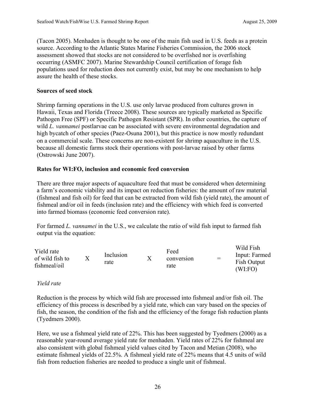$W(1,1)$ 

(Tacon 2005). Menhaden is thought to be one of the main fish used in U.S. feeds as a protein source. According to the Atlantic States Marine Fisheries Commission, the 2006 stock assessment showed that stocks are not considered to be overfished nor is overfishing occurring (ASMFC 2007). Marine Stewardship Council certification of forage fish populations used for reduction does not currently exist, but may be one mechanism to help assure the health of these stocks.

#### **Sources of seed stock**

Shrimp farming operations in the U.S. use only larvae produced from cultures grown in Hawaii, Texas and Florida (Treece 2008). These sources are typically marketed as Specific Pathogen Free (SPF) or Specific Pathogen Resistant (SPR). In other countries, the capture of wild *L. vannamei* postlarvae can be associated with severe environmental degradation and high bycatch of other species (Paez-Osuna 2001), but this practice is now mostly redundant on a commercial scale. These concerns are non-existent for shrimp aquaculture in the U.S. because all domestic farms stock their operations with post-larvae raised by other farms (Ostrowski June 2007).

#### **Rates for WI:FO, inclusion and economic feed conversion**

There are three major aspects of aquaculture feed that must be considered when determining a farm's economic viability and its impact on reduction fisheries: the amount of raw material (fishmeal and fish oil) for feed that can be extracted from wild fish (yield rate), the amount of fishmeal and/or oil in feeds (inclusion rate) and the efficiency with which feed is converted into farmed biomass (economic feed conversion rate).

For farmed *L. vannamei* in the U.S., we calculate the ratio of wild fish input to farmed fish output via the equation:

| Yield rate<br>of wild fish to<br>fishmeal/oil | Inclusion<br>rate | Feed<br>conversion<br>rate | $\qquad \qquad =$ | Wild Fish<br>Input: Farmed<br>Fish Output<br>(WI:FO) |
|-----------------------------------------------|-------------------|----------------------------|-------------------|------------------------------------------------------|
|                                               |                   |                            |                   |                                                      |

#### *Yield rate*

Reduction is the process by which wild fish are processed into fishmeal and/or fish oil. The efficiency of this process is described by a yield rate, which can vary based on the species of fish, the season, the condition of the fish and the efficiency of the forage fish reduction plants (Tyedmers 2000).

Here, we use a fishmeal yield rate of 22%. This has been suggested by Tyedmers (2000) as a reasonable year-round average yield rate for menhaden. Yield rates of 22% for fishmeal are also consistent with global fishmeal yield values cited by Tacon and Metian (2008), who estimate fishmeal yields of 22.5%. A fishmeal yield rate of 22% means that 4.5 units of wild fish from reduction fisheries are needed to produce a single unit of fishmeal.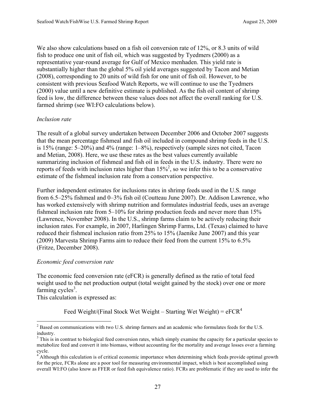We also show calculations based on a fish oil conversion rate of 12%, or 8.3 units of wild fish to produce one unit of fish oil, which was suggested by Tyedmers (2000) as a representative year-round average for Gulf of Mexico menhaden. This yield rate is substantially higher than the global 5% oil yield averages suggested by Tacon and Metian (2008), corresponding to 20 units of wild fish for one unit of fish oil. However, to be consistent with previous Seafood Watch Reports, we will continue to use the Tyedmers (2000) value until a new definitive estimate is published. As the fish oil content of shrimp feed is low, the difference between these values does not affect the overall ranking for U.S. farmed shrimp (see WI:FO calculations below).

#### *Inclusion rate*

The result of a global survey undertaken between December 2006 and October 2007 suggests that the mean percentage fishmeal and fish oil included in compound shrimp feeds in the U.S. is 15% (range: 5–20%) and 4% (range: 1–8%), respectively (sample sizes not cited, Tacon and Metian, 2008). Here, we use these rates as the best values currently available summarizing inclusion of fishmeal and fish oil in feeds in the U.S. industry. There were no reports of feeds with inclusion rates higher than  $15\%^2$ , so we infer this to be a conservative estimate of the fishmeal inclusion rate from a conservation perspective.

Further independent estimates for inclusions rates in shrimp feeds used in the U.S. range from 6.5–25% fishmeal and 0–3% fish oil (Coutteau June 2007). Dr. Addison Lawrence, who has worked extensively with shrimp nutrition and formulates industrial feeds, uses an average fishmeal inclusion rate from 5–10% for shrimp production feeds and never more than 15% (Lawrence, November 2008). In the U.S., shrimp farms claim to be actively reducing their inclusion rates. For example, in 2007, Harlingen Shrimp Farms, Ltd. (Texas) claimed to have reduced their fishmeal inclusion ratio from 25% to 15% (Jaenike June 2007) and this year (2009) Marvesta Shrimp Farms aim to reduce their feed from the current 15% to 6.5% (Fritze, December 2008).

#### *Economic feed conversion rate*

The economic feed conversion rate (eFCR) is generally defined as the ratio of total feed weight used to the net production output (total weight gained by the stock) over one or more farming cycles<sup>3</sup>.

This calculation is expressed as:

 $\overline{a}$ 

Feed Weight/(Final Stock Wet Weight – Starting Wet Weight) =  $e$ FCR<sup>4</sup>

 $2^{2}$  Based on communications with two U.S. shrimp farmers and an academic who formulates feeds for the U.S. industry.

 $3$  This is in contrast to biological feed conversion rates, which simply examine the capacity for a particular species to metabolize feed and convert it into biomass, without accounting for the mortality and average losses over a farming cycle.

<sup>&</sup>lt;sup>4</sup> Although this calculation is of critical economic importance when determining which feeds provide optimal growth for the price, FCRs alone are a poor tool for measuring environmental impact, which is best accomplished using overall WI:FO (also know as FFER or feed fish equivalence ratio). FCRs are problematic if they are used to infer the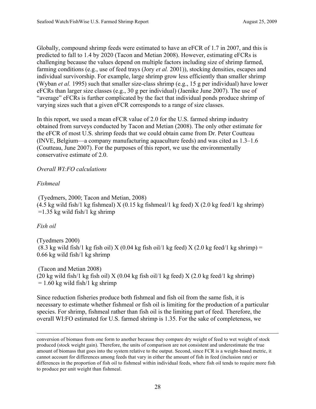Globally, compound shrimp feeds were estimated to have an eFCR of 1.7 in 2007, and this is predicted to fall to 1.4 by 2020 (Tacon and Metian 2008). However, estimating eFCRs is challenging because the values depend on multiple factors including size of shrimp farmed, farming conditions (e.g., use of feed trays (Jory *et al.* 2001)), stocking densities, escapes and individual survivorship. For example, large shrimp grow less efficiently than smaller shrimp (Wyban *et al.* 1995) such that smaller size-class shrimp (e.g., 15 g per individual) have lower eFCRs than larger size classes (e.g., 30 g per individual) (Jaenike June 2007). The use of "average" eFCRs is further complicated by the fact that individual ponds produce shrimp of varying sizes such that a given eFCR corresponds to a range of size classes.

In this report, we used a mean eFCR value of 2.0 for the U.S. farmed shrimp industry obtained from surveys conducted by Tacon and Metian (2008). The only other estimate for the eFCR of most U.S. shrimp feeds that we could obtain came from Dr. Peter Coutteau (INVE, Belgium—a company manufacturing aquaculture feeds) and was cited as 1.3–1.6 (Coutteau, June 2007). For the purposes of this report, we use the environmentally conservative estimate of 2.0.

#### *Overall WI:FO calculations*

#### *Fishmeal*

 (Tyedmers, 2000; Tacon and Metian, 2008)  $(4.5 \text{ kg} \text{ wild fish}/1 \text{ kg fish}$  fishmeal) X  $(0.15 \text{ kg fish} \text{m}$ eal/1 kg feed) X  $(2.0 \text{ kg feed}/1 \text{ kg shrink})$  $=1.35$  kg wild fish/1 kg shrimp

#### *Fish oil*

 $\overline{a}$ 

(Tyedmers 2000)  $(8.3 \text{ kg} \text{ wild fish/1 kg fish oil}) \times (0.04 \text{ kg fish oil/1 kg feed}) \times (2.0 \text{ kg feed/1 kg shrink}) =$ 0.66 kg wild fish/1 kg shrimp

 (Tacon and Metian 2008) (20 kg wild fish/1 kg fish oil)  $X$  (0.04 kg fish oil/1 kg feed)  $X$  (2.0 kg feed/1 kg shrimp)  $= 1.60$  kg wild fish/1 kg shrimp

Since reduction fisheries produce both fishmeal and fish oil from the same fish, it is necessary to estimate whether fishmeal or fish oil is limiting for the production of a particular species. For shrimp, fishmeal rather than fish oil is the limiting part of feed. Therefore, the overall WI:FO estimated for U.S. farmed shrimp is 1.35. For the sake of completeness, we

conversion of biomass from one form to another because they compare dry weight of feed to wet weight of stock produced (stock weight gain). Therefore, the units of comparison are not consistent and underestimate the true amount of biomass that goes into the system relative to the output. Second, since FCR is a weight-based metric, it cannot account for differences among feeds that vary in either the amount of fish in feed (inclusion rate) or differences in the proportion of fish oil to fishmeal within individual feeds, where fish oil tends to require more fish to produce per unit weight than fishmeal.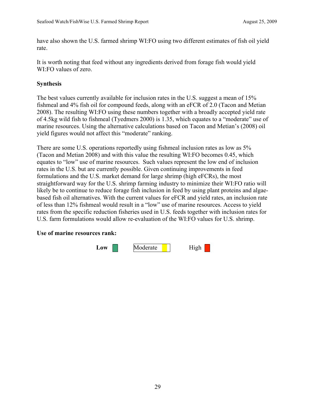have also shown the U.S. farmed shrimp WI:FO using two different estimates of fish oil yield rate.

It is worth noting that feed without any ingredients derived from forage fish would yield WI:FO values of zero.

#### **Synthesis**

The best values currently available for inclusion rates in the U.S. suggest a mean of 15% fishmeal and 4% fish oil for compound feeds, along with an eFCR of 2.0 (Tacon and Metian 2008). The resulting WI:FO using these numbers together with a broadly accepted yield rate of 4.5kg wild fish to fishmeal (Tyedmers 2000) is 1.35, which equates to a "moderate" use of marine resources. Using the alternative calculations based on Tacon and Metian's (2008) oil yield figures would not affect this "moderate" ranking.

There are some U.S. operations reportedly using fishmeal inclusion rates as low as 5% (Tacon and Metian 2008) and with this value the resulting WI:FO becomes 0.45, which equates to "low" use of marine resources. Such values represent the low end of inclusion rates in the U.S. but are currently possible. Given continuing improvements in feed formulations and the U.S. market demand for large shrimp (high eFCRs), the most straightforward way for the U.S. shrimp farming industry to minimize their WI:FO ratio will likely be to continue to reduce forage fish inclusion in feed by using plant proteins and algaebased fish oil alternatives. With the current values for eFCR and yield rates, an inclusion rate of less than 12% fishmeal would result in a "low" use of marine resources. Access to yield rates from the specific reduction fisheries used in U.S. feeds together with inclusion rates for U.S. farm formulations would allow re-evaluation of the WI:FO values for U.S. shrimp.

#### **Use of marine resources rank:**

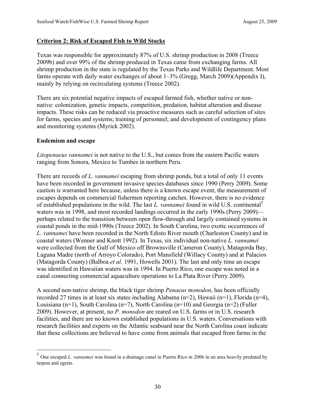#### **Criterion 2: Risk of Escaped Fish to Wild Stocks**

Texas was responsible for approximately 87% of U.S. shrimp production in 2008 (Treece 2009b) and over 99% of the shrimp produced in Texas came from exchanging farms. All shrimp production in the state is regulated by the Texas Parks and Wildlife Department. Most farms operate with daily water exchanges of about 1–3% (Gregg, March 2009)(Appendix I), mainly by relying on recirculating systems (Treece 2002).

There are six potential negative impacts of escaped farmed fish, whether native or nonnative: colonization, genetic impacts, competition, predation, habitat alteration and disease impacts. These risks can be reduced via proactive measures such as careful selection of sites for farms, species and systems; training of personnel; and development of contingency plans and monitoring systems (Myrick 2002).

#### **Endemism and escape**

 $\overline{a}$ 

*Litopenaeus vannamei* is not native to the U.S., but comes from the eastern Pacific waters ranging from Sonora, Mexico to Tumbes in northern Peru.

There are records of *L. vannamei* escaping from shrimp ponds, but a total of only 11 events have been recorded in government invasive species databases since 1990 (Perry 2009). Some caution is warranted here because, unless there is a known escape event, the measurement of escapes depends on commercial fishermen reporting catches. However, there is no evidence of established populations in the wild. The last *L. vannamei* found in wild U.S. continental<sup>5</sup> waters was in 1998, and most recorded landings occurred in the early 1990s (Perry 2009) perhaps related to the transition between open flow-through and largely contained systems in coastal ponds in the mid-1990s (Treece 2002). In South Carolina, two exotic occurrences of *L. vannamei* have been recorded in the North Edisto River mouth (Charleston County) and in coastal waters (Wenner and Knott 1992). In Texas, six individual non-native *L. vannamei* were collected from the Gulf of Mexico off Brownsville (Cameron County), Matagorda Bay, Laguna Madre (north of Arroyo Colorado), Port Mansfield (Willacy County) and at Palacios (Matagorda County) (Balboa *et al.* 1991, Howells 2001). The last and only time an escape was identified in Hawaiian waters was in 1994. In Puerto Rico, one escape was noted in a canal connecting commercial aquaculture operations to La Plata River (Perry 2009).

A second non-native shrimp, the black tiger shrimp *Penaeus monodon*, has been officially recorded 27 times in at least six states including Alabama (n=2), Hawaii (n=1), Florida (n=4), Louisiana (n=1), South Carolina (n=7), North Carolina (n=10) and Georgia (n=2) (Fuller 2009). However, at present, no *P. monodon* are reared on U.S. farms or in U.S. research facilities, and there are no known established populations in U.S. waters. Conversations with research facilities and experts on the Atlantic seaboard near the North Carolina coast indicate that these collections are believed to have come from animals that escaped from farms in the

<sup>5</sup> One escaped *L. vannamei* was found in a drainage canal in Puerto Rico in 2006 in an area heavily predated by tarpon and egrets.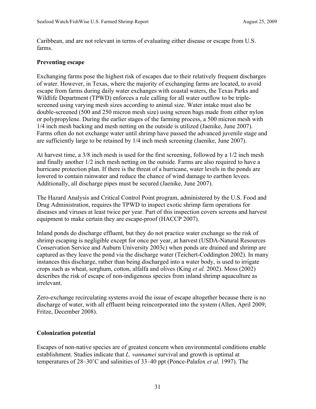Caribbean, and are not relevant in terms of evaluating either disease or escape from U.S. farms.

#### **Preventing escape**

Exchanging farms pose the highest risk of escapes due to their relatively frequent discharges of water. However, in Texas, where the majority of exchanging farms are located, to avoid escape from farms during daily water exchanges with coastal waters, the Texas Parks and Wildlife Department (TPWD) enforces a rule calling for all water outflow to be triplescreened using varying mesh sizes according to animal size. Water intake must also be double-screened (500 and 250 micron mesh size) using screen bags made from either nylon or polypropylene. During the earlier stages of the farming process, a 500 micron mesh with 1/4 inch mesh backing and mesh netting on the outside is utilized (Jaenike, June 2007). Farms often do not exchange water until shrimp have passed the advanced juvenile stage and are sufficiently large to be retained by 1/4 inch mesh screening (Jaenike, June 2007).

At harvest time, a 3/8 inch mesh is used for the first screening, followed by a 1/2 inch mesh and finally another 1/2 inch mesh netting on the outside. Farms are also required to have a hurricane protection plan. If there is the threat of a hurricane, water levels in the ponds are lowered to contain rainwater and reduce the chance of wind damage to earthen levees. Additionally, all discharge pipes must be secured (Jaenike, June 2007).

The Hazard Analysis and Critical Control Point program, administered by the U.S. Food and Drug Administration, requires the TPWD to inspect exotic shrimp farm operations for diseases and viruses at least twice per year. Part of this inspection covers screens and harvest equipment to make certain they are escape-proof (HACCP 2007).

Inland ponds do discharge effluent, but they do not practice water exchange so the risk of shrimp escaping is negligible except for once per year, at harvest (USDA-Natural Resources Conservation Service and Auburn University 2003c) when ponds are drained and shrimp are captured as they leave the pond via the discharge water (Teichert-Coddington 2002). In many instances this discharge, rather than being discharged into a water body, is used to irrigate crops such as wheat, sorghum, cotton, alfalfa and olives (King *et al.* 2002). Moss (2002) describes the risk of escape of non-indigenous species from inland shrimp aquaculture as irrelevant.

Zero-exchange recirculating systems avoid the issue of escape altogether because there is no discharge of water, with all effluent being reincorporated into the system (Allen, April 2009; Fritze, December 2008).

#### **Colonization potential**

Escapes of non-native species are of greatest concern when environmental conditions enable establishment. Studies indicate that *L. vannamei* survival and growth is optimal at temperatures of 28–30˚C and salinities of 33–40 ppt (Ponce-Palafox *et al.* 1997). The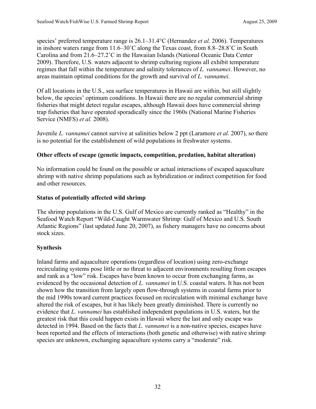species' preferred temperature range is 26.1–31.4°C (Hernandez *et al.* 2006). Temperatures in inshore waters range from 11.6–30˚C along the Texas coast, from 8.8–28.8˚C in South Carolina and from 21.6–27.2˚C in the Hawaiian Islands (National Oceanic Data Center 2009). Therefore, U.S. waters adjacent to shrimp culturing regions all exhibit temperature regimes that fall within the temperature and salinity tolerances of *L. vannamei*. However, no areas maintain optimal conditions for the growth and survival of *L. vannamei*.

Of all locations in the U.S., sea surface temperatures in Hawaii are within, but still slightly below, the species' optimum conditions. In Hawaii there are no regular commercial shrimp fisheries that might detect regular escapes, although Hawaii does have commercial shrimp trap fisheries that have operated sporadically since the 1960s (National Marine Fisheries Service (NMFS) *et al.* 2008).

Juvenile *L. vannamei* cannot survive at salinities below 2 ppt (Laramore *et al.* 2007), so there is no potential for the establishment of wild populations in freshwater systems.

#### **Other effects of escape (genetic impacts, competition, predation, habitat alteration)**

No information could be found on the possible or actual interactions of escaped aquaculture shrimp with native shrimp populations such as hybridization or indirect competition for food and other resources.

#### **Status of potentially affected wild shrimp**

The shrimp populations in the U.S. Gulf of Mexico are currently ranked as "Healthy" in the Seafood Watch Report "Wild-Caught Warmwater Shrimp: Gulf of Mexico and U.S. South Atlantic Regions" (last updated June 20, 2007), as fishery managers have no concerns about stock sizes.

#### **Synthesis**

Inland farms and aquaculture operations (regardless of location) using zero-exchange recirculating systems pose little or no threat to adjacent environments resulting from escapes and rank as a "low" risk. Escapes have been known to occur from exchanging farms, as evidenced by the occasional detection of *L. vannamei* in U.S. coastal waters. It has not been shown how the transition from largely open flow-through systems in coastal farms prior to the mid 1990s toward current practices focused on recirculation with minimal exchange have altered the risk of escapes, but it has likely been greatly diminished. There is currently no evidence that *L. vannamei* has established independent populations in U.S. waters, but the greatest risk that this could happen exists in Hawaii where the last and only escape was detected in 1994. Based on the facts that *L. vannamei* is a non-native species, escapes have been reported and the effects of interactions (both genetic and otherwise) with native shrimp species are unknown, exchanging aquaculture systems carry a "moderate" risk.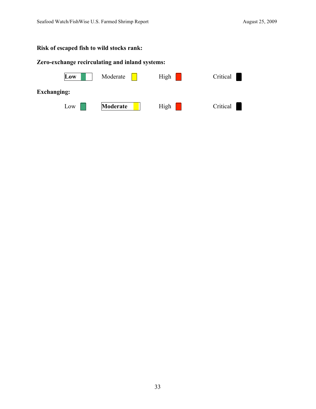#### **Risk of escaped fish to wild stocks rank:**

#### **Zero-exchange recirculating and inland systems:**

| Low                | Moderate | High | Critical |
|--------------------|----------|------|----------|
| <b>Exchanging:</b> |          |      |          |
| Low                | Moderate | High | Critical |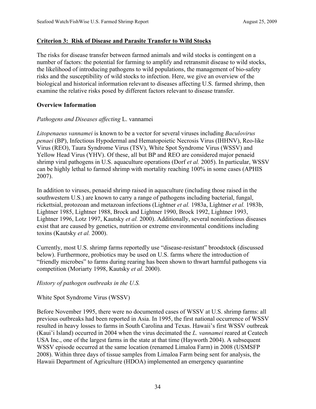#### **Criterion 3: Risk of Disease and Parasite Transfer to Wild Stocks**

The risks for disease transfer between farmed animals and wild stocks is contingent on a number of factors: the potential for farming to amplify and retransmit disease to wild stocks, the likelihood of introducing pathogens to wild populations, the management of bio-safety risks and the susceptibility of wild stocks to infection. Here, we give an overview of the biological and historical information relevant to diseases affecting U.S. farmed shrimp, then examine the relative risks posed by different factors relevant to disease transfer.

#### **Overview Information**

#### *Pathogens and Diseases affecting* L. vannamei

*Litopenaeus vannamei* is known to be a vector for several viruses including *Baculovirus penaei* (BP), Infectious Hypodermal and Hematopoietic Necrosis Virus (IHHNV), Reo-like Virus (REO), Taura Syndrome Virus (TSV), White Spot Syndrome Virus (WSSV) and Yellow Head Virus (YHV). Of these, all but BP and REO are considered major penaeid shrimp viral pathogens in U.S. aquaculture operations (Dorf *et al.* 2005). In particular, WSSV can be highly lethal to farmed shrimp with mortality reaching 100% in some cases (APHIS 2007).

In addition to viruses, penaeid shrimp raised in aquaculture (including those raised in the southwestern U.S.) are known to carry a range of pathogens including bacterial, fungal, rickettsial, protozoan and metazoan infections (Lightner *et al.* 1983a, Lightner *et al.* 1983b, Lightner 1985, Lightner 1988, Brock and Lightner 1990, Brock 1992, Lightner 1993, Lightner 1996, Lotz 1997, Kautsky *et al.* 2000). Additionally, several noninfectious diseases exist that are caused by genetics, nutrition or extreme environmental conditions including toxins (Kautsky *et al.* 2000).

Currently, most U.S. shrimp farms reportedly use "disease-resistant" broodstock (discussed below). Furthermore, probiotics may be used on U.S. farms where the introduction of "friendly microbes" to farms during rearing has been shown to thwart harmful pathogens via competition (Moriarty 1998, Kautsky *et al.* 2000).

#### *History of pathogen outbreaks in the U.S.*

#### White Spot Syndrome Virus (WSSV)

Before November 1995, there were no documented cases of WSSV at U.S. shrimp farms: all previous outbreaks had been reported in Asia. In 1995, the first national occurrence of WSSV resulted in heavy losses to farms in South Carolina and Texas. Hawaii's first WSSV outbreak (Kaui'i Island) occurred in 2004 when the virus decimated the *L. vannamei* reared at Ceatech USA Inc., one of the largest farms in the state at that time (Hayworth 2004). A subsequent WSSV episode occurred at the same location (renamed Limaloa Farm) in 2008 (USMSFP 2008). Within three days of tissue samples from Limaloa Farm being sent for analysis, the Hawaii Department of Agriculture (HDOA) implemented an emergency quarantine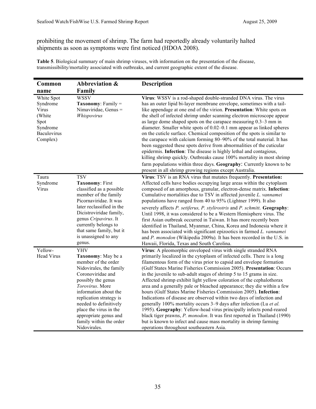prohibiting the movement of shrimp. The farm had reportedly already voluntarily halted shipments as soon as symptoms were first noticed (HDOA 2008).

**Table 5**. Biological summary of main shrimp viruses, with information on the presentation of the disease, transmissibility/mortality associated with outbreaks, and current geographic extent of the disease.

| Common                                                                                   | Abbreviation &                                                                                                                                                                                                                                                                                                               | <b>Description</b>                                                                                                                                                                                                                                                                                                                                                                                                                                                                                                                                                                                                                                                                                                                                                                                                                                                                                                                                                                                         |
|------------------------------------------------------------------------------------------|------------------------------------------------------------------------------------------------------------------------------------------------------------------------------------------------------------------------------------------------------------------------------------------------------------------------------|------------------------------------------------------------------------------------------------------------------------------------------------------------------------------------------------------------------------------------------------------------------------------------------------------------------------------------------------------------------------------------------------------------------------------------------------------------------------------------------------------------------------------------------------------------------------------------------------------------------------------------------------------------------------------------------------------------------------------------------------------------------------------------------------------------------------------------------------------------------------------------------------------------------------------------------------------------------------------------------------------------|
| name                                                                                     | Family                                                                                                                                                                                                                                                                                                                       |                                                                                                                                                                                                                                                                                                                                                                                                                                                                                                                                                                                                                                                                                                                                                                                                                                                                                                                                                                                                            |
| White Spot<br>Syndrome<br>Virus<br>(White<br>Spot<br>Syndrome<br>Baculovirus<br>Complex) | <b>WSSV</b><br>Taxonomy: Family =<br>Nimaviridae, Genus =<br>Whispovirus                                                                                                                                                                                                                                                     | Virus: WSSV is a rod-shaped double-stranded DNA virus. The virus<br>has an outer lipid bi-layer membrane envelope, sometimes with a tail-<br>like appendage at one end of the virion. Presentation: White spots on<br>the shell of infected shrimp under scanning electron microscope appear<br>as large dome shaped spots on the carapace measuring $0.3-3$ mm in<br>diameter. Smaller white spots of $0.02-0.1$ mm appear as linked spheres<br>on the cuticle surface. Chemical composition of the spots is similar to<br>the carapace with calcium forming 80-90% of the total material. It has<br>been suggested these spots derive from abnormalities of the cuticular<br>epidermis. Infection: The disease is highly lethal and contagious,<br>killing shrimp quickly. Outbreaks cause 100% mortality in most shrimp<br>farm populations within three days. Geography: Currently known to be<br>present in all shrimp growing regions except Australia.                                              |
| Taura<br>Syndrome<br>Virus                                                               | <b>TSV</b><br>Taxonomy: First<br>classified as a possible<br>member of the family<br>Picornaviridae. It was<br>later reclassified in the<br>Dicistroviridae family,<br>genus Cripavirus. It<br>currently belongs to<br>that same family, but it<br>is unassigned to any<br>genus.                                            | Virus: TSV is an RNA virus that mutates frequently. Presentation:<br>Affected cells have bodies occupying large areas within the cytoplasm<br>composed of an amorphous, granular, electron-dense matrix. Infection:<br>Cumulative mortalities due to TSV in affected juvenile L. vannamei<br>populations have ranged from 40 to 95% (Lightner 1999). It also<br>severely affects P. setiferus, P. stylirostris and P. schmitt. Geography:<br>Until 1998, it was considered to be a Western Hemisphere virus. The<br>first Asian outbreak occurred in Taiwan. It has more recently been<br>identified in Thailand, Myanmar, China, Korea and Indonesia where it<br>has been associated with significant epizootics in farmed L. vannamei<br>and P. monodon (Wikipedia 2009a). It has been recorded in the U.S. in<br>Hawaii, Florida, Texas and South Carolina.                                                                                                                                             |
| Yellow-<br><b>Head Virus</b>                                                             | <b>YHV</b><br>Taxonomy: May be a<br>member of the order<br>Nidovirales, the family<br>Coronoviridae and<br>possibly the genus<br>Torovirus. More<br>information about the<br>replication strategy is<br>needed to definitively<br>place the virus in the<br>appropriate genus and<br>family within the order<br>Nidovirales. | Virus: A pleomorphic enveloped virus with single stranded RNA<br>primarily localized in the cytoplasm of infected cells. There is a long<br>filamentous form of the virus prior to capsid and envelope formation<br>(Gulf States Marine Fisheries Commission 2005). Presentation: Occurs<br>in the juvenile to sub-adult stages of shrimp 5 to 15 grams in size.<br>Affected shrimp exhibit light yellow coloration of the cephalothorax<br>area and a generally pale or bleached appearance; they die within a few<br>hours (Gulf States Marine Fisheries Commission 2005). Infection:<br>Indications of disease are observed within two days of infection and<br>generally 100% mortality occurs 3-9 days after infection (Lu et al.<br>1995). Geography: Yellow-head virus principally infects pond-reared<br>black tiger prawns, P. monodon. It was first reported in Thailand (1990)<br>but is known to infect and cause mass mortality in shrimp farming<br>operations throughout southeastern Asia. |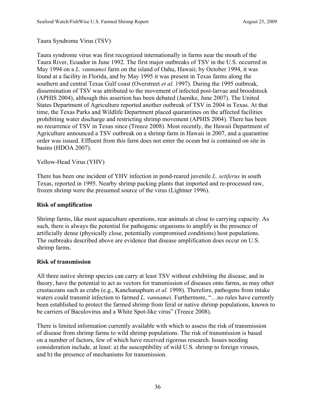Taura Syndrome Virus (TSV)

Taura syndrome virus was first recognized internationally in farms near the mouth of the Taura River, Ecuador in June 1992. The first major outbreaks of TSV in the U.S. occurred in May 1994 on a *L. vannamei* farm on the island of Oahu, Hawaii; by October 1994, it was found at a facility in Florida, and by May 1995 it was present in Texas farms along the southern and central Texas Gulf coast (Overstreet *et al.* 1997). During the 1995 outbreak, dissemination of TSV was attributed to the movement of infected post-larvae and broodstock (APHIS 2004), although this assertion has been debated (Jaenike, June 2007). The United States Department of Agriculture reported another outbreak of TSV in 2004 in Texas. At that time, the Texas Parks and Wildlife Department placed quarantines on the affected facilities prohibiting water discharge and restricting shrimp movement (APHIS 2004). There has been no recurrence of TSV in Texas since (Treece 2008). Most recently, the Hawaii Department of Agriculture announced a TSV outbreak on a shrimp farm in Hawaii in 2007, and a quarantine order was issued. Effluent from this farm does not enter the ocean but is contained on site in basins (HDOA 2007).

#### Yellow-Head Virus (YHV)

There has been one incident of YHV infection in pond-reared juvenile *L. setiferus* in south Texas, reported in 1995. Nearby shrimp packing plants that imported and re-processed raw, frozen shrimp were the presumed source of the virus (Lightner 1996).

#### **Risk of amplification**

Shrimp farms, like most aquaculture operations, rear animals at close to carrying capacity. As such, there is always the potential for pathogenic organisms to amplify in the presence of artificially dense (physically close, potentially compromised conditions) host populations. The outbreaks described above are evidence that disease amplification does occur on U.S. shrimp farms.

#### **Risk of transmission**

All three native shrimp species can carry at least TSV without exhibiting the disease, and in theory, have the potential to act as vectors for transmission of diseases onto farms, as may other crustaceans such as crabs (e.g., Kanchanaphum *et al.* 1998). Therefore, pathogens from intake waters could transmit infection to farmed *L. vannamei*. Furthermore, "…no rules have currently been established to protect the farmed shrimp from feral or native shrimp populations, known to be carriers of Baculovirus and a White Spot-like virus" (Treece 2008).

There is limited information currently available with which to assess the risk of transmission of disease from shrimp farms to wild shrimp populations. The risk of transmission is based on a number of factors, few of which have received rigorous research. Issues needing consideration include, at least: a) the susceptibility of wild U.S. shrimp to foreign viruses, and b) the presence of mechanisms for transmission.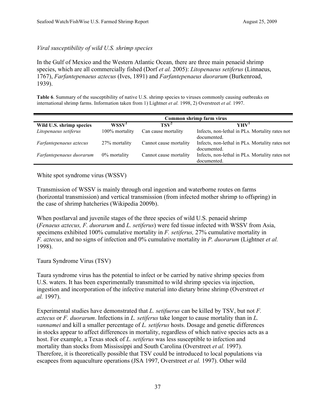# *Viral susceptibility of wild U.S. shrimp species*

In the Gulf of Mexico and the Western Atlantic Ocean, there are three main penaeid shrimp species, which are all commercially fished (Dorf *et al.* 2005): *Litopenaeus setiferus* (Linnaeus, 1767), *Farfantepenaeus aztecus* (Ives, 1891) and *Farfantepenaeus duorarum* (Burkenroad, 1939).

**Table 6.** Summary of the susceptibility of native U.S. shrimp species to viruses commonly causing outbreaks on international shrimp farms. Information taken from 1) Lightner *et al.* 1998, 2) Overstreet *et al.* 1997.

|                          | Common shrimp farm virus |                        |                                                                |
|--------------------------|--------------------------|------------------------|----------------------------------------------------------------|
| Wild U.S. shrimp species | WSSV <sup>1</sup>        | $\text{TSV}^2$         | YHV <sup>1</sup>                                               |
| Litopenaeus setiferus    | 100% mortality           | Can cause mortality    | Infects, non-lethal in PLs. Mortality rates not<br>documented. |
| Farfantepenaeus aztecus  | 27% mortality            | Cannot cause mortality | Infects, non-lethal in PLs. Mortality rates not<br>documented. |
| Farfantepenaeus duorarum | $0\%$ mortality          | Cannot cause mortality | Infects, non-lethal in PLs. Mortality rates not<br>documented. |

White spot syndrome virus (WSSV)

Transmission of WSSV is mainly through oral ingestion and waterborne routes on farms (horizontal transmission) and vertical transmission (from infected mother shrimp to offspring) in the case of shrimp hatcheries (Wikipedia 2009b).

When postlarval and juvenile stages of the three species of wild U.S. penaeid shrimp (*Fenaeus aztecus, F. duorarum* and *L. setiferus*) were fed tissue infected with WSSV from Asia, specimens exhibited 100% cumulative mortality in *F. setiferus,* 27% cumulative mortality in *F. aztecus*, and no signs of infection and 0% cumulative mortality in *P. duorarum* (Lightner *et al.* 1998).

Taura Syndrome Virus (TSV)

Taura syndrome virus has the potential to infect or be carried by native shrimp species from U.S. waters. It has been experimentally transmitted to wild shrimp species via injection, ingestion and incorporation of the infective material into dietary brine shrimp (Overstreet *et al.* 1997).

Experimental studies have demonstrated that *L. setifuerus* can be killed by TSV, but not *F. aztecus* or *F. duorarum*. Infections in *L. setiferus* take longer to cause mortality than in *L. vannamei* and kill a smaller percentage of *L. setiferus* hosts. Dosage and genetic differences in stocks appear to affect differences in mortality, regardless of which native species acts as a host. For example, a Texas stock of *L. setiferus* was less susceptible to infection and mortality than stocks from Mississippi and South Carolina (Overstreet *et al.* 1997). Therefore, it is theoretically possible that TSV could be introduced to local populations via escapees from aquaculture operations (JSA 1997, Overstreet *et al.* 1997). Other wild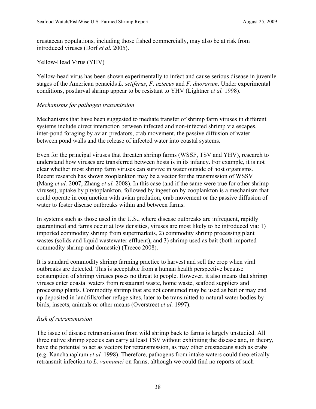crustacean populations, including those fished commercially, may also be at risk from introduced viruses (Dorf *et al.* 2005).

Yellow-Head Virus (YHV)

Yellow-head virus has been shown experimentally to infect and cause serious disease in juvenile stages of the American penaeids *L*. *setiferus*, *F. aztecus* and *F*. *duorarum*. Under experimental conditions, postlarval shrimp appear to be resistant to YHV (Lightner *et al.* 1998).

#### *Mechanisms for pathogen transmission*

Mechanisms that have been suggested to mediate transfer of shrimp farm viruses in different systems include direct interaction between infected and non-infected shrimp via escapes, inter-pond foraging by avian predators, crab movement, the passive diffusion of water between pond walls and the release of infected water into coastal systems.

Even for the principal viruses that threaten shrimp farms (WSSF, TSV and YHV), research to understand how viruses are transferred between hosts is in its infancy. For example, it is not clear whether most shrimp farm viruses can survive in water outside of host organisms. Recent research has shown zooplankton may be a vector for the transmission of WSSV (Mang *et al.* 2007, Zhang *et al.* 2008). In this case (and if the same were true for other shrimp viruses), uptake by phytoplankton, followed by ingestion by zooplankton is a mechanism that could operate in conjunction with avian predation, crab movement or the passive diffusion of water to foster disease outbreaks within and between farms.

In systems such as those used in the U.S., where disease outbreaks are infrequent, rapidly quarantined and farms occur at low densities, viruses are most likely to be introduced via: 1) imported commodity shrimp from supermarkets, 2) commodity shrimp processing plant wastes (solids and liquid wastewater effluent), and 3) shrimp used as bait (both imported commodity shrimp and domestic) (Treece 2008).

It is standard commodity shrimp farming practice to harvest and sell the crop when viral outbreaks are detected. This is acceptable from a human health perspective because consumption of shrimp viruses poses no threat to people. However, it also means that shrimp viruses enter coastal waters from restaurant waste, home waste, seafood suppliers and processing plants. Commodity shrimp that are not consumed may be used as bait or may end up deposited in landfills/other refuge sites, later to be transmitted to natural water bodies by birds, insects, animals or other means (Overstreet *et al.* 1997).

#### *Risk of retransmission*

The issue of disease retransmission from wild shrimp back to farms is largely unstudied. All three native shrimp species can carry at least TSV without exhibiting the disease and, in theory, have the potential to act as vectors for retransmission, as may other crustaceans such as crabs (e.g. Kanchanaphum *et al.* 1998). Therefore, pathogens from intake waters could theoretically retransmit infection to *L. vannamei* on farms, although we could find no reports of such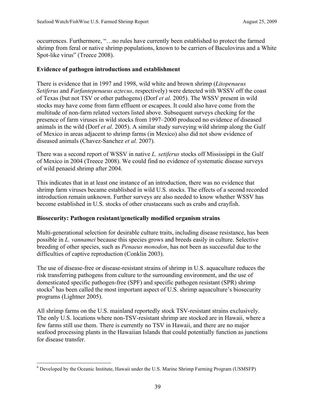occurrences. Furthermore, "…no rules have currently been established to protect the farmed shrimp from feral or native shrimp populations, known to be carriers of Baculovirus and a White Spot-like virus" (Treece 2008).

## **Evidence of pathogen introductions and establishment**

There is evidence that in 1997 and 1998, wild white and brown shrimp (*Litopenaeus Setiferus* and *Farfantepenaeus aztecus,* respectively) were detected with WSSV off the coast of Texas (but not TSV or other pathogens) (Dorf *et al.* 2005). The WSSV present in wild stocks may have come from farm effluent or escapees. It could also have come from the multitude of non-farm related vectors listed above. Subsequent surveys checking for the presence of farm viruses in wild stocks from 1997–2000 produced no evidence of diseased animals in the wild (Dorf *et al.* 2005). A similar study surveying wild shrimp along the Gulf of Mexico in areas adjacent to shrimp farms (in Mexico) also did not show evidence of diseased animals (Chavez-Sanchez *et al.* 2007).

There was a second report of WSSV in native *L. setiferus* stocks off Mississippi in the Gulf of Mexico in 2004 (Treece 2008). We could find no evidence of systematic disease surveys of wild penaeid shrimp after 2004.

This indicates that in at least one instance of an introduction, there was no evidence that shrimp farm viruses became established in wild U.S. stocks. The effects of a second recorded introduction remain unknown. Further surveys are also needed to know whether WSSV has become established in U.S. stocks of other crustaceans such as crabs and crayfish.

# **Biosecurity: Pathogen resistant/genetically modified organism strains**

Multi-generational selection for desirable culture traits, including disease resistance, has been possible in *L. vannamei* because this species grows and breeds easily in culture. Selective breeding of other species, such as *Penaeus monodon*, has not been as successful due to the difficulties of captive reproduction (Conklin 2003).

The use of disease-free or disease-resistant strains of shrimp in U.S. aquaculture reduces the risk transferring pathogens from culture to the surrounding environment, and the use of domesticated specific pathogen-free (SPF) and specific pathogen resistant (SPR) shrimp stocks<sup>6</sup> has been called the most important aspect of U.S. shrimp aquaculture's biosecurity programs (Lightner 2005).

All shrimp farms on the U.S. mainland reportedly stock TSV-resistant strains exclusively. The only U.S. locations where non-TSV-resistant shrimp are stocked are in Hawaii, where a few farms still use them. There is currently no TSV in Hawaii, and there are no major seafood processing plants in the Hawaiian Islands that could potentially function as junctions for disease transfer.

 $\overline{a}$  $6$  Developed by the Oceanic Institute, Hawaii under the U.S. Marine Shrimp Farming Program (USMSFP)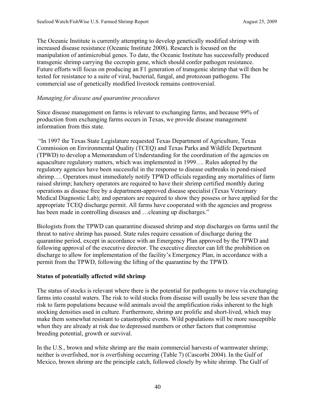The Oceanic Institute is currently attempting to develop genetically modified shrimp with increased disease resistance (Oceanic Institute 2008). Research is focused on the manipulation of antimicrobial genes. To date, the Oceanic Institute has successfully produced transgenic shrimp carrying the cecropin gene, which should confer pathogen resistance. Future efforts will focus on producing an F1 generation of transgenic shrimp that will then be tested for resistance to a suite of viral, bacterial, fungal, and protozoan pathogens. The commercial use of genetically modified livestock remains controversial.

# *Managing for disease and quarantine procedures*

Since disease management on farms is relevant to exchanging farms, and because 99% of production from exchanging farms occurs in Texas, we provide disease management information from this state.

 "In 1997 the Texas State Legislature requested Texas Department of Agriculture, Texas Commission on Environmental Quality (TCEQ) and Texas Parks and Wildlife Department (TPWD) to develop a Memorandum of Understanding for the coordination of the agencies on aquaculture regulatory matters, which was implemented in 1999…. Rules adopted by the regulatory agencies have been successful in the response to disease outbreaks in pond-raised shrimp…. Operators must immediately notify TPWD officials regarding any mortalities of farm raised shrimp; hatchery operators are required to have their shrimp certified monthly during operations as disease free by a department-approved disease specialist (Texas Veterinary Medical Diagnostic Lab); and operators are required to show they possess or have applied for the appropriate TCEQ discharge permit. All farms have cooperated with the agencies and progress has been made in controlling diseases and ... cleaning up discharges."

Biologists from the TPWD can quarantine diseased shrimp and stop discharges on farms until the threat to native shrimp has passed. State rules require cessation of discharge during the quarantine period, except in accordance with an Emergency Plan approved by the TPWD and following approval of the executive director. The executive director can lift the prohibition on discharge to allow for implementation of the facility's Emergency Plan, in accordance with a permit from the TPWD, following the lifting of the quarantine by the TPWD.

# **Status of potentially affected wild shrimp**

The status of stocks is relevant where there is the potential for pathogens to move via exchanging farms into coastal waters. The risk to wild stocks from disease will usually be less severe than the risk to farm populations because wild animals avoid the amplification risks inherent to the high stocking densities used in culture. Furthermore, shrimp are prolific and short-lived, which may make them somewhat resistant to catastrophic events. Wild populations will be more susceptible when they are already at risk due to depressed numbers or other factors that compromise breeding potential, growth or survival.

In the U.S., brown and white shrimp are the main commercial harvests of warmwater shrimp; neither is overfished, nor is overfishing occurring (Table 7) (Cascorbi 2004). In the Gulf of Mexico, brown shrimp are the principle catch, followed closely by white shrimp. The Gulf of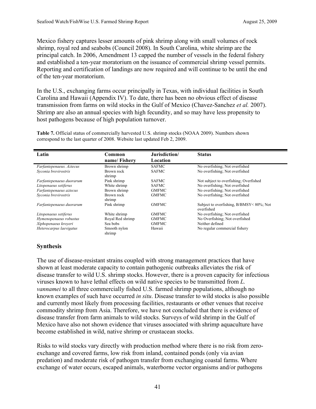Mexico fishery captures lesser amounts of pink shrimp along with small volumes of rock shrimp, royal red and seabobs (Council 2008). In South Carolina, white shrimp are the principal catch. In 2006, Amendment 13 capped the number of vessels in the federal fishery and established a ten-year moratorium on the issuance of commercial shrimp vessel permits. Reporting and certification of landings are now required and will continue to be until the end of the ten-year moratorium.

In the U.S., exchanging farms occur principally in Texas, with individual facilities in South Carolina and Hawaii (Appendix IV). To date, there has been no obvious effect of disease transmission from farms on wild stocks in the Gulf of Mexico (Chavez-Sanchez *et al.* 2007). Shrimp are also an annual species with high fecundity, and so may have less propensity to host pathogens because of high population turnover.

**Table 7.** Official status of commercially harvested U.S. shrimp stocks (NOAA 2009). Numbers shown correspond to the last quarter of 2008. Website last updated Feb 2, 2009.

| Latin                    | Common                 | Jurisdiction/ | <b>Status</b>                                         |
|--------------------------|------------------------|---------------|-------------------------------------------------------|
|                          | name/Fishery           | Location      |                                                       |
| Farfantepenaeus. Aztecus | Brown shrimp           | <b>SAFMC</b>  | No overfishing; Not overfished                        |
| Syconia brevirostris     | Brown rock<br>shrimp   | <b>SAFMC</b>  | No overfishing; Not overfished                        |
| Farfantepenaeus duorarum | Pink shrimp            | <b>SAFMC</b>  | Not subject to overfishing; Overfished                |
| Litopenaeus setiferus    | White shrimp           | <b>SAFMC</b>  | No overfishing; Not overfished                        |
| Farfantepenaeus aztecus  | Brown shrimp           | <b>GMFMC</b>  | No overfishing; Not overfished                        |
| Syconia brevirostris     | Brown rock<br>shrimp   | <b>GMFMC</b>  | No overfishing; Not overfished                        |
| Farfantepenaeus duorarum | Pink shrimp            | <b>GMFMC</b>  | Subject to overfishing, B/BMSY<80%; Not<br>overfished |
| Litopenaeus setiferus    | White shrimp           | <b>GMFMC</b>  | No overfishing; Not overfished                        |
| Hymenopenaeus robustus   | Royal Red shrimp       | <b>GMFMC</b>  | No Overfishing: Not overfished                        |
| Xiphopenaeus kroveri     | Sea bobs               | <b>GMFMC</b>  | Neither defined                                       |
| Heterocarpus laevigatus  | Smooth nylon<br>shrimp | Hawaii        | No regular commercial fishery                         |

# **Synthesis**

The use of disease-resistant strains coupled with strong management practices that have shown at least moderate capacity to contain pathogenic outbreaks alleviates the risk of disease transfer to wild U.S. shrimp stocks. However, there is a proven capacity for infectious viruses known to have lethal effects on wild native species to be transmitted from *L. vannamei* to all three commercially fished U.S. farmed shrimp populations, although no known examples of such have occurred *in situ*. Disease transfer to wild stocks is also possible and currently most likely from processing facilities, restaurants or other venues that receive commodity shrimp from Asia. Therefore, we have not concluded that there is evidence of disease transfer from farm animals to wild stocks. Surveys of wild shrimp in the Gulf of Mexico have also not shown evidence that viruses associated with shrimp aquaculture have become established in wild, native shrimp or crustacean stocks.

Risks to wild stocks vary directly with production method where there is no risk from zeroexchange and covered farms, low risk from inland, contained ponds (only via avian predation) and moderate risk of pathogen transfer from exchanging coastal farms. Where exchange of water occurs, escaped animals, waterborne vector organisms and/or pathogens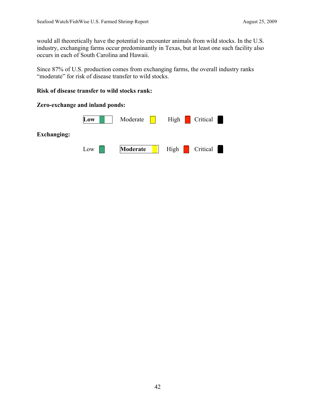would all theoretically have the potential to encounter animals from wild stocks. In the U.S. industry, exchanging farms occur predominantly in Texas, but at least one such facility also occurs in each of South Carolina and Hawaii.

Since 87% of U.S. production comes from exchanging farms, the overall industry ranks "moderate" for risk of disease transfer to wild stocks.

## **Risk of disease transfer to wild stocks rank:**

| Zero-exchange and inland ponds: |       |                        |                           |  |
|---------------------------------|-------|------------------------|---------------------------|--|
|                                 | Low   | Moderate $\vert \vert$ | $\left  \right $ Critical |  |
| <b>Exchanging:</b>              |       |                        |                           |  |
|                                 | $Low$ | Moderate               | $High$ Critical           |  |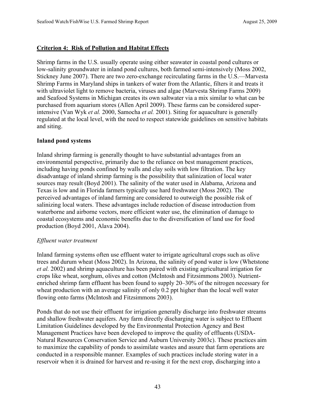# **Criterion 4: Risk of Pollution and Habitat Effects**

Shrimp farms in the U.S. usually operate using either seawater in coastal pond cultures or low-salinity groundwater in inland pond cultures, both farmed semi-intensively (Moss 2002, Stickney June 2007). There are two zero-exchange recirculating farms in the U.S.—Marvesta Shrimp Farms in Maryland ships in tankers of water from the Atlantic, filters it and treats it with ultraviolet light to remove bacteria, viruses and algae (Marvesta Shrimp Farms 2009) and Seafood Systems in Michigan creates its own saltwater via a mix similar to what can be purchased from aquarium stores (Allen April 2009). These farms can be considered superintensive (Van Wyk *et al.* 2000, Samocha *et al.* 2001). Siting for aquaculture is generally regulated at the local level, with the need to respect statewide guidelines on sensitive habitats and siting.

## **Inland pond systems**

Inland shrimp farming is generally thought to have substantial advantages from an environmental perspective, primarily due to the reliance on best management practices, including having ponds confined by walls and clay soils with low filtration. The key disadvantage of inland shrimp farming is the possibility that salinization of local water sources may result (Boyd 2001). The salinity of the water used in Alabama, Arizona and Texas is low and in Florida farmers typically use hard freshwater (Moss 2002). The perceived advantages of inland farming are considered to outweigh the possible risk of salinizing local waters. These advantages include reduction of disease introduction from waterborne and airborne vectors, more efficient water use, the elimination of damage to coastal ecosystems and economic benefits due to the diversification of land use for food production (Boyd 2001, Alava 2004).

#### *Effluent water treatment*

Inland farming systems often use effluent water to irrigate agricultural crops such as olive trees and durum wheat (Moss 2002). In Arizona, the salinity of pond water is low (Whetstone *et al.* 2002) and shrimp aquaculture has been paired with existing agricultural irrigation for crops like wheat, sorghum, olives and cotton (McIntosh and Fitzsimmons 2003). Nutrientenriched shrimp farm effluent has been found to supply 20–30% of the nitrogen necessary for wheat production with an average salinity of only 0.2 ppt higher than the local well water flowing onto farms (McIntosh and Fitzsimmons 2003).

Ponds that do not use their effluent for irrigation generally discharge into freshwater streams and shallow freshwater aquifers. Any farm directly discharging water is subject to Effluent Limitation Guidelines developed by the Environmental Protection Agency and Best Management Practices have been developed to improve the quality of effluents (USDA-Natural Resources Conservation Service and Auburn University 2003c). These practices aim to maximize the capability of ponds to assimilate wastes and assure that farm operations are conducted in a responsible manner. Examples of such practices include storing water in a reservoir when it is drained for harvest and re-using it for the next crop, discharging into a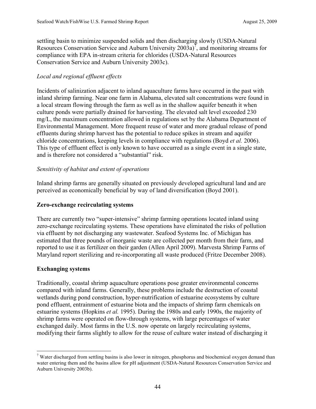settling basin to minimize suspended solids and then discharging slowly (USDA-Natural Resources Conservation Service and Auburn University  $2003a$ , and monitoring streams for compliance with EPA in-stream criteria for chlorides (USDA-Natural Resources Conservation Service and Auburn University 2003c).

## *Local and regional effluent effects*

Incidents of salinization adjacent to inland aquaculture farms have occurred in the past with inland shrimp farming. Near one farm in Alabama, elevated salt concentrations were found in a local stream flowing through the farm as well as in the shallow aquifer beneath it when culture ponds were partially drained for harvesting. The elevated salt level exceeded 230 mg/L, the maximum concentration allowed in regulations set by the Alabama Department of Environmental Management. More frequent reuse of water and more gradual release of pond effluents during shrimp harvest has the potential to reduce spikes in stream and aquifer chloride concentrations, keeping levels in compliance with regulations (Boyd *et al.* 2006). This type of effluent effect is only known to have occurred as a single event in a single state, and is therefore not considered a "substantial" risk.

## *Sensitivity of habitat and extent of operations*

Inland shrimp farms are generally situated on previously developed agricultural land and are perceived as economically beneficial by way of land diversification (Boyd 2001).

#### **Zero-exchange recirculating systems**

There are currently two "super-intensive" shrimp farming operations located inland using zero-exchange recirculating systems. These operations have eliminated the risks of pollution via effluent by not discharging any wastewater. Seafood Systems Inc. of Michigan has estimated that three pounds of inorganic waste are collected per month from their farm, and reported to use it as fertilizer on their garden (Allen April 2009). Marvesta Shrimp Farms of Maryland report sterilizing and re-incorporating all waste produced (Fritze December 2008).

#### **Exchanging systems**

 $\overline{a}$ 

Traditionally, coastal shrimp aquaculture operations pose greater environmental concerns compared with inland farms. Generally, these problems include the destruction of coastal wetlands during pond construction, hyper-nutrification of estuarine ecosystems by culture pond effluent, entrainment of estuarine biota and the impacts of shrimp farm chemicals on estuarine systems (Hopkins *et al.* 1995). During the 1980s and early 1990s, the majority of shrimp farms were operated on flow-through systems, with large percentages of water exchanged daily. Most farms in the U.S. now operate on largely recirculating systems, modifying their farms slightly to allow for the reuse of culture water instead of discharging it

<sup>&</sup>lt;sup>7</sup> Water discharged from settling basins is also lower in nitrogen, phosphorus and biochemical oxygen demand than water entering them and the basins allow for pH adjustment (USDA-Natural Resources Conservation Service and Auburn University 2003b).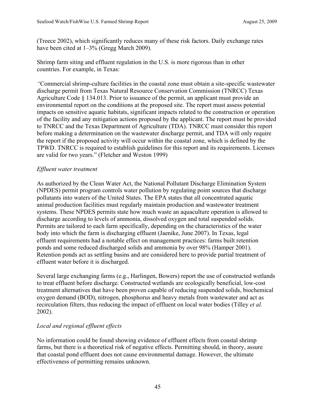(Treece 2002), which significantly reduces many of these risk factors. Daily exchange rates have been cited at  $1-3\%$  (Gregg March 2009).

Shrimp farm siting and effluent regulation in the U.S. is more rigorous than in other countries. For example, in Texas:

*"*Commercial shrimp-culture facilities in the coastal zone must obtain a site-specific wastewater discharge permit from Texas Natural Resource Conservation Commission (TNRCC) Texas Agriculture Code § 134.013. Prior to issuance of the permit, an applicant must provide an environmental report on the conditions at the proposed site. The report must assess potential impacts on sensitive aquatic habitats, significant impacts related to the construction or operation of the facility and any mitigation actions proposed by the applicant. The report must be provided to TNRCC and the Texas Department of Agriculture (TDA). TNRCC must consider this report before making a determination on the wastewater discharge permit, and TDA will only require the report if the proposed activity will occur within the coastal zone, which is defined by the TPWD. TNRCC is required to establish guidelines for this report and its requirements. Licenses are valid for two years." (Fletcher and Weston 1999)

#### *Effluent water treatment*

As authorized by the Clean Water Act, the National Pollutant Discharge Elimination System (NPDES) permit program controls water pollution by regulating point sources that discharge pollutants into waters of the United States. The EPA states that all concentrated aquatic animal production facilities must regularly maintain production and wastewater treatment systems. These NPDES permits state how much waste an aquaculture operation is allowed to discharge according to levels of ammonia, dissolved oxygen and total suspended solids. Permits are tailored to each farm specifically, depending on the characteristics of the water body into which the farm is discharging effluent (Jaenike, June 2007). In Texas, legal effluent requirements had a notable effect on management practices: farms built retention ponds and some reduced discharged solids and ammonia by over 98% (Hamper 2001). Retention ponds act as settling basins and are considered here to provide partial treatment of effluent water before it is discharged.

Several large exchanging farms (e.g., Harlingen, Bowers) report the use of constructed wetlands to treat effluent before discharge. Constructed wetlands are ecologically beneficial, low-cost treatment alternatives that have been proven capable of reducing suspended solids, biochemical oxygen demand (BOD), nitrogen, phosphorus and heavy metals from wastewater and act as recirculation filters, thus reducing the impact of effluent on local water bodies (Tilley *et al.* 2002).

#### *Local and regional effluent effects*

No information could be found showing evidence of effluent effects from coastal shrimp farms, but there is a theoretical risk of negative effects. Permitting should, in theory, assure that coastal pond effluent does not cause environmental damage. However, the ultimate effectiveness of permitting remains unknown.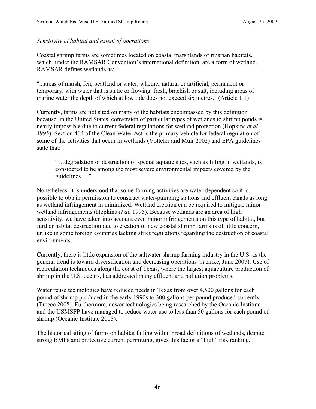#### *Sensitivity of habitat and extent of operations*

Coastal shrimp farms are sometimes located on coastal marshlands or riparian habitats, which, under the RAMSAR Convention's international definition, are a form of wetland. RAMSAR defines wetlands as:

"...areas of marsh, fen, peatland or water, whether natural or artificial, permanent or temporary, with water that is static or flowing, fresh, brackish or salt, including areas of marine water the depth of which at low tide does not exceed six metres." (Article 1.1)

Currently, farms are not sited on many of the habitats encompassed by this definition because, in the United States, conversion of particular types of wetlands to shrimp ponds is nearly impossible due to current federal regulations for wetland protection (Hopkins *et al.* 1995). Section 404 of the Clean Water Act is the primary vehicle for federal regulation of some of the activities that occur in wetlands (Votteler and Muir 2002) and EPA guidelines state that:

"…degradation or destruction of special aquatic sites, such as filling in wetlands, is considered to be among the most severe environmental impacts covered by the guidelines…."

Nonetheless, it is understood that some farming activities are water-dependent so it is possible to obtain permission to construct water-pumping stations and effluent canals as long as wetland infringement in minimized. Wetland creation can be required to mitigate minor wetland infringements (Hopkins *et al.* 1995). Because wetlands are an area of high sensitivity, we have taken into account even minor infringements on this type of habitat, but further habitat destruction due to creation of new coastal shrimp farms is of little concern, unlike in some foreign countries lacking strict regulations regarding the destruction of coastal environments.

Currently, there is little expansion of the saltwater shrimp farming industry in the U.S. as the general trend is toward diversification and decreasing operations (Jaenike, June 2007). Use of recirculation techniques along the coast of Texas, where the largest aquaculture production of shrimp in the U.S. occurs, has addressed many effluent and pollution problems.

Water reuse technologies have reduced needs in Texas from over 4,500 gallons for each pound of shrimp produced in the early 1990s to 300 gallons per pound produced currently (Treece 2008). Furthermore, newer technologies being researched by the Oceanic Institute and the USMSFP have managed to reduce water use to less than 50 gallons for each pound of shrimp (Oceanic Institute 2008).

The historical siting of farms on habitat falling within broad definitions of wetlands, despite strong BMPs and protective current permitting, gives this factor a "high" risk ranking.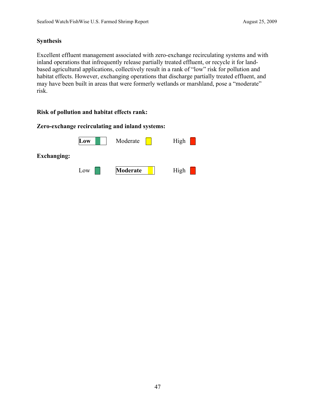## **Synthesis**

Excellent effluent management associated with zero-exchange recirculating systems and with inland operations that infrequently release partially treated effluent, or recycle it for landbased agricultural applications, collectively result in a rank of "low" risk for pollution and habitat effects. However, exchanging operations that discharge partially treated effluent, and may have been built in areas that were formerly wetlands or marshland, pose a "moderate" risk.

# **Risk of pollution and habitat effects rank:**

# **Zero-exchange recirculating and inland systems:**

|                    | Low | Moderate | High |
|--------------------|-----|----------|------|
| <b>Exchanging:</b> |     |          |      |
|                    | Low | Moderate | High |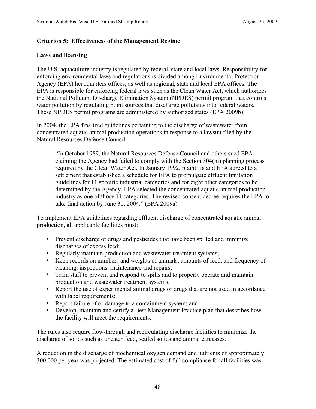## **Criterion 5: Effectiveness of the Management Regime**

#### **Laws and licensing**

The U.S. aquaculture industry is regulated by federal, state and local laws. Responsibility for enforcing environmental laws and regulations is divided among Environmental Protection Agency (EPA) headquarters offices, as well as regional, state and local EPA offices. The EPA is responsible for enforcing federal laws such as the Clean Water Act, which authorizes the National Pollutant Discharge Elimination System (NPDES) permit program that controls water pollution by regulating point sources that discharge pollutants into federal waters. These NPDES permit programs are administered by authorized states (EPA 2009b).

In 2004, the EPA finalized guidelines pertaining to the discharge of wastewater from concentrated aquatic animal production operations in response to a lawsuit filed by the Natural Resources Defense Council:

"In October 1989, the Natural Resources Defense Council and others sued EPA claiming the Agency had failed to comply with the Section 304(m) planning process required by the Clean Water Act. In January 1992, plaintiffs and EPA agreed to a settlement that established a schedule for EPA to promulgate effluent limitation guidelines for 11 specific industrial categories and for eight other categories to be determined by the Agency. EPA selected the concentrated aquatic animal production industry as one of those 11 categories. The revised consent decree requires the EPA to take final action by June 30, 2004." (EPA 2009a)

To implement EPA guidelines regarding effluent discharge of concentrated aquatic animal production, all applicable facilities must:

- Prevent discharge of drugs and pesticides that have been spilled and minimize discharges of excess feed;
- Regularly maintain production and wastewater treatment systems;
- Keep records on numbers and weights of animals, amounts of feed, and frequency of cleaning, inspections, maintenance and repairs;
- Train staff to prevent and respond to spills and to properly operate and maintain production and wastewater treatment systems;
- Report the use of experimental animal drugs or drugs that are not used in accordance with label requirements;
- Report failure of or damage to a containment system; and
- Develop, maintain and certify a Best Management Practice plan that describes how the facility will meet the requirements.

The rules also require flow-through and recirculating discharge facilities to minimize the discharge of solids such as uneaten feed, settled solids and animal carcasses.

A reduction in the discharge of biochemical oxygen demand and nutrients of approximately 300,000 per year was projected. The estimated cost of full compliance for all facilities was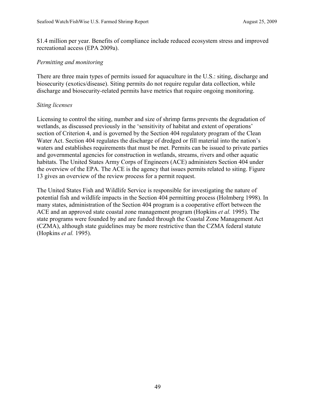\$1.4 million per year. Benefits of compliance include reduced ecosystem stress and improved recreational access (EPA 2009a).

#### *Permitting and monitoring*

There are three main types of permits issued for aquaculture in the U.S.: siting, discharge and biosecurity (exotics/disease). Siting permits do not require regular data collection, while discharge and biosecurity-related permits have metrics that require ongoing monitoring.

#### *Siting licenses*

Licensing to control the siting, number and size of shrimp farms prevents the degradation of wetlands, as discussed previously in the 'sensitivity of habitat and extent of operations' section of Criterion 4, and is governed by the Section 404 regulatory program of the Clean Water Act. Section 404 regulates the discharge of dredged or fill material into the nation's waters and establishes requirements that must be met. Permits can be issued to private parties and governmental agencies for construction in wetlands, streams, rivers and other aquatic habitats. The United States Army Corps of Engineers (ACE) administers Section 404 under the overview of the EPA. The ACE is the agency that issues permits related to siting. Figure 13 gives an overview of the review process for a permit request.

The United States Fish and Wildlife Service is responsible for investigating the nature of potential fish and wildlife impacts in the Section 404 permitting process (Holmberg 1998). In many states, administration of the Section 404 program is a cooperative effort between the ACE and an approved state coastal zone management program (Hopkins *et al.* 1995). The state programs were founded by and are funded through the Coastal Zone Management Act (CZMA), although state guidelines may be more restrictive than the CZMA federal statute (Hopkins *et al.* 1995).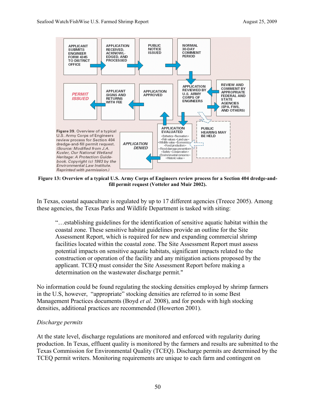

**Figure 13: Overview of a typical U.S. Army Corps of Engineers review process for a Section 404 dredge-andfill permit request (Votteler and Muir 2002).** 

In Texas, coastal aquaculture is regulated by up to 17 different agencies (Treece 2005). Among these agencies, the Texas Parks and Wildlife Department is tasked with siting:

"…establishing guidelines for the identification of sensitive aquatic habitat within the coastal zone. These sensitive habitat guidelines provide an outline for the Site Assessment Report, which is required for new and expanding commercial shrimp facilities located within the coastal zone. The Site Assessment Report must assess potential impacts on sensitive aquatic habitats, significant impacts related to the construction or operation of the facility and any mitigation actions proposed by the applicant. TCEQ must consider the Site Assessment Report before making a determination on the wastewater discharge permit."

No information could be found regulating the stocking densities employed by shrimp farmers in the U.S, however, "appropriate" stocking densities are referred to in some Best Management Practices documents (Boyd *et al.* 2008), and for ponds with high stocking densities, additional practices are recommended (Howerton 2001).

# *Discharge permits*

At the state level, discharge regulations are monitored and enforced with regularity during production. In Texas, effluent quality is monitored by the farmers and results are submitted to the Texas Commission for Environmental Quality (TCEQ). Discharge permits are determined by the TCEQ permit writers. Monitoring requirements are unique to each farm and contingent on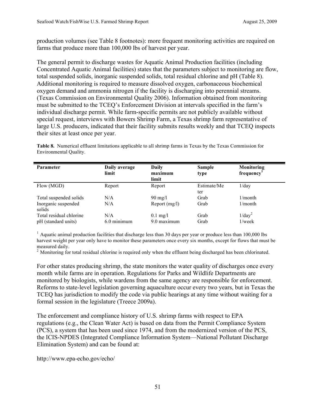production volumes (see Table 8 footnotes): more frequent monitoring activities are required on farms that produce more than 100,000 lbs of harvest per year.

The general permit to discharge wastes for Aquatic Animal Production facilities (including Concentrated Aquatic Animal facilities) states that the parameters subject to monitoring are flow, total suspended solids, inorganic suspended solids, total residual chlorine and pH (Table 8). Additional monitoring is required to measure dissolved oxygen, carbonaceous biochemical oxygen demand and ammonia nitrogen if the facility is discharging into perennial streams. (Texas Commission on Environmental Quality 2006). Information obtained from monitoring must be submitted to the TCEQ's Enforcement Division at intervals specified in the farm's individual discharge permit. While farm-specific permits are not publicly available without special request, interviews with Bowers Shrimp Farm, a Texas shrimp farm representative of large U.S. producers, indicated that their facility submits results weekly and that TCEQ inspects their sites at least once per year.

**Table 8.** Numerical effluent limitations applicable to all shrimp farms in Texas by the Texas Commission for Environmental Quality.

| <b>Parameter</b>              | Daily average<br>limit | Daily<br>maximum<br>limit | Sample<br>type     | Monitoring<br>frequency' |
|-------------------------------|------------------------|---------------------------|--------------------|--------------------------|
| Flow (MGD)                    | Report                 | Report                    | Estimate/Me<br>ter | 1/dav                    |
| Total suspended solids        | N/A                    | $90 \text{ mg}/l$         | Grab               | $1/m$ onth               |
| Inorganic suspended<br>solids | N/A                    | Report $(mg/l)$           | Grab               | $1/m$ onth               |
| Total residual chlorine       | N/A                    | $0.1 \text{ mg/l}$        | Grab               | $1/day^2$                |
| pH (standard units)           | 6.0 minimum            | 9.0 maximum               | Grab               | $1$ /week                |

 $1$  Aquatic animal production facilities that discharge less than 30 days per year or produce less than 100,000 lbs harvest weight per year only have to monitor these parameters once every six months, except for flows that must be measured daily.

<sup>2</sup> Monitoring for total residual chlorine is required only when the effluent being discharged has been chlorinated.

For other states producing shrimp, the state monitors the water quality of discharges once every month while farms are in operation. Regulations for Parks and Wildlife Departments are monitored by biologists, while wardens from the same agency are responsible for enforcement. Reforms to state-level legislation governing aquaculture occur every two years, but in Texas the TCEQ has jurisdiction to modify the code via public hearings at any time without waiting for a formal session in the legislature (Treece 2009a).

The enforcement and compliance history of U.S. shrimp farms with respect to EPA regulations (e.g., the Clean Water Act) is based on data from the Permit Compliance System (PCS), a system that has been used since 1974, and from the modernized version of the PCS, the ICIS-NPDES (Integrated Compliance Information System—National Pollutant Discharge Elimination System) and can be found at:

http://www.epa-echo.gov/echo/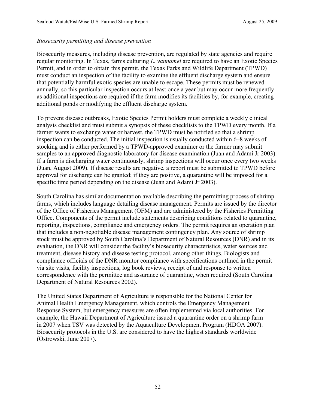## *Biosecurity permitting and disease prevention*

Biosecurity measures, including disease prevention, are regulated by state agencies and require regular monitoring. In Texas, farms culturing *L. vannamei* are required to have an Exotic Species Permit, and in order to obtain this permit, the Texas Parks and Wildlife Department (TPWD) must conduct an inspection of the facility to examine the effluent discharge system and ensure that potentially harmful exotic species are unable to escape. These permits must be renewed annually, so this particular inspection occurs at least once a year but may occur more frequently as additional inspections are required if the farm modifies its facilities by, for example, creating additional ponds or modifying the effluent discharge system.

To prevent disease outbreaks, Exotic Species Permit holders must complete a weekly clinical analysis checklist and must submit a synopsis of these checklists to the TPWD every month. If a farmer wants to exchange water or harvest, the TPWD must be notified so that a shrimp inspection can be conducted. The initial inspection is usually conducted within 6–8 weeks of stocking and is either performed by a TPWD-approved examiner or the farmer may submit samples to an approved diagnostic laboratory for disease examination (Juan and Adami Jr 2003). If a farm is discharging water continuously, shrimp inspections will occur once every two weeks (Juan, August 2009). If disease results are negative, a report must be submitted to TPWD before approval for discharge can be granted; if they are positive, a quarantine will be imposed for a specific time period depending on the disease (Juan and Adami Jr 2003).

South Carolina has similar documentation available describing the permitting process of shrimp farms, which includes language detailing disease management. Permits are issued by the director of the Office of Fisheries Management (OFM) and are administered by the Fisheries Permitting Office. Components of the permit include statements describing conditions related to quarantine, reporting, inspections, compliance and emergency orders. The permit requires an operation plan that includes a non-negotiable disease management contingency plan. Any source of shrimp stock must be approved by South Carolina's Department of Natural Resources (DNR) and in its evaluation, the DNR will consider the facility's biosecurity characteristics, water sources and treatment, disease history and disease testing protocol, among other things. Biologists and compliance officials of the DNR monitor compliance with specifications outlined in the permit via site visits, facility inspections, log book reviews, receipt of and response to written correspondence with the permittee and assurance of quarantine, when required (South Carolina Department of Natural Resources 2002).

The United States Department of Agriculture is responsible for the National Center for Animal Health Emergency Management, which controls the Emergency Management Response System, but emergency measures are often implemented via local authorities. For example, the Hawaii Department of Agriculture issued a quarantine order on a shrimp farm in 2007 when TSV was detected by the Aquaculture Development Program (HDOA 2007). Biosecurity protocols in the U.S. are considered to have the highest standards worldwide (Ostrowski, June 2007).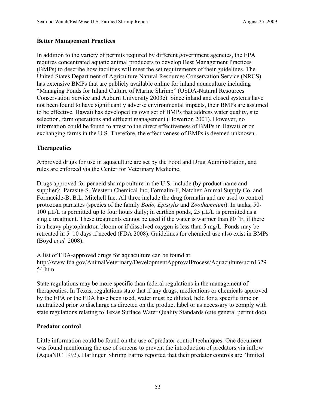## **Better Management Practices**

In addition to the variety of permits required by different government agencies, the EPA requires concentrated aquatic animal producers to develop Best Management Practices (BMPs) to describe how facilities will meet the set requirements of their guidelines. The United States Department of Agriculture Natural Resources Conservation Service (NRCS) has extensive BMPs that are publicly available online for inland aquaculture including "Managing Ponds for Inland Culture of Marine Shrimp" (USDA-Natural Resources Conservation Service and Auburn University 2003c). Since inland and closed systems have not been found to have significantly adverse environmental impacts, their BMPs are assumed to be effective. Hawaii has developed its own set of BMPs that address water quality, site selection, farm operations and effluent management (Howerton 2001). However, no information could be found to attest to the direct effectiveness of BMPs in Hawaii or on exchanging farms in the U.S. Therefore, the effectiveness of BMPs is deemed unknown.

## **Therapeutics**

Approved drugs for use in aquaculture are set by the Food and Drug Administration, and rules are enforced via the Center for Veterinary Medicine.

Drugs approved for penaeid shrimp culture in the U.S. include (by product name and supplier): Parasite-S, Western Chemical Inc; Formalin-F, Natchez Animal Supply Co. and Formacide-B, B.L. Mitchell Inc. All three include the drug formalin and are used to control protozoan parasites (species of the family *Bodo, Epistylis* and *Zoothamnium*). In tanks, 50- 100  $\mu$ L/L is permitted up to four hours daily; in earthen ponds, 25  $\mu$ L/L is permitted as a single treatment. These treatments cannot be used if the water is warmer than 80 °F, if there is a heavy phytoplankton bloom or if dissolved oxygen is less than 5 mg/L. Ponds may be retreated in 5–10 days if needed (FDA 2008). Guidelines for chemical use also exist in BMPs (Boyd *et al.* 2008).

A list of FDA-approved drugs for aquaculture can be found at: http://www.fda.gov/AnimalVeterinary/DevelopmentApprovalProcess/Aquaculture/ucm1329 54.htm

State regulations may be more specific than federal regulations in the management of therapeutics. In Texas, regulations state that if any drugs, medications or chemicals approved by the EPA or the FDA have been used, water must be diluted, held for a specific time or neutralized prior to discharge as directed on the product label or as necessary to comply with state regulations relating to Texas Surface Water Quality Standards (cite general permit doc).

#### **Predator control**

Little information could be found on the use of predator control techniques. One document was found mentioning the use of screens to prevent the introduction of predators via inflow (AquaNIC 1993). Harlingen Shrimp Farms reported that their predator controls are "limited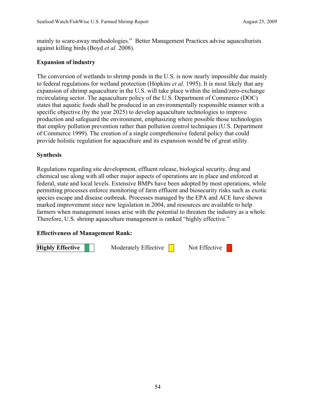mainly to scare-away methodologies." Better Management Practices advise aquaculturists against killing birds (Boyd *et al.* 2008).

#### **Expansion of industry**

The conversion of wetlands to shrimp ponds in the U.S. is now nearly impossible due mainly to federal regulations for wetland protection (Hopkins *et al.* 1995). It is most likely that any expansion of shrimp aquaculture in the U.S. will take place within the inland/zero-exchange recirculating sector. The aquaculture policy of the U.S. Department of Commerce (DOC) states that aquatic foods shall be produced in an environmentally responsible manner with a specific objective (by the year 2025) to develop aquaculture technologies to improve production and safeguard the environment, emphasizing where possible those technologies that employ pollution prevention rather than pollution control techniques (U.S. Department of Commerce 1999). The creation of a single comprehensive federal policy that could provide holistic regulation for aquaculture and its expansion would be of great utility.

# **Synthesis**

Regulations regarding site development, effluent release, biological security, drug and chemical use along with all other major aspects of operations are in place and enforced at federal, state and local levels. Extensive BMPs have been adopted by most operations, while permitting processes enforce monitoring of farm effluent and biosecurity risks such as exotic species escape and disease outbreak. Processes managed by the EPA and ACE have shown marked improvement since new legislation in 2004, and resources are available to help farmers when management issues arise with the potential to threaten the industry as a whole. Therefore, U.S. shrimp aquaculture management is ranked "highly effective."

# **Effectiveness of Management Rank:**

**Highly Effective Noderately Effective <b>Not** Effective **Not**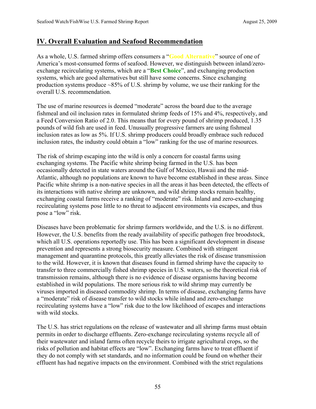# **IV. Overall Evaluation and Seafood Recommendation**

As a whole, U.S. farmed shrimp offers consumers a "**Good Alternative**" source of one of America's most-consumed forms of seafood. However, we distinguish between inland/zeroexchange recirculating systems, which are a "**Best Choice**", and exchanging production systems, which are good alternatives but still have some concerns. Since exchanging production systems produce  $\sim 85\%$  of U.S. shrimp by volume, we use their ranking for the overall U.S. recommendation.

The use of marine resources is deemed "moderate" across the board due to the average fishmeal and oil inclusion rates in formulated shrimp feeds of 15% and 4%, respectively, and a Feed Conversion Ratio of 2.0. This means that for every pound of shrimp produced, 1.35 pounds of wild fish are used in feed. Unusually progressive farmers are using fishmeal inclusion rates as low as 5%. If U.S. shrimp producers could broadly embrace such reduced inclusion rates, the industry could obtain a "low" ranking for the use of marine resources.

The risk of shrimp escaping into the wild is only a concern for coastal farms using exchanging systems. The Pacific white shrimp being farmed in the U.S. has been occasionally detected in state waters around the Gulf of Mexico, Hawaii and the mid-Atlantic, although no populations are known to have become established in these areas. Since Pacific white shrimp is a non-native species in all the areas it has been detected, the effects of its interactions with native shrimp are unknown, and wild shrimp stocks remain healthy, exchanging coastal farms receive a ranking of "moderate" risk. Inland and zero-exchanging recirculating systems pose little to no threat to adjacent environments via escapes, and thus pose a "low" risk.

Diseases have been problematic for shrimp farmers worldwide, and the U.S. is no different. However, the U.S. benefits from the ready availability of specific pathogen free broodstock, which all U.S. operations reportedly use. This has been a significant development in disease prevention and represents a strong biosecurity measure. Combined with stringent management and quarantine protocols, this greatly alleviates the risk of disease transmission to the wild. However, it is known that diseases found in farmed shrimp have the capacity to transfer to three commercially fished shrimp species in U.S. waters, so the theoretical risk of transmission remains, although there is no evidence of disease organisms having become established in wild populations. The more serious risk to wild shrimp may currently be viruses imported in diseased commodity shrimp. In terms of disease, exchanging farms have a "moderate" risk of disease transfer to wild stocks while inland and zero-exchange recirculating systems have a "low" risk due to the low likelihood of escapes and interactions with wild stocks.

The U.S. has strict regulations on the release of wastewater and all shrimp farms must obtain permits in order to discharge effluents. Zero-exchange recirculating systems recycle all of their wastewater and inland farms often recycle theirs to irrigate agricultural crops, so the risks of pollution and habitat effects are "low". Exchanging farms have to treat effluent if they do not comply with set standards, and no information could be found on whether their effluent has had negative impacts on the environment. Combined with the strict regulations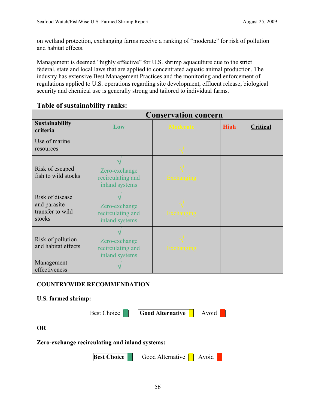on wetland protection, exchanging farms receive a ranking of "moderate" for risk of pollution and habitat effects.

Management is deemed "highly effective" for U.S. shrimp aquaculture due to the strict federal, state and local laws that are applied to concentrated aquatic animal production. The industry has extensive Best Management Practices and the monitoring and enforcement of regulations applied to U.S. operations regarding site development, effluent release, biological security and chemical use is generally strong and tailored to individual farms.

# **Table of sustainability ranks:**

|                                                               | <b>Conservation concern</b>                          |                   |             |                 |
|---------------------------------------------------------------|------------------------------------------------------|-------------------|-------------|-----------------|
| <b>Sustainability</b><br>criteria                             | Low                                                  | <b>Moderate</b>   | <b>High</b> | <b>Critical</b> |
| Use of marine<br>resources                                    |                                                      |                   |             |                 |
| Risk of escaped<br>fish to wild stocks                        | Zero-exchange<br>recirculating and<br>inland systems | <b>Exchanging</b> |             |                 |
| Risk of disease<br>and parasite<br>transfer to wild<br>stocks | Zero-exchange<br>recirculating and<br>inland systems | <b>Exchanging</b> |             |                 |
| Risk of pollution<br>and habitat effects                      | Zero-exchange<br>recirculating and<br>inland systems | <b>Exchanging</b> |             |                 |
| Management<br>effectiveness                                   |                                                      |                   |             |                 |

# **COUNTRYWIDE RECOMMENDATION**

# **U.S. farmed shrimp:**

**OR** 

Best Choice **Good Alternative** Avoid **Zero-exchange recirculating and inland systems: Best Choice** Good Alternative **R** Avoid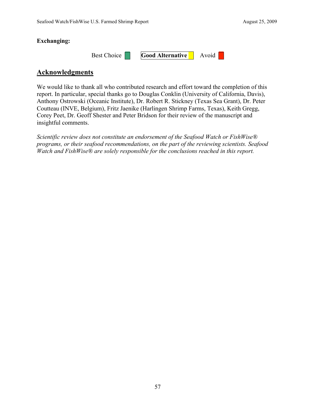## **Exchanging:**

Best Choice **Good Alternative** Avoid

# **Acknowledgments**

We would like to thank all who contributed research and effort toward the completion of this report. In particular, special thanks go to Douglas Conklin (University of California, Davis), Anthony Ostrowski (Oceanic Institute), Dr. Robert R. Stickney (Texas Sea Grant), Dr. Peter Coutteau (INVE, Belgium), Fritz Jaenike (Harlingen Shrimp Farms, Texas), Keith Gregg, Corey Peet, Dr. Geoff Shester and Peter Bridson for their review of the manuscript and insightful comments.

*Scientific review does not constitute an endorsement of the Seafood Watch or FishWise® programs, or their seafood recommendations, on the part of the reviewing scientists. Seafood Watch and FishWise® are solely responsible for the conclusions reached in this report.*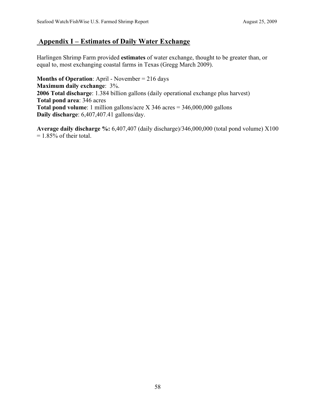# **Appendix I – Estimates of Daily Water Exchange**

Harlingen Shrimp Farm provided **estimates** of water exchange, thought to be greater than, or equal to, most exchanging coastal farms in Texas (Gregg March 2009).

**Months of Operation**: April - November = 216 days **Maximum daily exchange**: 3%. **2006 Total discharge**: 1.384 billion gallons (daily operational exchange plus harvest) **Total pond area**: 346 acres **Total pond volume**: 1 million gallons/acre X 346 acres = 346,000,000 gallons **Daily discharge**: 6,407,407.41 gallons/day.

**Average daily discharge %:** 6,407,407 (daily discharge)/346,000,000 (total pond volume) X100  $= 1.85\%$  of their total.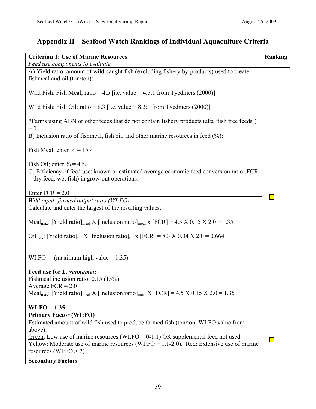# **Appendix II – Seafood Watch Rankings of Individual Aquaculture Criteria**

| <b>Criterion 1: Use of Marine Resources</b>                                                                               | Ranking |
|---------------------------------------------------------------------------------------------------------------------------|---------|
| Feed use components to evaluate                                                                                           |         |
| A) Yield ratio: amount of wild-caught fish (excluding fishery by-products) used to create<br>fishmeal and oil (ton/ton):  |         |
| Wild Fish: Fish Meal; ratio = 4.5 [i.e. value = 4.5:1 from Tyedmers (2000)]                                               |         |
| Wild Fish: Fish Oil; ratio = $8.3$ [i.e. value = $8.3$ :1 from Tyedmers (2000)]                                           |         |
| *Farms using ABN or other feeds that do not contain fishery products (aka 'fish free feeds')<br>$= 0$                     |         |
| B) Inclusion ratio of fishmeal, fish oil, and other marine resources in feed (%):                                         |         |
| Fish Meal; enter $\% = 15\%$                                                                                              |         |
| Fish Oil; enter $\% = 4\%$                                                                                                |         |
| C) Efficiency of feed use: known or estimated average economic feed conversion ratio (FCR                                 |         |
| $=$ dry feed: wet fish) in grow-out operations:                                                                           |         |
| Enter $FCR = 2.0$                                                                                                         |         |
| Wild input: farmed output ratio (WI:FO)                                                                                   |         |
| Calculate and enter the largest of the resulting values:                                                                  |         |
| Meal <sub>max</sub> : [Yield ratio] <sub>meal</sub> X [Inclusion ratio] <sub>meal</sub> x [FCR] = 4.5 X 0.15 X 2.0 = 1.35 |         |
| Oil <sub>max</sub> : [Yield ratio] <sub>oil</sub> X [Inclusion ratio] <sub>oil</sub> x [FCR] = 8.3 X 0.04 X 2.0 = 0.664   |         |
| WI:FO = (maximum high value = $1.35$ )                                                                                    |         |
| Feed use for L. vannamei:                                                                                                 |         |
| Fishmeal inclusion ratio: $0.15(15%)$                                                                                     |         |
| Average $FCR = 2.0$                                                                                                       |         |
| Meal <sub>max</sub> : [Yield ratio] <sub>meal</sub> X [Inclusion ratio] <sub>meal</sub> X [FCR] = 4.5 X 0.15 X 2.0 = 1.35 |         |
| $WI:FO = 1.35$                                                                                                            |         |
| <b>Primary Factor (WI:FO)</b>                                                                                             |         |
| Estimated amount of wild fish used to produce farmed fish (ton/ton; WI:FO value from                                      |         |
| above):                                                                                                                   |         |
| Green: Low use of marine resources (WI:FO = $0-1.1$ ) OR supplemental feed not used.                                      |         |
| Yellow: Moderate use of marine resources (WI:FO = $1.1-2.0$ ). Red: Extensive use of marine<br>resources (WI:FO $>$ 2).   |         |
| <b>Secondary Factors</b>                                                                                                  |         |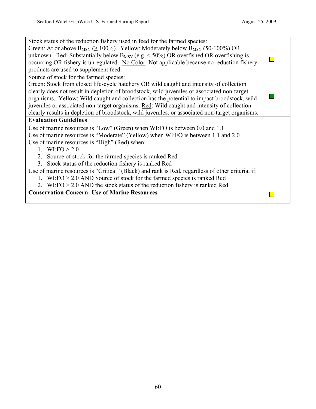| Stock status of the reduction fishery used in feed for the farmed species:                                     |  |
|----------------------------------------------------------------------------------------------------------------|--|
| <u>Green</u> : At or above $B_{MSY}$ ( $\geq 100\%$ ). <u>Yellow</u> : Moderately below $B_{MSY}$ (50-100%) OR |  |
| unknown. Red: Substantially below $B_{MSY}$ (e.g. < 50%) OR overfished OR overfishing is                       |  |
| occurring OR fishery is unregulated. No Color: Not applicable because no reduction fishery                     |  |
| products are used to supplement feed.                                                                          |  |
|                                                                                                                |  |
| Source of stock for the farmed species:                                                                        |  |
| Green: Stock from closed life-cycle hatchery OR wild caught and intensity of collection                        |  |
| clearly does not result in depletion of broodstock, wild juveniles or associated non-target                    |  |
| organisms. Yellow: Wild caught and collection has the potential to impact broodstock, wild                     |  |
| juveniles or associated non-target organisms. Red: Wild caught and intensity of collection                     |  |
| clearly results in depletion of broodstock, wild juveniles, or associated non-target organisms.                |  |
| <b>Evaluation Guidelines</b>                                                                                   |  |
| Use of marine resources is "Low" (Green) when WI:FO is between 0.0 and 1.1                                     |  |
| Use of marine resources is "Moderate" (Yellow) when WI:FO is between 1.1 and 2.0                               |  |
| Use of marine resources is "High" (Red) when:                                                                  |  |
| 1. $W1:FO > 2.0$                                                                                               |  |
| 2. Source of stock for the farmed species is ranked Red                                                        |  |
| 3. Stock status of the reduction fishery is ranked Red                                                         |  |
| Use of marine resources is "Critical" (Black) and rank is Red, regardless of other criteria, if:               |  |
| 1. WI:FO $> 2.0$ AND Source of stock for the farmed species is ranked Red                                      |  |
| 2. WI: $FO > 2.0$ AND the stock status of the reduction fishery is ranked Red                                  |  |
|                                                                                                                |  |
| <b>Conservation Concern: Use of Marine Resources</b>                                                           |  |
|                                                                                                                |  |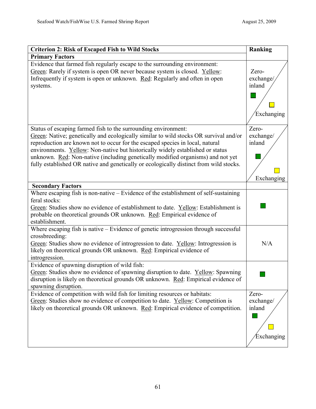| <b>Criterion 2: Risk of Escaped Fish to Wild Stocks</b>                                                                                                                                                                                                                                                                                                                                                                                                                                                 | <b>Ranking</b>                             |
|---------------------------------------------------------------------------------------------------------------------------------------------------------------------------------------------------------------------------------------------------------------------------------------------------------------------------------------------------------------------------------------------------------------------------------------------------------------------------------------------------------|--------------------------------------------|
| <b>Primary Factors</b>                                                                                                                                                                                                                                                                                                                                                                                                                                                                                  |                                            |
| Evidence that farmed fish regularly escape to the surrounding environment:<br>Green: Rarely if system is open OR never because system is closed. Yellow:<br>Infrequently if system is open or unknown. Red: Regularly and often in open<br>systems.                                                                                                                                                                                                                                                     | Zero-<br>exchange/<br>inland<br>Exchanging |
| Status of escaping farmed fish to the surrounding environment:<br>Green: Native; genetically and ecologically similar to wild stocks OR survival and/or<br>reproduction are known not to occur for the escaped species in local, natural<br>environments. Yellow: Non-native but historically widely established or status<br>unknown. Red: Non-native (including genetically modified organisms) and not yet<br>fully established OR native and genetically or ecologically distinct from wild stocks. | Zero-<br>exchange/<br>inland<br>Exchanging |
| <b>Secondary Factors</b>                                                                                                                                                                                                                                                                                                                                                                                                                                                                                |                                            |
| Where escaping fish is non-native - Evidence of the establishment of self-sustaining<br>feral stocks:<br>Green: Studies show no evidence of establishment to date. Yellow: Establishment is<br>probable on theoretical grounds OR unknown. Red: Empirical evidence of                                                                                                                                                                                                                                   |                                            |
| establishment.<br>Where escaping fish is native – Evidence of genetic introgression through successful<br>crossbreeding:<br>Green: Studies show no evidence of introgression to date. Yellow: Introgression is<br>likely on theoretical grounds OR unknown. Red: Empirical evidence of<br>introgression.                                                                                                                                                                                                | N/A                                        |
| Evidence of spawning disruption of wild fish:<br>Green: Studies show no evidence of spawning disruption to date. Yellow: Spawning<br>disruption is likely on theoretical grounds OR unknown. Red: Empirical evidence of<br>spawning disruption.                                                                                                                                                                                                                                                         |                                            |
| Evidence of competition with wild fish for limiting resources or habitats:<br>Green: Studies show no evidence of competition to date. Yellow: Competition is<br>likely on theoretical grounds OR unknown. Red: Empirical evidence of competition.                                                                                                                                                                                                                                                       | Zero-<br>exchange/<br>inland<br>Exchanging |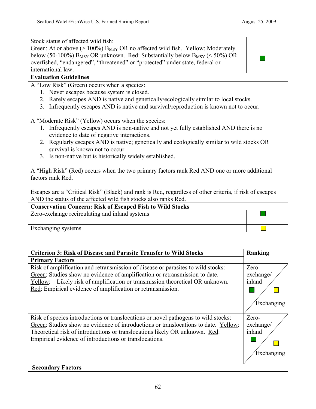| Stock status of affected wild fish:                                                                                           |  |  |
|-------------------------------------------------------------------------------------------------------------------------------|--|--|
| <u>Green</u> : At or above ( $> 100\%$ ) B <sub>MSY</sub> OR no affected wild fish. <u>Yellow</u> : Moderately                |  |  |
| below (50-100%) $B_{MSY}$ OR unknown. Red: Substantially below $B_{MSY}$ (< 50%) OR                                           |  |  |
| overfished, "endangered", "threatened" or "protected" under state, federal or                                                 |  |  |
| international law.                                                                                                            |  |  |
| <b>Evaluation Guidelines</b>                                                                                                  |  |  |
| A "Low Risk" (Green) occurs when a species:                                                                                   |  |  |
| 1. Never escapes because system is closed.                                                                                    |  |  |
| Rarely escapes AND is native and genetically/ecologically similar to local stocks.<br>2.                                      |  |  |
| Infrequently escapes AND is native and survival/reproduction is known not to occur.<br>3 <sub>1</sub>                         |  |  |
| A "Moderate Risk" (Yellow) occurs when the species:                                                                           |  |  |
| Infrequently escapes AND is non-native and not yet fully established AND there is no<br>1.                                    |  |  |
| evidence to date of negative interactions.                                                                                    |  |  |
| 2. Regularly escapes AND is native; genetically and ecologically similar to wild stocks OR<br>survival is known not to occur. |  |  |
| 3. Is non-native but is historically widely established.                                                                      |  |  |
| A "High Risk" (Red) occurs when the two primary factors rank Red AND one or more additional<br>factors rank Red.              |  |  |
| Escapes are a "Critical Risk" (Black) and rank is Red, regardless of other criteria, if risk of escapes                       |  |  |
| AND the status of the affected wild fish stocks also ranks Red.                                                               |  |  |
| <b>Conservation Concern: Risk of Escaped Fish to Wild Stocks</b>                                                              |  |  |
| Zero-exchange recirculating and inland systems                                                                                |  |  |
| Exchanging systems                                                                                                            |  |  |

| <b>Criterion 3: Risk of Disease and Parasite Transfer to Wild Stocks</b>                                                                                                                                                                                                                                           | Ranking                                    |
|--------------------------------------------------------------------------------------------------------------------------------------------------------------------------------------------------------------------------------------------------------------------------------------------------------------------|--------------------------------------------|
| <b>Primary Factors</b>                                                                                                                                                                                                                                                                                             |                                            |
| Risk of amplification and retransmission of disease or parasites to wild stocks:<br>Green: Studies show no evidence of amplification or retransmission to date.<br>Yellow: Likely risk of amplification or transmission theoretical OR unknown.<br>Red: Empirical evidence of amplification or retransmission.     | Zero-<br>exchange/<br>inland<br>Exchanging |
| Risk of species introductions or translocations or novel pathogens to wild stocks:<br>Green: Studies show no evidence of introductions or translocations to date. Yellow:<br>Theoretical risk of introductions or translocations likely OR unknown. Red:<br>Empirical evidence of introductions or translocations. | Zero-<br>exchange/<br>inland<br>Exchanging |
| <b>Secondary Factors</b>                                                                                                                                                                                                                                                                                           |                                            |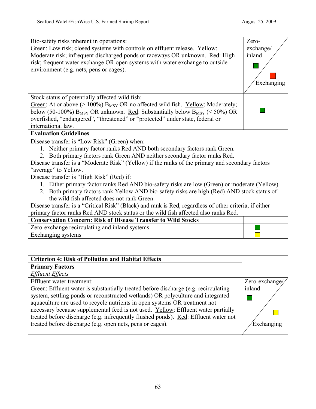| Bio-safety risks inherent in operations:<br>Green: Low risk; closed systems with controls on effluent release. Yellow:<br>Moderate risk; infrequent discharged ponds or raceways OR unknown. Red: High<br>risk; frequent water exchange OR open systems with water exchange to outside<br>environment (e.g. nets, pens or cages). | Zero-<br>exchange/<br>inland<br>Exchanging |  |
|-----------------------------------------------------------------------------------------------------------------------------------------------------------------------------------------------------------------------------------------------------------------------------------------------------------------------------------|--------------------------------------------|--|
| Stock status of potentially affected wild fish:                                                                                                                                                                                                                                                                                   |                                            |  |
| Green: At or above ( $> 100\%$ ) B <sub>MSY</sub> OR no affected wild fish. Yellow: Moderately;                                                                                                                                                                                                                                   |                                            |  |
| below (50-100%) $B_{MSY}$ OR unknown. Red: Substantially below $B_{MSY}$ (< 50%) OR                                                                                                                                                                                                                                               |                                            |  |
| overfished, "endangered", "threatened" or "protected" under state, federal or                                                                                                                                                                                                                                                     |                                            |  |
| international law.                                                                                                                                                                                                                                                                                                                |                                            |  |
| <b>Evaluation Guidelines</b>                                                                                                                                                                                                                                                                                                      |                                            |  |
| Disease transfer is "Low Risk" (Green) when:                                                                                                                                                                                                                                                                                      |                                            |  |
| 1. Neither primary factor ranks Red AND both secondary factors rank Green.                                                                                                                                                                                                                                                        |                                            |  |
| 2. Both primary factors rank Green AND neither secondary factor ranks Red.                                                                                                                                                                                                                                                        |                                            |  |
| Disease transfer is a "Moderate Risk" (Yellow) if the ranks of the primary and secondary factors                                                                                                                                                                                                                                  |                                            |  |
| "average" to Yellow.                                                                                                                                                                                                                                                                                                              |                                            |  |
| Disease transfer is "High Risk" (Red) if:                                                                                                                                                                                                                                                                                         |                                            |  |
| 1. Either primary factor ranks Red AND bio-safety risks are low (Green) or moderate (Yellow).                                                                                                                                                                                                                                     |                                            |  |
| 2. Both primary factors rank Yellow AND bio-safety risks are high (Red) AND stock status of                                                                                                                                                                                                                                       |                                            |  |
| the wild fish affected does not rank Green.                                                                                                                                                                                                                                                                                       |                                            |  |
| Disease transfer is a "Critical Risk" (Black) and rank is Red, regardless of other criteria, if either                                                                                                                                                                                                                            |                                            |  |
| primary factor ranks Red AND stock status or the wild fish affected also ranks Red.                                                                                                                                                                                                                                               |                                            |  |
| <b>Conservation Concern: Risk of Disease Transfer to Wild Stocks</b>                                                                                                                                                                                                                                                              |                                            |  |
| Zero-exchange recirculating and inland systems                                                                                                                                                                                                                                                                                    |                                            |  |
| Exchanging systems                                                                                                                                                                                                                                                                                                                |                                            |  |

| <b>Criterion 4: Risk of Pollution and Habitat Effects</b>                           |                |
|-------------------------------------------------------------------------------------|----------------|
| <b>Primary Factors</b>                                                              |                |
| <b>Effluent Effects</b>                                                             |                |
| Effluent water treatment:                                                           | Zero-exchange/ |
| Green: Effluent water is substantially treated before discharge (e.g. recirculating | inland         |
| system, settling ponds or reconstructed wetlands) OR polyculture and integrated     |                |
| aquaculture are used to recycle nutrients in open systems OR treatment not          |                |
| necessary because supplemental feed is not used. Yellow: Effluent water partially   |                |
| treated before discharge (e.g. infrequently flushed ponds). Red: Effluent water not |                |
| treated before discharge (e.g. open nets, pens or cages).                           | Exchanging     |
|                                                                                     |                |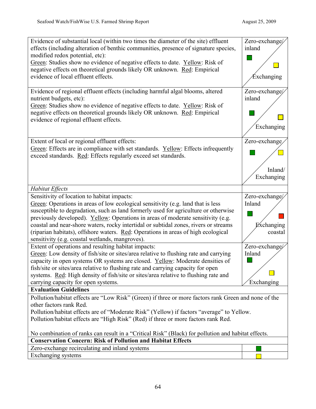| Evidence of substantial local (within two times the diameter of the site) effluent                                                                                       | Zero-exchange/        |  |  |  |  |
|--------------------------------------------------------------------------------------------------------------------------------------------------------------------------|-----------------------|--|--|--|--|
| effects (including alteration of benthic communities, presence of signature species,                                                                                     | inland                |  |  |  |  |
| modified redox potential, etc):                                                                                                                                          |                       |  |  |  |  |
| Green: Studies show no evidence of negative effects to date. Yellow: Risk of                                                                                             |                       |  |  |  |  |
| negative effects on theoretical grounds likely OR unknown. Red: Empirical                                                                                                |                       |  |  |  |  |
| evidence of local effluent effects.                                                                                                                                      | Éxchanging            |  |  |  |  |
|                                                                                                                                                                          |                       |  |  |  |  |
| Evidence of regional effluent effects (including harmful algal blooms, altered                                                                                           | Zero-exchange/        |  |  |  |  |
| nutrient budgets, etc):                                                                                                                                                  | inland                |  |  |  |  |
| Green: Studies show no evidence of negative effects to date. Yellow: Risk of                                                                                             |                       |  |  |  |  |
| negative effects on theoretical grounds likely OR unknown. Red: Empirical                                                                                                |                       |  |  |  |  |
| evidence of regional effluent effects.                                                                                                                                   |                       |  |  |  |  |
|                                                                                                                                                                          | Exchanging            |  |  |  |  |
|                                                                                                                                                                          |                       |  |  |  |  |
| Extent of local or regional effluent effects:                                                                                                                            | Zero-exchange         |  |  |  |  |
| Green: Effects are in compliance with set standards. Yellow: Effects infrequently                                                                                        |                       |  |  |  |  |
| exceed standards. Red: Effects regularly exceed set standards.                                                                                                           |                       |  |  |  |  |
|                                                                                                                                                                          |                       |  |  |  |  |
|                                                                                                                                                                          | Inland/               |  |  |  |  |
|                                                                                                                                                                          | Exchanging            |  |  |  |  |
| Habitat Effects                                                                                                                                                          |                       |  |  |  |  |
| Sensitivity of location to habitat impacts:                                                                                                                              | Zero-exchange/        |  |  |  |  |
| Green: Operations in areas of low ecological sensitivity (e.g. land that is less                                                                                         | Inland                |  |  |  |  |
|                                                                                                                                                                          |                       |  |  |  |  |
| susceptible to degradation, such as land formerly used for agriculture or otherwise                                                                                      |                       |  |  |  |  |
| previously developed). Yellow: Operations in areas of moderate sensitivity (e.g.<br>coastal and near-shore waters, rocky intertidal or subtidal zones, rivers or streams |                       |  |  |  |  |
|                                                                                                                                                                          | Exchanging<br>coastal |  |  |  |  |
| (riparian habitats), offshore waters. Red: Operations in areas of high ecological<br>sensitivity (e.g. coastal wetlands, mangroves).                                     |                       |  |  |  |  |
| Extent of operations and resulting habitat impacts:                                                                                                                      | Zero-exchange/        |  |  |  |  |
| Green: Low density of fish/site or sites/area relative to flushing rate and carrying                                                                                     | Inland                |  |  |  |  |
| capacity in open systems OR systems are closed. Yellow: Moderate densities of                                                                                            |                       |  |  |  |  |
| fish/site or sites/area relative to flushing rate and carrying capacity for open                                                                                         |                       |  |  |  |  |
| systems. Red: High density of fish/site or sites/area relative to flushing rate and                                                                                      |                       |  |  |  |  |
| carrying capacity for open systems.                                                                                                                                      | Exchanging            |  |  |  |  |
| <b>Evaluation Guidelines</b>                                                                                                                                             |                       |  |  |  |  |
| Pollution/habitat effects are "Low Risk" (Green) if three or more factors rank Green and none of the                                                                     |                       |  |  |  |  |
| other factors rank Red.                                                                                                                                                  |                       |  |  |  |  |
| Pollution/habitat effects are of "Moderate Risk" (Yellow) if factors "average" to Yellow.                                                                                |                       |  |  |  |  |
| Pollution/habitat effects are "High Risk" (Red) if three or more factors rank Red.                                                                                       |                       |  |  |  |  |
|                                                                                                                                                                          |                       |  |  |  |  |
| No combination of ranks can result in a "Critical Risk" (Black) for pollution and habitat effects.                                                                       |                       |  |  |  |  |
| <b>Conservation Concern: Risk of Pollution and Habitat Effects</b>                                                                                                       |                       |  |  |  |  |
| Zero-exchange recirculating and inland systems                                                                                                                           |                       |  |  |  |  |
| Exchanging systems                                                                                                                                                       |                       |  |  |  |  |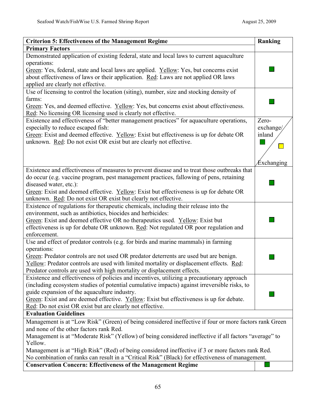| <b>Criterion 5: Effectiveness of the Management Regime</b>                                             | Ranking           |
|--------------------------------------------------------------------------------------------------------|-------------------|
| <b>Primary Factors</b>                                                                                 |                   |
| Demonstrated application of existing federal, state and local laws to current aquaculture              |                   |
| operations:                                                                                            |                   |
| Green: Yes, federal, state and local laws are applied. Yellow: Yes, but concerns exist                 |                   |
| about effectiveness of laws or their application. Red: Laws are not applied OR laws                    |                   |
| applied are clearly not effective.                                                                     |                   |
| Use of licensing to control the location (siting), number, size and stocking density of                |                   |
| farms:                                                                                                 |                   |
| Green: Yes, and deemed effective. Yellow: Yes, but concerns exist about effectiveness.                 |                   |
| Red: No licensing OR licensing used is clearly not effective.                                          |                   |
| Existence and effectiveness of "better management practices" for aquaculture operations,               | Zero-             |
| especially to reduce escaped fish:                                                                     | exchange/         |
| Green: Exist and deemed effective. Yellow: Exist but effectiveness is up for debate OR                 | inland            |
| unknown. Red: Do not exist OR exist but are clearly not effective.                                     |                   |
|                                                                                                        |                   |
|                                                                                                        |                   |
|                                                                                                        | <i>Exchanging</i> |
| Existence and effectiveness of measures to prevent disease and to treat those outbreaks that           |                   |
| do occur (e.g. vaccine program, pest management practices, fallowing of pens, retaining                |                   |
| diseased water, etc.):                                                                                 |                   |
| Green: Exist and deemed effective. Yellow: Exist but effectiveness is up for debate OR                 |                   |
| unknown. Red: Do not exist OR exist but clearly not effective.                                         |                   |
| Existence of regulations for therapeutic chemicals, including their release into the                   |                   |
| environment, such as antibiotics, biocides and herbicides:                                             |                   |
| Green: Exist and deemed effective OR no therapeutics used. Yellow: Exist but                           |                   |
| effectiveness is up for debate OR unknown. Red: Not regulated OR poor regulation and                   |                   |
| enforcement.                                                                                           |                   |
| Use and effect of predator controls (e.g. for birds and marine mammals) in farming                     |                   |
| operations:                                                                                            |                   |
| Green: Predator controls are not used OR predator deterrents are used but are benign.                  |                   |
| Yellow: Predator controls are used with limited mortality or displacement effects. Red:                |                   |
| Predator controls are used with high mortality or displacement effects.                                |                   |
| Existence and effectiveness of policies and incentives, utilizing a precautionary approach             |                   |
| (including ecosystem studies of potential cumulative impacts) against irreversible risks, to           |                   |
| guide expansion of the aquaculture industry.                                                           |                   |
| Green: Exist and are deemed effective. Yellow: Exist but effectiveness is up for debate.               |                   |
| Red: Do not exist OR exist but are clearly not effective.                                              |                   |
| <b>Evaluation Guidelines</b>                                                                           |                   |
| Management is at "Low Risk" (Green) of being considered ineffective if four or more factors rank Green |                   |
| and none of the other factors rank Red.                                                                |                   |
| Management is at "Moderate Risk" (Yellow) of being considered ineffective if all factors "average" to  |                   |
| Yellow.                                                                                                |                   |
| Management is at "High Risk" (Red) of being considered ineffective if 3 or more factors rank Red.      |                   |
| No combination of ranks can result in a "Critical Risk" (Black) for effectiveness of management.       |                   |
| <b>Conservation Concern: Effectiveness of the Management Regime</b>                                    |                   |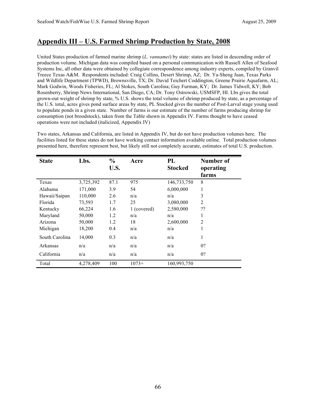# **Appendix III – U.S. Farmed Shrimp Production by State, 2008**

United States production of farmed marine shrimp (*L. vannamei*) by state: states are listed in descending order of production volume. Michigan data was compiled based on a personal communication with Russell Allen of Seafood Systems Inc, all other data were obtained by collegiate correspondence among industry experts, compiled by Granvil Treece Texas A&M. Respondents included: Craig Collins, Desert Shrimp, AZ; Dr. Ya-Sheng Juan, Texas Parks and Wildlife Department (TPWD), Brownsville, TX; Dr. David Teichert Coddington, Greene Prairie Aquafarm, AL; Mark Godwin, Woods Fisheries, FL; Al Stokes, South Carolina; Guy Furman, KY; Dr. James Tidwell, KY; Bob Rosenberry, Shrimp News International, San Diego, CA; Dr. Tony Ostrowski, USMSFP, HI. Lbs gives the total grown-out weight of shrimp by state, % U.S. shows the total volume of shrimp produced by state, as a percentage of the U.S. total, acres gives pond surface areas by state, PL Stocked gives the number of Post-Larval stage young used to populate ponds in a given state. Number of farms is our estimate of the number of farms producing shrimp for consumption (not broodstock), taken from the Table shown in Appendix IV. Farms thought to have ceased operations were not included (italicized, Appendix IV)

Two states, Arkansas and California, are listed in Appendix IV, but do not have production volumes here. The facilities listed for these states do not have working contact information available online. Total production volumes presented here, therefore represent best, but likely still not completely accurate, estimates of total U.S. production.

| <b>State</b>   | Lbs.      | $\frac{0}{0}$<br>U.S. | Acre        | PL<br><b>Stocked</b> | Number of<br>operating<br>farms |
|----------------|-----------|-----------------------|-------------|----------------------|---------------------------------|
| Texas          | 3,725,392 | 87.1                  | 975         | 146,733,750          | 8                               |
| Alabama        | 171,000   | 3.9                   | 54          | 6,000,000            | 1                               |
| Hawaii/Saipan  | 110,000   | 2.6                   | n/a         | n/a                  | 3                               |
| Florida        | 73,593    | 1.7                   | 25          | 3,080,000            | $\overline{2}$                  |
| Kentucky       | 66,224    | 1.6                   | 1 (covered) | 2,580,000            | ??                              |
| Maryland       | 50,000    | 1.2                   | n/a         | n/a                  | $\perp$                         |
| Arizona        | 50,000    | 1.2                   | 18          | 2,600,000            | $\overline{2}$                  |
| Michigan       | 18,200    | 0.4                   | n/a         | n/a                  | 1                               |
| South Carolina | 14,000    | 0.3                   | n/a         | n/a                  | 1                               |
| Arkansas       | n/a       | n/a                   | n/a         | n/a                  | 0?                              |
| California     | n/a       | n/a                   | n/a         | n/a                  | 0?                              |
| Total          | 4,278,409 | 100                   | $1073+$     | 160,993,750          |                                 |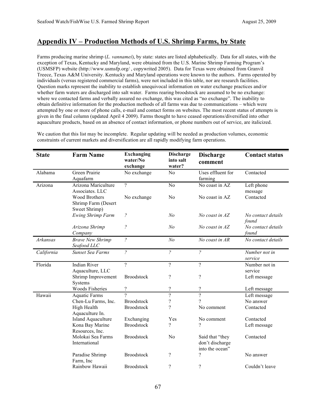# **Appendix IV – Production Methods of U.S. Shrimp Farms, by State**

Farms producing marine shrimp (*L. vannamei*), by state: states are listed alphabetically. Data for all states, with the exception of Texas, Kentucky and Maryland, were obtained from the U.S. Marine Shrimp Farming Program's (USMSFP) website (http://www.usmsfp.org/ , copywrited 2005). Data for Texas were obtained from Granvil Treece, Texas A&M University. Kentucky and Maryland operations were known to the authors. Farms operated by individuals (versus registered commercial farms), were not included in this table, nor are research facilities. Question marks represent the inability to establish unequivocal information on water exchange practices and/or whether farm waters are discharged into salt water. Farms rearing broodstock are assumed to be no exchange: where we contacted farms and verbally assured no exchange, this was cited as "no exchange". The inability to obtain definitive information for the production methods of all farms was due to communications – which were attempted by one or more of phone calls, e-mail and contact forms on websites. The most recent status of attempts is given in the final column (updated April 4 2009). Farms thought to have ceased operations/diversified into other aquaculture products, based on an absence of contact information, or phone numbers out of service, are italicized.

**State Farm Name Exchanging water/No exchange Discharge into salt water? Discharge comment Contact status** Alabama Green Prairie Aquafarm No exchange No Uses effluent for farming Contacted Arizona Arizona Mariculture Associates. LLC ? No No coast in AZ Left phone message Wood Brothers Shrimp Farm (Desert Sweet Shrimp) No exchange No No coast in AZ Contacted *Ewing Shrimp Farm ? No No coast in AZ No contact details found Arizona Shrimp Company ? No No coast in AZ No contact details found Arkansas Brave New Shrimp Seafood LLC ? No No coast in AR No contact details California Sunset Sea Farms ? ? ? Number not in service* Florida Indian River Aquaculture, LLC ? ? ? Number not in service Shrimp Improvement Systems Broodstock ? ? Left message Woods Fisheries ? ? ? Left message Hawaii Aquatic Farms ? ? ? 2 Left message<br>
Chen-Lu Farms. Inc. Broodstock ? ? ? No answer Chen-Lu Farms, Inc. Broodstock ? ? No answer High Health Aquaculture In. Broodstock ? No comment Contacted Island Aquaculture Exchanging Yes No comment Contacted Kona Bay Marine Resources, Inc. Broodstock ? ? Provide a set of the same state of the same state of the Left message Molokai Sea Farms International Broodstock No Said that "they don't discharge into the ocean" Contacted Paradise Shrimp Farm, Inc Broodstock ? ? No answer Rainbow Hawaii Broodstock ? ? ? Couldn't leave

We caution that this list may be incomplete. Regular updating will be needed as production volumes, economic constraints of current markets and diversification are all rapidly modifying farm operations.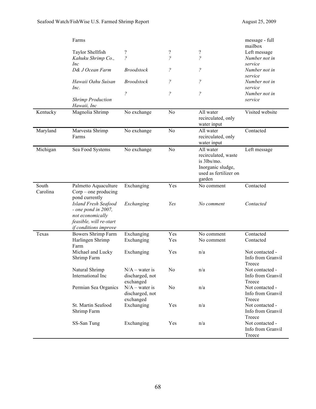|                   | Farms                                                                                                                  |                                                        |                                            |                                                                                                         | message - full<br>mailbox                      |
|-------------------|------------------------------------------------------------------------------------------------------------------------|--------------------------------------------------------|--------------------------------------------|---------------------------------------------------------------------------------------------------------|------------------------------------------------|
|                   | Taylor Shellfish<br>Kahuku Shrimp Co.,                                                                                 | $\boldsymbol{\mathcal{P}}$<br>$\overline{\mathcal{E}}$ | $\overline{\mathcal{C}}$<br>$\overline{?}$ | $\overline{\mathcal{L}}$<br>$\overline{?}$                                                              | Left message<br>Number not in                  |
|                   | Inc<br>D& J Ocean Farm                                                                                                 | <b>Broodstock</b>                                      | $\tilde{\mathcal{C}}$                      | $\tilde{?}$                                                                                             | service<br>Number not in<br>service            |
|                   | Hawaii Oahu Suisan<br>Inc.                                                                                             | <b>Broodstock</b>                                      | $\tilde{\mathcal{C}}$                      | $\tilde{z}$                                                                                             | Number not in<br>service                       |
|                   | <b>Shrimp Production</b><br>Hawaii, Inc                                                                                | $\tilde{?}$                                            | $\tilde{?}$                                | $\tilde{z}$                                                                                             | Number not in<br>service                       |
| Kentucky          | Magnolia Shrimp                                                                                                        | No exchange                                            | No                                         | All water<br>recirculated, only<br>water input                                                          | Visited website                                |
| Maryland          | Marvesta Shrimp<br>Farms                                                                                               | No exchange                                            | No                                         | All water<br>recirculated, only<br>water input                                                          | Contacted                                      |
| Michigan          | Sea Food Systems                                                                                                       |                                                        | N <sub>o</sub>                             | All water<br>recirculated, waste<br>is 3lbs/mo.<br>Inorganic sludge,<br>used as fertilizer on<br>garden | Left message                                   |
| South<br>Carolina | Palmetto Aquaculture<br>$Corp$ – one producing<br>pond currently                                                       | Exchanging                                             | Yes                                        | No comment                                                                                              | Contacted                                      |
|                   | Island Fresh Seafood<br>- one pond in $2007$ ,<br>not economically<br>feasible, will re-start<br>if conditions improve | Exchanging                                             | Yes                                        | No comment                                                                                              | Contacted                                      |
| Texas             | Bowers Shrimp Farm<br>Harlingen Shrimp<br>Farm                                                                         | Exchanging<br>Exchanging                               | Yes<br>Yes                                 | No comment<br>No comment                                                                                | Contacted<br>Contacted                         |
|                   | Michael and Lucky<br>Shrimp Farm                                                                                       | Exchanging                                             | Yes                                        | n/a                                                                                                     | Not contacted -<br>Info from Granvil<br>Treece |
|                   | Natural Shrimp<br>International Inc                                                                                    | $N/A$ – water is<br>discharged, not<br>exchanged       | No                                         | n/a                                                                                                     | Not contacted -<br>Info from Granvil<br>Treece |
|                   | Permian Sea Organics                                                                                                   | $N/A$ – water is<br>discharged, not<br>exchanged       | N <sub>0</sub>                             | n/a                                                                                                     | Not contacted -<br>Info from Granvil<br>Treece |
|                   | St. Martin Seafood<br>Shrimp Farm                                                                                      | Exchanging                                             | Yes                                        | n/a                                                                                                     | Not contacted -<br>Info from Granvil<br>Treece |
|                   | SS-San Tung                                                                                                            | Exchanging                                             | Yes                                        | n/a                                                                                                     | Not contacted -<br>Info from Granvil<br>Treece |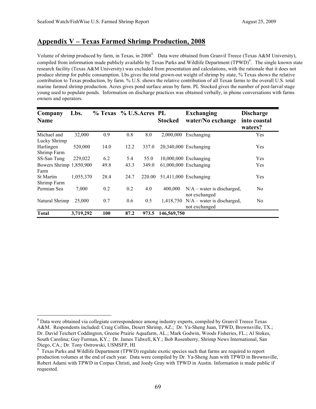$\overline{a}$ 

# **Appendix V – Texas Farmed Shrimp Production, 2008**

Volume of shrimp produced by farm, in Texas, in 2008<sup>8</sup>. Data were obtained from Granvil Treece (Texas A&M University), compiled from information made publicly available by Texas Parks and Wildlife Department  $(TPWD)^9$ . The single known state research facility (Texas A&M University) was excluded from presentation and calculations, with the rationale that it does not produce shrimp for public consumption. Lbs gives the total grown-out weight of shrimp by state, % Texas shows the relative contribution to Texas production, by farm. % U.S. shows the relative contribution of all Texan farms to the overall U.S. total marine farmed shrimp production. Acres gives pond surface areas by farm. PL Stocked gives the number of post-larval stage young used to populate ponds. Information on discharge practices was obtained verbally, in phone conversations with farms owners and operators.

| Company<br><b>Name</b>          | Lbs.      | % Texas | % U.S.Acres PL |        | <b>Stocked</b> | <b>Exchanging</b><br>water/No exchange        | <b>Discharge</b><br>into coastal |
|---------------------------------|-----------|---------|----------------|--------|----------------|-----------------------------------------------|----------------------------------|
|                                 |           |         |                |        |                |                                               | waters?                          |
| Michael and<br>Lucky Shrimp     | 32,000    | 0.9     | 0.8            | 8.0    | 2.000.000      | Exchanging                                    | Yes                              |
| Harlingen                       | 520,000   | 14.0    | 12.2           | 337.0  |                | 20,340,000 Exchanging                         | Yes                              |
| Shrimp Farm                     |           | 6.2     |                |        |                |                                               | <b>Yes</b>                       |
| SS-San Tung                     | 229,022   |         | 5.4            | 55.0   |                | 10,000,000 Exchanging                         |                                  |
| Bowers Shrimp 1,850,900<br>Farm |           | 49.8    | 43.3           | 349.0  |                | $61,000,000$ Exchanging                       | Yes                              |
| <b>St Martin</b><br>Shrimp Farm | 1,055,370 | 28.4    | 24.7           | 220.00 |                | 51,411,000 Exchanging                         | Yes                              |
| Permian Sea                     | 7,000     | 0.2     | 0.2            | 4.0    | 400,000        | $N/A$ – water is discharged,<br>not exchanged | N <sub>0</sub>                   |
| Natural Shrimp                  | 25,000    | 0.7     | 0.6            | 0.5    | 1,418,750      | $N/A$ – water is discharged,<br>not exchanged | N <sub>0</sub>                   |
| <b>Total</b>                    | 3,719,292 | 100     | 87.2           | 973.5  | 146,569,750    |                                               |                                  |

<sup>&</sup>lt;sup>8</sup> Data were obtained via collegiate correspondence among industry experts, compiled by Granvil Treece Texas A&M. Respondents included: Craig Collins, Desert Shrimp, AZ.; Dr. Ya-Sheng Juan, TPWD, Brownsville, TX.; Dr. David Teichert Coddington, Greene Prairie Aquafarm, AL.; Mark Godwin, Woods Fisheries, FL.; Al Stokes, South Carolina; Guy Furman, KY.; Dr. James Tidwell, KY.; Bob Rosenberry, Shrimp News International, San Diego, CA.; Dr. Tony Ostrowski, USMSFP, HI

<sup>9</sup> Texas Parks and Wildlife Department (TPWD) regulate exotic species such that farms are required to report production volumes at the end of each year. Data were compiled by Dr. Ya-Sheng Juan with TPWD in Brownsville, Robert Adami with TPWD in Corpus Christi, and Joedy Gray with TPWD in Austin. Information is made public if requested.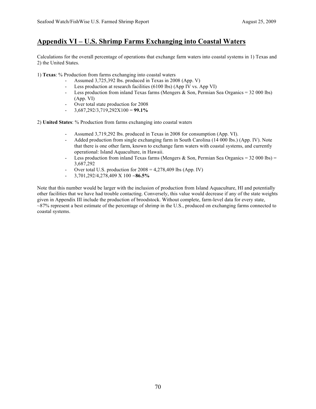# **Appendix VI – U.S. Shrimp Farms Exchanging into Coastal Waters**

Calculations for the overall percentage of operations that exchange farm waters into coastal systems in 1) Texas and 2) the United States.

- 1) **Texas**: % Production from farms exchanging into coastal waters
	- Assumed 3,725,392 lbs. produced in Texas in 2008 (App. V)
	- Less production at research facilities (6100 lbs) (App IV vs. App VI)
	- Less production from inland Texas farms (Mengers & Son, Permian Sea Organics =  $32\,000$  lbs) (App. VI)
	- Over total state production for 2008
	- $-$  3,687,292/3,719,292X100 = **99.1%**
- 2) **United States**: % Production from farms exchanging into coastal waters
	- Assumed 3,719,292 lbs. produced in Texas in 2008 for consumption (App. VI).
	- Added production from single exchanging farm in South Carolina (14 000 lbs.) (App. IV). Note that there is one other farm, known to exchange farm waters with coastal systems, and currently operational: Island Aquaculture, in Hawaii.
	- Less production from inland Texas farms (Mengers & Son, Permian Sea Organics = 32 000 lbs) = 3,687,292
	- Over total U.S. production for  $2008 = 4,278,409$  lbs (App. IV)
	- 3,701,292/4,278,409 X 100 ~**86.5%**

Note that this number would be larger with the inclusion of production from Island Aquaculture, HI and potentially other facilities that we have had trouble contacting. Conversely, this value would decrease if any of the state weights given in Appendix III include the production of broodstock. Without complete, farm-level data for every state,  $\sim$ 87% represent a best estimate of the percentage of shrimp in the U.S., produced on exchanging farms connected to coastal systems.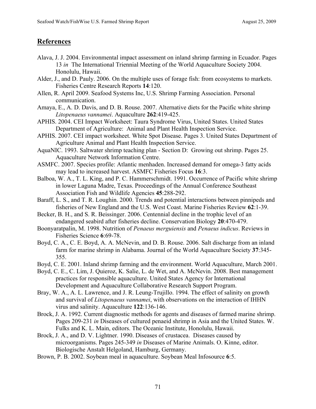# **References**

- Alava, J. J. 2004. Environmental impact assessment on inland shrimp farming in Ecuador. Pages 13 *in* The International Triennial Meeting of the World Aquaculture Society 2004. Honolulu, Hawaii.
- Alder, J., and D. Pauly. 2006. On the multiple uses of forage fish: from ecosystems to markets. Fisheries Centre Research Reports **14**:120.
- Allen, R. April 2009. Seafood Systems Inc, U.S. Shrimp Farming Association. Personal communication.
- Amaya, E., A. D. Davis, and D. B. Rouse. 2007. Alternative diets for the Pacific white shrimp *Litopenaeus vannamei*. Aquaculture **262**:419-425.
- APHIS. 2004. CEI Impact Worksheet: Taura Syndrome Virus, United States. United States Department of Agriculture: Animal and Plant Health Inspection Service.
- APHIS. 2007. CEI impact worksheet. White Spot Disease. Pages 3. United States Department of Agriculture Animal and Plant Health Inspection Service.
- AquaNIC. 1993. Saltwater shrimp teaching plan Section D: Growing out shrimp. Pages 25. Aquaculture Network Information Centre.
- ASMFC. 2007. Species profile: Atlantic menhaden. Increased demand for omega-3 fatty acids may lead to increased harvest. ASMFC Fisheries Focus **16**:3.
- Balboa, W. A., T. L. King, and P. C. Hammerschmidt. 1991. Occurrence of Pacific white shrimp in lower Laguna Madre, Texas. Proceedings of the Annual Conference Southeast Association Fish and Wildlife Agencies **45**:288-292.
- Baraff, L. S., and T. R. Loughin. 2000. Trends and potential interactions between pinnipeds and fisheries of New England and the U.S. West Coast. Marine Fisheries Review **62**:1-39.
- Becker, B. H., and S. R. Beissinger. 2006. Centennial decline in the trophic level of an endangered seabird after fisheries decline. Conservation Biology **20**:470-479.
- Boonyaratpalin, M. 1998. Nutrition of *Penaeus merguiensis* and *Penaeus indicus*. Reviews in Fisheries Science **6**:69-78.
- Boyd, C. A., C. E. Boyd, A. A. McNevin, and D. B. Rouse. 2006. Salt discharge from an inland farm for marine shrimp in Alabama. Journal of the World Aquaculture Society **37**:345- 355.
- Boyd, C. E. 2001. Inland shrimp farming and the environment. World Aquaculture, March 2001.
- Boyd, C. E., C. Lim, J. Quieroz, K. Salie, L. de Wet, and A. McNevin. 2008. Best management practices for responsible aquaculture. United States Agency for International Development and Aquaculture Collaborative Research Support Program.
- Bray, W. A., A. L. Lawrence, and J. R. Leung-Trujillo. 1994. The effect of salinity on growth and survival of *Litopenaeus vannamei*, with observations on the interaction of IHHN virus and salinity. Aquaculture **122**:136-146.
- Brock, J. A. 1992. Current diagnostic methods for agents and diseases of farmed marine shrimp. Pages 209-231 *in* Diseases of cultured penaeid shrimp in Asia and the United States. W. Fulks and K. L. Main, editors. The Oceanic Institute, Honolulu, Hawaii.
- Brock, J. A., and D. V. Lightner. 1990. Diseases of crustacea. Diseases caused by microorganisms. Pages 245-349 *in* Diseases of Marine Animals. O. Kinne, editor. Biologische Anstalt Helgoland, Hamburg, Germany.
- Brown, P. B. 2002. Soybean meal in aquaculture. Soybean Meal Infosource **6**:5.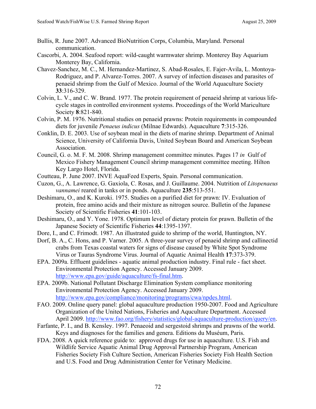- Bullis, R. June 2007. Advanced BioNutrition Corps, Columbia, Maryland. Personal communication.
- Cascorbi, A. 2004. Seafood report: wild-caught warmwater shrimp. Monterey Bay Aquarium Monterey Bay, California.
- Chavez-Sanchez, M. C., M. Hernandez-Martinez, S. Abad-Rosales, E. Fajer-Avila, L. Montoya-Rodriguez, and P. Alvarez-Torres. 2007. A survey of infection diseases and parasites of penaeid shrimp from the Gulf of Mexico. Journal of the World Aquaculture Society **33**:316-329.
- Colvin, L. V., and C. W. Brand. 1977. The protein requirement of penaeid shrimp at various lifecycle stages in controlled environment systems. Proceedings of the World Mariculture Society **8**:821-840.
- Colvin, P. M. 1976. Nutritional studies on penaeid prawns: Protein requirements in compounded diets for juvenile *Penaeus indicus* (Milnae Edwards). Aquaculture **7**:315-326.
- Conklin, D. E. 2003. Use of soybean meal in the diets of marine shrimp. Department of Animal Science, University of California Davis, United Soybean Board and American Soybean Association.
- Council, G. o. M. F. M. 2008. Shrimp management committee minutes. Pages 17 *in* Gulf of Mexico Fishery Management Council shrimp management committee meeting. Hilton Key Largo Hotel, Florida.
- Coutteau, P. June 2007. INVE AquaFeed Experts, Spain. Personal communication.
- Cuzon, G., A. Lawrence, G. Gaxiola, C. Rosas, and J. Guillaume. 2004. Nutrition of *Litopenaeus vannamei* reared in tanks or in ponds. Aquaculture **235**:513-551.
- Deshimaru, O., and K. Kuroki. 1975. Studies on a purified diet for prawn: IV. Evaluation of protein, free amino acids and their mixture as nitrogen source. Bulletin of the Japanese Society of Scientific Fisheries **41**:101-103.
- Deshimaru, O., and Y. Yone. 1978. Optimum level of dietary protein for prawn. Bulletin of the Japanese Society of Scientific Fisheries **44**:1395-1397.
- Dore, I., and C. Frimodt. 1987. An illustrated guide to shrimp of the world, Huntington, NY.
- Dorf, B. A., C. Hons, and P. Varner. 2005. A three-year survey of penaeid shrimp and callinectid crabs from Texas coastal waters for signs of disease caused by White Spot Syndrome Virus or Tauras Syndrome Virus. Journal of Aquatic Animal Health **17**:373-379.
- EPA. 2009a. Effluent guidelines aquatic animal production industry. Final rule fact sheet. Environmental Protection Agency. Accessed January 2009. http://www.epa.gov/guide/aquaculture/fs-final.htm.
- EPA. 2009b. National Pollutant Discharge Elimination System compliance monitoring Environmental Protection Agency. Accessed January 2009. http://www.epa.gov/compliance/monitoring/programs/cwa/npdes.html.
- FAO. 2009. Online query panel: global aquaculture production 1950-2007. Food and Agriculture Organization of the United Nations, Fisheries and Aquculture Department. Accessed April 2009. http://www.fao.org/fishery/statistics/global-aquaculture-production/query/en.
- Farfante, P. I., and B. Kensley. 1997. Penaeoid and sergestoid shrimps and prawns of the world. Keys and diagnoses for the families and genera. Editions du Muséum, Paris.
- FDA. 2008. A quick reference guide to: approved drugs for use in aquaculture. U.S. Fish and Wildlife Service Aquatic Animal Drug Approval Partnership Program, American Fisheries Society Fish Culture Section, American Fisheries Society Fish Health Section and U.S. Food and Drug Administration Center for Vetinary Medicine.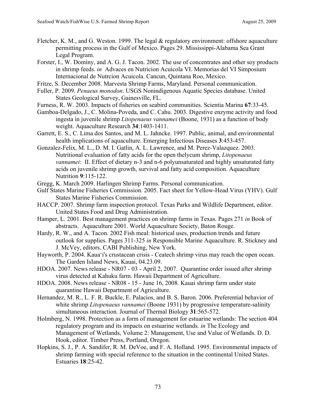- Fletcher, K. M., and G. Weston. 1999. The legal & regulatory environment: offshore aquaculture permitting process in the Gulf of Mexico. Pages 29. Mississippi-Alabama Sea Grant Legal Program.
- Forster, I., W. Dominy, and A. G. J. Tacon. 2002. The use of concentrates and other soy products in shrimp feeds. *in* Advaces en Nutricion Acuicola VI. Memorias del VI Simposium Internacional de Nutrcion Acuicola. Cancun, Quintana Roo, Mexico.
- Fritze, S. December 2008. Marvesta Shrimp Farms, Maryland. Personal communication.
- Fuller, P. 2009. *Penaeus monodon*. USGS Nonindigenous Aquatic Species database. United States Geological Survey, Gainesville, FL.
- Furness, R. W. 2003. Impacts of fisheries on seabird communities. Scientia Marina **67**:33-45.
- Gamboa-Delgado, J., C. Molina-Poveda, and C. Cahu. 2003. Digestive enzyme activity and food ingesta in juvenile shrimp *Litopenaeus vannamei* (Boone, 1931) as a function of body weight. Aquaculture Research **34**:1403-1411.
- Garrett, E. S., C. Lima dos Santos, and M. L. Jahncke. 1997. Public, animal, and environmental health implications of aquaculture. Emerging Infectious Diseases **3**:453-457.
- Gonzalez-Felix, M. L., D. M. I. Gatlin, A. L. Lawrence, and M. Perez-Valazquez. 2003. Nutritional evaluation of fatty acids for the open thelycum shrimp, *Litopenaeus vannamei*: II. Effect of dietary n-3 and n-6 polyunsaturated and highly unsaturated fatty acids on juvenile shrimp growth, survival and fatty acid composition. Aquaculture Nutrition **9**:115-122.
- Gregg, K. March 2009. Harlingen Shrimp Farms. Personal communication.
- Gulf States Marine Fisheries Commission. 2005. Fact sheet for Yellow-Head Virus (YHV). Gulf States Marine Fisheries Commission.
- HACCP. 2007. Shrimp farm inspection protocol. Texas Parks and Wildlife Department, editor. United States Food and Drug Administration.
- Hamper, L. 2001. Best management practices on shrimp farms in Texas. Pages 271 *in* Book of abstracts. Aquaculture 2001. World Aquaculture Society, Baton Rouge.
- Hardy, R. W., and A. Tacon. 2002 Fish meal: historical uses, production trends and future outlook for supplies. Pages 311-325 *in* Responsible Marine Aquaculture. R. Stickney and J. McVey, editors. CABI Publishing, New York.
- Hayworth, P. 2004. Kaua'i's crustacean crisis Ceatech shrimp virus may reach the open ocean. The Garden IsIand News, Kauai, 04.23.09.
- HDOA. 2007. News release NR07 03 April 2, 2007. Quarantine order issued after shrimp virus detected at Kahuku farm. Hawaii Department of Agriculture.
- HDOA. 2008. News release NR08 15 June 16, 2008. Kauai shrimp farm under state quarantine Hawaii Department of Agriculture.
- Hernandez, M. R., L. F. R. Buckle, E. Palacios, and B. S. Baron. 2006. Preferential behavior of white shrimp *Litopenaeus vannamei* (Boone 1931) by progressive temperature-salinity simultaneous interaction. Journal of Thermal Biology **31**:565-572.
- Holmberg, N. 1998. Protection as a form of management for estuarine wetlands: The section 404 regulatory program and its impacts on estuarine wetlands. *in* The Ecology and Management of Wetlands, Volume 2: Management, Use and Value of Wetlands. D. D. Hook, editor. Timber Press, Portland, Oregon.
- Hopkins, S. J., P. A. Sandifer, R. M. DeVoe, and F. A. Holland. 1995. Environmental impacts of shrimp farming with special reference to the situation in the continental United States. Estuaries **18**:25-42.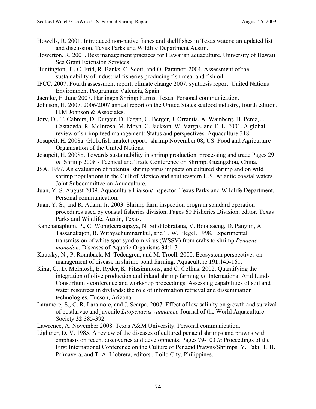- Howells, R. 2001. Introduced non-native fishes and shellfishes in Texas waters: an updated list and discussion. Texas Parks and Wildlife Department Austin.
- Howerton, R. 2001. Best management practices for Hawaiian aquaculture. University of Hawaii Sea Grant Extension Services.
- Huntington, T., C. Frid, R. Banks, C. Scott, and O. Paramor. 2004. Assessment of the sustainability of industrial fisheries producing fish meal and fish oil.
- IPCC. 2007. Fourth assessment report: climate change 2007: synthesis report. United Nations Environment Programme Valencia, Spain.
- Jaenike, F. June 2007. Harlingen Shrimp Farms, Texas. Personal communication.
- Johnson, H. 2007. 2006/2007 annual report on the United States seafood industry, fourth edition. H.M.Johnson & Associates.
- Jory, D., T. Cabrera, D. Dugger, D. Fegan, C. Berger, J. Orrantia, A. Wainberg, H. Perez, J. Castaoeda, R. McIntosh, M. Moya, C. Jackson, W. Vargas, and E. L. 2001. A global review of shrimp feed management: Status and perspectives. Aquaculture:318.
- Josupeit, H. 2008a. Globefish market report: shrimp November 08, US. Food and Agriculture Organization of the United Nations.
- Josupeit, H. 2008b. Towards sustainability in shrimp production, processing and trade Pages 29 *in* Shrimp 2008 - Techical and Trade Conference on Shrimp. Guangzhou, China.
- JSA. 1997. An evaluation of potential shrimp virus impacts on cultured shrimp and on wild shrimp populations in the Gulf of Mexico and southeastern U.S. Atlantic coastal waters. Joint Subcommittee on Aquaculture.
- Juan, Y. S. August 2009. Aquaculture Liaison/Inspector, Texas Parks and Wildlife Department. Personal communication.
- Juan, Y. S., and R. Adami Jr. 2003. Shrimp farm inspection program standard operation procedures used by coastal fisheries division. Pages 60 Fisheries Division, editor. Texas Parks and Wildlife, Austin, Texas.
- Kanchanaphum, P., C. Wongteerasupaya, N. Sitidilokratana, V. Boonsaeng, D. Panyim, A. Tassanakajon, B. Withyachumnarnkul, and T. W. Flegel. 1998. Experimental transmission of white spot syndrom virus (WSSV) from crabs to shrimp *Penaeus monodon*. Diseases of Aquatic Organisms **34**:1-7.
- Kautsky, N., P. Ronnback, M. Tedengren, and M. Troell. 2000. Ecosystem perspectives on management of disease in shrimp pond farming. Aquaculture **191**:145-161.
- King, C., D. McIntosh, E. Ryder, K. Fitzsimmons, and C. Collins. 2002. Quantifying the integration of olive production and inland shrimp farming *in* International Arid Lands Consortium - conference and workshop proceedings. Assessing capabilities of soil and water resources in drylands: the role of information retrieval and dissemination technologies. Tucson, Arizona.
- Laramore, S., C. R. Laramore, and J. Scarpa. 2007. Effect of low salinity on growth and survival of postlarvae and juvenile *Litopenaeus vannamei.* Journal of the World Aquaculture Society **32**:385-392.
- Lawrence, A. November 2008. Texas A&M University. Personal communication.
- Lightner, D. V. 1985. A review of the diseases of cultured penaeid shrimps and prawns with emphasis on recent discoveries and developments. Pages 79-103 *in* Proceedings of the First International Conference on the Culture of Penaeid Prawns/Shrimps. Y. Taki, T. H. Primavera, and T. A. Llobrera, editors., Iloilo City, Philippines.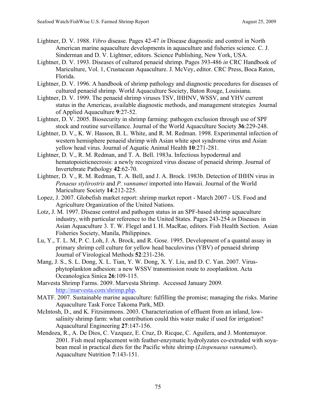- Lightner, D. V. 1988. *Vibro* disease. Pages 42-47 *in* Disease diagnostic and control in North American marine aquaculture developments in aquaculture and fisheries science. C. J. Sinderman and D. V. Lightner, editors. Science Publishing, New York, USA.
- Lightner, D. V. 1993. Diseases of cultured penaeid shrimp. Pages 393-486 *in* CRC Handbook of Mariculture, Vol. 1, Crustacean Aquaculture. J. McVey, editor. CRC Press, Boca Raton, Florida.
- Lightner, D. V. 1996. A handbook of shrimp pathology and diagnostic procedures for diseases of cultured penaeid shrimp. World Aquaculture Society, Baton Rouge, Louisiana.
- Lightner, D. V. 1999. The penaeid shrimp viruses TSV, IHHNV, WSSV, and YHV current status in the Americas, available diagnostic methods, and management strategies Journal of Applied Aquaculture **9**:27-52.
- Lightner, D. V. 2005. Biosecurity in shrimp farming: pathogen exclusion through use of SPF stock and routine surveillance. Journal of the World Aquaculture Society **36**:229-248.
- Lightner, D. V., K. W. Hasson, B. L. White, and R. M. Redman. 1998. Experimental infection of western hemisphere penaeid shrimp with Asian white spot syndrome virus and Asian yellow head virus. Journal of Aquatic Animal Health **10**:271-281.
- Lightner, D. V., R. M. Redman, and T. A. Bell. 1983a. Infectious hypodermal and hematopoieticnecrosis: a newly recognized virus disease of penaeid shrimp. Journal of Invertebrate Pathology **42**:62-70.
- Lightner, D. V., R. M. Redman, T. A. Bell, and J. A. Brock. 1983b. Detection of IHHN virus in *Penaeus stylirostris* and *P. vannamei* imported into Hawaii. Journal of the World Mariculture Society **14**:212-225.
- Lopez, J. 2007. Globefish market report: shrimp market report March 2007 US. Food and Agriculture Organization of the United Nations.
- Lotz, J. M. 1997. Disease control and pathogen status in an SPF-based shrimp aquaculture industry, with particular reference to the United States. Pages 243-254 *in* Diseases in Asian Aquaculture 3. T. W. Flegel and I. H. MacRae, editors. Fish Health Section. Asian Fisheries Society, Manila, Philippines.
- Lu, Y., T. L. M, P. C. Loh, J. A. Brock, and R. Gose. 1995. Development of a quantal assay in primary shrimp cell culture for yellow head baculovirus (YBV) of penaeid shrimp Journal of Virological Methods **52**:231-236.
- Mang, J. S., S. L. Dong, X. L. Tian, Y. W. Dong, X. Y. Liu, and D. C. Yan. 2007. Virusphytoplankton adhesion: a new WSSV transmission route to zooplankton. Acta Oceanologica Sinica **26**:109-115.
- Marvesta Shrimp Farms. 2009. Marvesta Shrimp. Accessed January 2009. http://marvesta.com/shrimp.php.
- MATF. 2007. Sustainable marine aquaculture: fulfilling the promise; managing the risks. Marine Aquaculture Task Force Takoma Park, MD.
- McIntosh, D., and K. Fitzsimmons. 2003. Characterization of effluent from an inland, lowsalinity shrimp farm: what contribution could this water make if used for irrigation? Aquacultural Engineering **27**:147-156.
- Mendoza, R., A. De Dios, C. Vazquez, E. Cruz, D. Ricque, C. Aguilera, and J. Montemayor. 2001. Fish meal replacement with feather-enzymatic hydrolyzates co-extruded with soyabean meal in practical diets for the Pacific white shrimp (*Litopenaeus vannamei*). Aquaculture Nutrition **7**:143-151.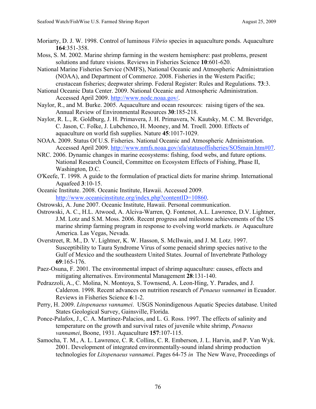- Moriarty, D. J. W. 1998. Control of luminous *Vibrio* species in aquaculture ponds. Aquaculture **164**:351-358.
- Moss, S. M. 2002. Marine shrimp farming in the western hemisphere: past problems, present solutions and future visions. Reviews in Fisheries Science **10**:601-620.
- National Marine Fisheries Service (NMFS), National Oceanic and Atmospheric Administration (NOAA), and Department of Commerce. 2008. Fisheries in the Western Pacific; crustacean fisheries; deepwater shrimp. Federal Register: Rules and Regulations. **73**:3.
- National Oceanic Data Center. 2009. National Oceanic and Atmospheric Administration. Accessed April 2009. http://www.nodc.noaa.gov/.
- Naylor, R., and M. Burke. 2005. Aquaculture and ocean resources: raising tigers of the sea. Annual Review of Environmental Resources **30**:185-218.
- Naylor, R. L., R. Goldburg, J. H. Primavera, J. H. Primavera, N. Kautsky, M. C. M. Beveridge, C. Jason, C. Folke, J. Lubchenco, H. Mooney, and M. Troell. 2000. Effects of aquaculture on world fish supplies. Nature **45**:1017-1029.
- NOAA. 2009. Status Of U.S. Fisheries. National Oceanic and Atmospheric Administration. Accessed April 2009. http://www.nmfs.noaa.gov/sfa/statusoffisheries/SOSmain.htm#07.
- NRC. 2006. Dynamic changes in marine ecosystems: fishing, food webs, and future options. National Research Council, Committee on Ecosystem Effects of Fishing, Phase II, Washington, D.C.
- O'Keefe, T. 1998. A guide to the formulation of practical diets for marine shrimp. International Aquafeed **3**:10-15.
- Oceanic Institute. 2008. Oceanic Institute, Hawaii. Accessed 2009. http://www.oceanicinstitute.org/index.php?contentID=10860.
- Ostrowski, A. June 2007. Oceanic Institute, Hawaii. Personal communication.
- Ostrowski, A. C., H.L. Atwood, A. Alciva-Warren, Q. Fontenot, A.L. Lawrence, D.V. Lightner, J.M. Lotz and S.M. Moss. 2006. Recent progress and milestone achievements of the US marine shrimp farming program in response to evolving world markets. *in* Aquaculture America. Las Vegas, Nevada.
- Overstreet, R. M., D. V. Lightner, K. W. Hasson, S. McIlwain, and J. M. Lotz. 1997. Susceptibility to Taura Syndrome Virus of some penaeid shrimp species native to the Gulf of Mexico and the southeastern United States. Journal of Invertebrate Pathology **69**:165-176.
- Paez-Osuna, F. 2001. The environmental impact of shrimp aquaculture: causes, effects and mitigating alternatives. Environmental Management **28**:131-140.
- Pedrazzoli, A., C. Molina, N. Montoya, S. Townsend, A. Leon-Hing, Y. Parades, and J. Calderon. 1998. Recent advances on nutrition research of *Penaeus vannamei* in Ecuador. Reviews in Fisheries Science **6**:1-2.
- Perry, H. 2009. *Litopenaeus vannamei*. USGS Nonindigenous Aquatic Species database. United States Geological Survey, Gainsville, Florida.
- Ponce-Palafox, J., C. A. Martinez-Palacios, and L. G. Ross. 1997. The effects of salinity and temperature on the growth and survival rates of juvenile white shrimp, *Penaeus vannamei*, Boone, 1931. Aquaculture **157**:107-115.
- Samocha, T. M., A. L. Lawrence, C. R. Collins, C. R. Emberson, J. L. Harvin, and P. Van Wyk. 2001. Development of integrated environmentally-sound inland shrimp production technologies for *Litopenaeus vannamei*. Pages 64-75 *in* The New Wave, Proceedings of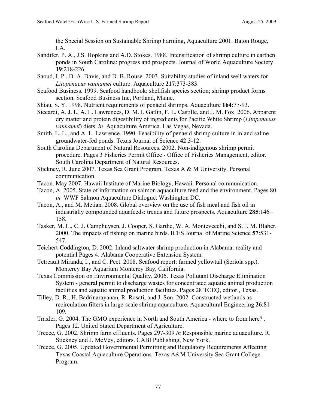the Special Session on Sustainable Shrimp Farming, Aquaculture 2001. Baton Rouge, LA.

- Sandifer, P. A., J.S. Hopkins and A.D. Stokes. 1988. Intensification of shrimp culture in earthen ponds in South Carolina: progress and prospects. Journal of World Aquaculture Society **19**:218-226.
- Saoud, I. P., D. A. Davis, and D. B. Rouse. 2003. Suitability studies of inland well waters for *Litopenaeus vannamei* culture. Aquaculture **217**:373-383.
- Seafood Business. 1999. Seafood handbook: shellfish species section; shrimp product forms section. Seafood Business Inc, Portland, Maine.
- Shiau, S. Y. 1998. Nutrient requirements of penaeid shrimps. Aquaculture **164**:77-93.
- Siccardi, A. J. I., A. L. Lawrences, D. M. I. Gatlin, F. L. Castille, and J. M. Fox. 2006. Apparent dry matter and protein digestibility of ingredients for Pacific White Shrimp (*Litopenaeus vannamei*) diets. *in* Aquaculture America. Las Vegas, Nevada.
- Smith, L. L., and A. L. Lawrence. 1990. Feasibility of penaeid shrimp culture in inland saline groundwater-fed ponds. Texas Journal of Science **42**:3-12.
- South Carolina Department of Natural Resources. 2002. Non-indigenous shrimp permit procedure. Pages 3 Fisheries Permit Office - Office of Fisheries Management, editor. South Carolina Department of Natural Resources.
- Stickney, R. June 2007. Texas Sea Grant Program, Texas A & M University. Personal communication.
- Tacon. May 2007. Hawaii Institute of Marine Biology, Hawaii. Personal communication.
- Tacon, A. 2005. State of information on salmon aquaculture feed and the environment. Pages 80 *in* WWF Salmon Aquaculture Dialogue. Washington DC.
- Tacon, A., and M. Metian. 2008. Global overview on the use of fish meal and fish oil in industrially compounded aquafeeds: trends and future prospects. Aquaculture **285**:146– 158.
- Tasker, M. L., C. J. Camphuysen, J. Cooper, S. Garthe, W. A. Montevecchi, and S. J. M. Blaber. 2000. The impacts of fishing on marine birds. ICES Journal of Marine Science **57**:531- 547.
- Teichert-Coddington, D. 2002. Inland saltwater shrimp production in Alabama: reality and potential Pages 4. Alabama Cooperative Extension System.
- Tetreault Miranda, I., and C. Peet. 2008. Seafood report: farmed yellowtail (Seriola spp.). Monterey Bay Aquarium Monterey Bay, California.
- Texas Commission on Environmental Quality. 2006. Texas Pollutant Discharge Elimination System - general permit to discharge wastes for concentrated aquatic animal production facilities and aquatic animal production facilities. Pages 28 TCEQ, editor., Texas.
- Tilley, D. R., H. Badrinarayanan, R. Rosati, and J. Son. 2002. Constructed wetlands as recirculation filters in large-scale shrimp aquaculture. Aquacultural Engineering **26**:81- 109.
- Traxler, G. 2004. The GMO experience in North and South America where to from here? . Pages 12. United Stated Department of Agriculture.
- Treece, G. 2002. Shrimp farm effluents. Pages 297-309 *in* Responsible marine aquaculture. R. Stickney and J. McVey, editors. CABI Publishing, New York.
- Treece, G. 2005. Updated Governmental Permitting and Regulatory Requirements Affecting Texas Coastal Aquaculture Operations. Texas A&M University Sea Grant College Program.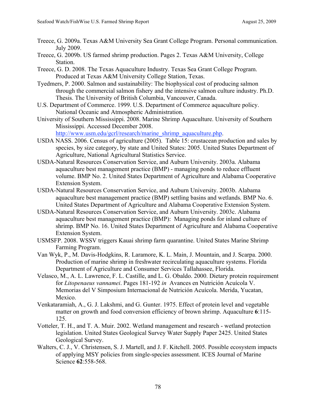- Treece, G. 2009a. Texas A&M University Sea Grant College Program. Personal communication. July 2009.
- Treece, G. 2009b. US farmed shrimp production. Pages 2. Texas A&M University, College Station.
- Treece, G. D. 2008. The Texas Aquaculture Industry. Texas Sea Grant College Program. Produced at Texas A&M University College Station, Texas.
- Tyedmers, P. 2000. Salmon and sustainability: The biophysical cost of producing salmon through the commercial salmon fishery and the intensive salmon culture industry. Ph.D. Thesis. The University of British Columbia, Vancouver, Canada.
- U.S. Department of Commerce. 1999. U.S. Department of Commerce aquaculture policy. National Oceanic and Atmospheric Administration.
- University of Southern Mississippi. 2008. Marine Shrimp Aquaculture. University of Southern Mississippi. Accessed December 2008.

http://www.usm.edu/gcrl/research/marine\_shrimp\_aquaculture.php.

- USDA NASS. 2006. Census of agriculture (2005). Table 15: crustacean production and sales by species, by size category, by state and United States: 2005. United States Department of Agriculture, National Agricultural Statistics Service.
- USDA-Natural Resources Conservation Service, and Auburn University. 2003a. Alabama aquaculture best management practice (BMP) - managing ponds to reduce effluent volume. BMP No. 2. United States Department of Agriculture and Alabama Cooperative Extension System.
- USDA-Natural Resources Conservation Service, and Auburn University. 2003b. Alabama aquaculture best management practice (BMP) settling basins and wetlands. BMP No. 6. United States Department of Agriculture and Alabama Cooperative Extension System.
- USDA-Natural Resources Conservation Service, and Auburn University. 2003c. Alabama aquaculture best management practice (BMP): Managing ponds for inland culture of shrimp. BMP No. 16. United States Department of Agriculture and Alabama Cooperative Extension System.
- USMSFP. 2008. WSSV triggers Kauai shrimp farm quarantine. United States Marine Shrimp Farming Program.
- Van Wyk, P., M. Davis-Hodgkins, R. Laramore, K. L. Main, J. Mountain, and J. Scarpa. 2000. Production of marine shrimp in freshwater recirculating aquaculture systems. Florida Department of Agriculture and Consumer Services Tallahassee, Florida.
- Velasco, M., A. L. Lawrence, F. L. Castille, and L. G. Obaldo. 2000. Dietary protein requirement for *Litopenaeus vannamei*. Pages 181-192 *in* Avances en Nutrición Acuícola V. Memorias del V Simposium Internacional de Nutrición Acuícola. Merida, Yucatan, Mexico.
- Venkataramiah, A., G. J. Lakshmi, and G. Gunter. 1975. Effect of protein level and vegetable matter on growth and food conversion efficiency of brown shrimp. Aquaculture **6**:115- 125.
- Votteler, T. H., and T. A. Muir. 2002. Wetland management and research wetland protection legislation. United States Geological Survey Water Supply Paper 2425. United States Geological Survey.
- Walters, C. J., V. Christensen, S. J. Martell, and J. F. Kitchell. 2005. Possible ecosystem impacts of applying MSY policies from single-species assessment. ICES Journal of Marine Science **62**:558-568.